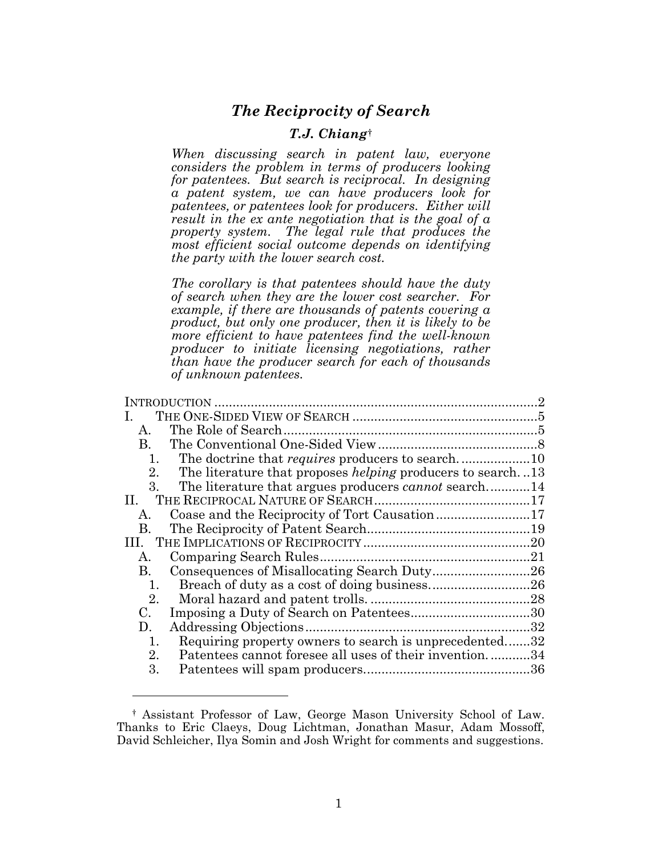# *The Reciprocity of Search*

## *T.J. Chiang*[†](#page-0-0)

*When discussing search in patent law, everyone considers the problem in terms of producers looking for patentees. But search is reciprocal. In designing a patent system, we can have producers look for patentees, or patentees look for producers. Either will result in the ex ante negotiation that is the goal of a property system. The legal rule that produces the most efficient social outcome depends on identifying the party with the lower search cost.* 

*The corollary is that patentees should have the duty of search when they are the lower cost searcher. For example, if there are thousands of patents covering a product, but only one producer, then it is likely to be more efficient to have patentees find the well-known producer to initiate licensing negotiations, rather than have the producer search for each of thousands of unknown patentees.* 

| A.                                                                      |     |
|-------------------------------------------------------------------------|-----|
| B.                                                                      |     |
| 1.                                                                      |     |
| The literature that proposes <i>helping</i> producers to search13<br>2. |     |
| The literature that argues producers <i>cannot</i> search14<br>3.       |     |
| $\Pi$ .                                                                 |     |
| Α.                                                                      |     |
| В.                                                                      |     |
| HL.                                                                     |     |
| A.                                                                      |     |
| В.                                                                      |     |
| 1.                                                                      |     |
| 2.                                                                      |     |
| C.                                                                      |     |
| D.                                                                      |     |
| Requiring property owners to search is unprecedented32<br>1.            |     |
| Patentees cannot foresee all uses of their invention34<br>2.            |     |
| 3.                                                                      | .36 |

<span id="page-0-0"></span><sup>†</sup> Assistant Professor of Law, George Mason University School of Law. Thanks to Eric Claeys, Doug Lichtman, Jonathan Masur, Adam Mossoff, David Schleicher, Ilya Somin and Josh Wright for comments and suggestions.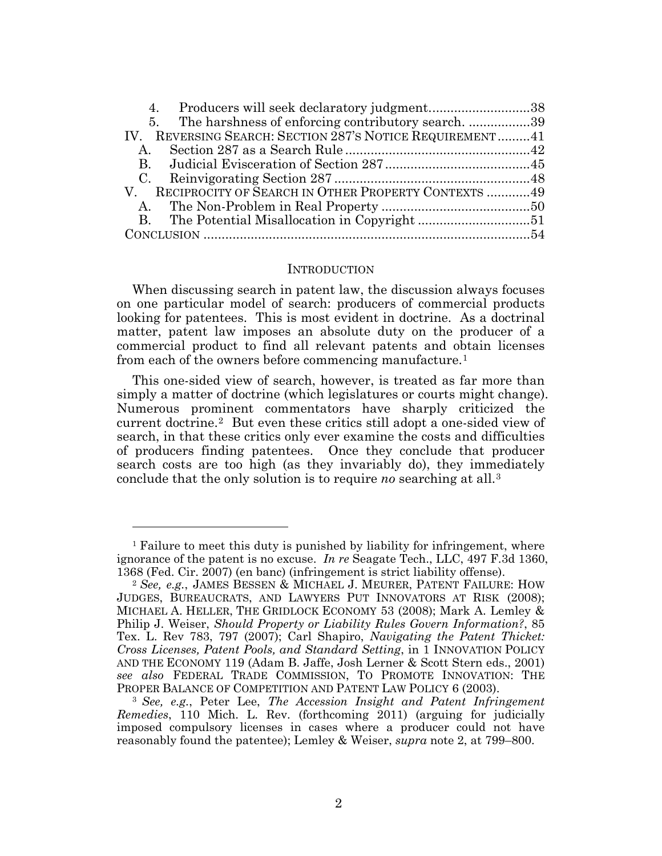<span id="page-1-0"></span>

| 5. The harshness of enforcing contributory search. 39    |  |
|----------------------------------------------------------|--|
| IV. REVERSING SEARCH: SECTION 287'S NOTICE REQUIREMENT41 |  |
|                                                          |  |
|                                                          |  |
|                                                          |  |
| V. RECIPROCITY OF SEARCH IN OTHER PROPERTY CONTEXTS  49  |  |
|                                                          |  |
|                                                          |  |
|                                                          |  |

#### **INTRODUCTION**

When discussing search in patent law, the discussion always focuses on one particular model of search: producers of commercial products looking for patentees. This is most evident in doctrine. As a doctrinal matter, patent law imposes an absolute duty on the producer of a commercial product to find all relevant patents and obtain licenses from each of the owners before commencing manufacture.<sup>[1](#page-1-1)</sup>

This one-sided view of search, however, is treated as far more than simply a matter of doctrine (which legislatures or courts might change). Numerous prominent commentators have sharply criticized the current doctrine.[2](#page-1-2) But even these critics still adopt a one-sided view of search, in that these critics only ever examine the costs and difficulties of producers finding patentees. Once they conclude that producer search costs are too high (as they invariably do), they immediately conclude that the only solution is to require *no* searching at all.[3](#page-1-3)

<span id="page-1-1"></span><sup>&</sup>lt;sup>1</sup> Failure to meet this duty is punished by liability for infringement, where ignorance of the patent is no excuse. *In re* Seagate Tech., LLC, 497 F.3d 1360, 1368 (Fed. Cir. 2007) (en banc) (infringement is strict liability offense).

<span id="page-1-2"></span><sup>2</sup> *See, e.g.*, JAMES BESSEN & MICHAEL J. MEURER, PATENT FAILURE: HOW JUDGES, BUREAUCRATS, AND LAWYERS PUT INNOVATORS AT RISK (2008); MICHAEL A. HELLER, THE GRIDLOCK ECONOMY 53 (2008); Mark A. Lemley & Philip J. Weiser, *Should Property or Liability Rules Govern Information?*, 85 Tex. L. Rev 783, 797 (2007); Carl Shapiro, *Navigating the Patent Thicket: Cross Licenses, Patent Pools, and Standard Setting*, in 1 INNOVATION POLICY AND THE ECONOMY 119 (Adam B. Jaffe, Josh Lerner & Scott Stern eds., 2001) *see also* FEDERAL TRADE COMMISSION, TO PROMOTE INNOVATION: THE PROPER BALANCE OF COMPETITION AND PATENT LAW POLICY 6 (2003).

<span id="page-1-3"></span><sup>3</sup> *See, e.g.*, Peter Lee, *The Accession Insight and Patent Infringement Remedies*, 110 Mich. L. Rev. (forthcoming 2011) (arguing for judicially imposed compulsory licenses in cases where a producer could not have reasonably found the patentee); Lemley & Weiser, *supra* note 2, at 799–800.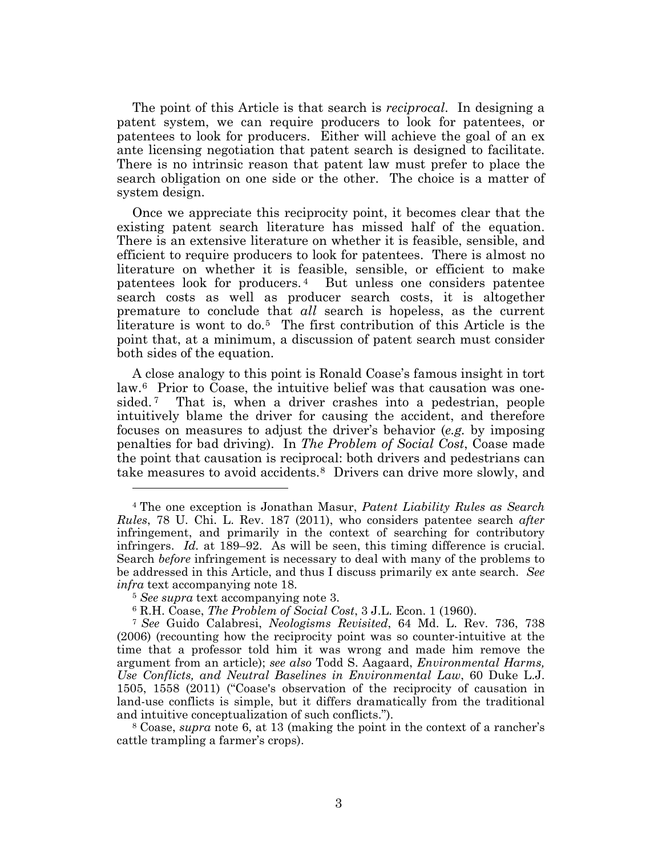The point of this Article is that search is *reciprocal*. In designing a patent system, we can require producers to look for patentees, or patentees to look for producers. Either will achieve the goal of an ex ante licensing negotiation that patent search is designed to facilitate. There is no intrinsic reason that patent law must prefer to place the search obligation on one side or the other. The choice is a matter of system design.

Once we appreciate this reciprocity point, it becomes clear that the existing patent search literature has missed half of the equation. There is an extensive literature on whether it is feasible, sensible, and efficient to require producers to look for patentees. There is almost no literature on whether it is feasible, sensible, or efficient to make patentees look for producers. [4](#page-2-0) But unless one considers patentee search costs as well as producer search costs, it is altogether premature to conclude that *all* search is hopeless, as the current literature is wont to do.[5](#page-2-1) The first contribution of this Article is the point that, at a minimum, a discussion of patent search must consider both sides of the equation.

A close analogy to this point is Ronald Coase's famous insight in tort law.<sup>[6](#page-2-2)</sup> Prior to Coase, the intuitive belief was that causation was one-sided.<sup>[7](#page-2-3)</sup> That is, when a driver crashes into a pedestrian, people intuitively blame the driver for causing the accident, and therefore focuses on measures to adjust the driver's behavior (*e.g.* by imposing penalties for bad driving). In *The Problem of Social Cost*, Coase made the point that causation is reciprocal: both drivers and pedestrians can take measures to avoid accidents.[8](#page-2-4) Drivers can drive more slowly, and

<span id="page-2-0"></span><sup>4</sup> The one exception is Jonathan Masur, *Patent Liability Rules as Search Rules*, 78 U. Chi. L. Rev. 187 (2011), who considers patentee search *after* infringement, and primarily in the context of searching for contributory infringers. *Id.* at 189–92. As will be seen, this timing difference is crucial. Search *before* infringement is necessary to deal with many of the problems to be addressed in this Article, and thus I discuss primarily ex ante search. *See infra* text accompanying note 18.

<sup>5</sup> *See supra* text accompanying note 3.

<sup>6</sup> R.H. Coase, *The Problem of Social Cost*, 3 J.L. Econ. 1 (1960).

<span id="page-2-3"></span><span id="page-2-2"></span><span id="page-2-1"></span><sup>7</sup> *See* Guido Calabresi, *Neologisms Revisited*, 64 Md. L. Rev. 736, 738 (2006) (recounting how the reciprocity point was so counter-intuitive at the time that a professor told him it was wrong and made him remove the argument from an article); *see also* Todd S. Aagaard, *Environmental Harms, Use Conflicts, and Neutral Baselines in Environmental Law*, 60 Duke L.J. 1505, 1558 (2011) ("Coase's observation of the reciprocity of causation in land-use conflicts is simple, but it differs dramatically from the traditional and intuitive conceptualization of such conflicts.").

<span id="page-2-4"></span><sup>8</sup> Coase, *supra* note 6, at 13 (making the point in the context of a rancher's cattle trampling a farmer's crops).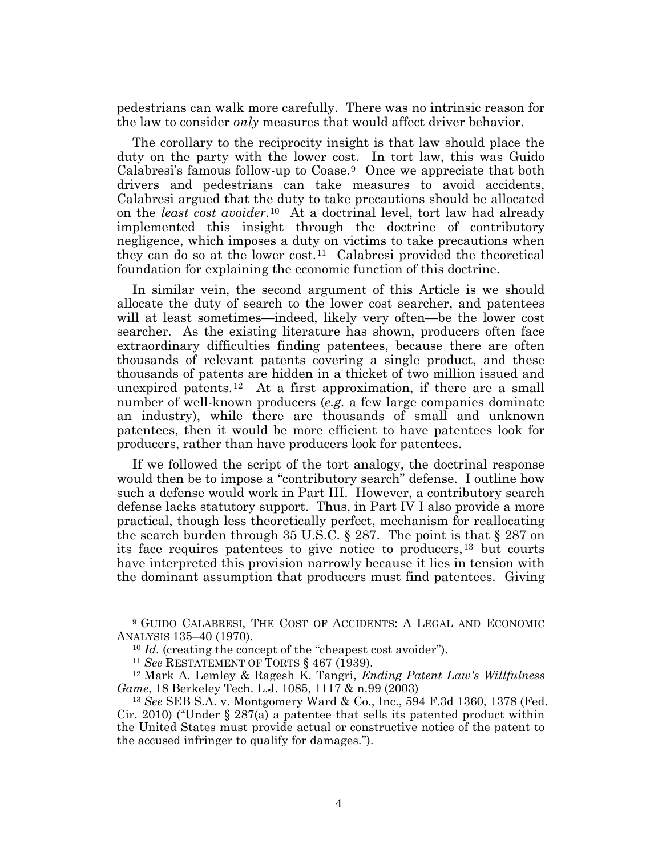pedestrians can walk more carefully. There was no intrinsic reason for the law to consider *only* measures that would affect driver behavior.

The corollary to the reciprocity insight is that law should place the duty on the party with the lower cost. In tort law, this was Guido Calabresi's famous follow-up to Coase.[9](#page-3-0) Once we appreciate that both drivers and pedestrians can take measures to avoid accidents, Calabresi argued that the duty to take precautions should be allocated on the *least cost avoider*.[10](#page-3-1) At a doctrinal level, tort law had already implemented this insight through the doctrine of contributory negligence, which imposes a duty on victims to take precautions when they can do so at the lower cost.[11](#page-3-2) Calabresi provided the theoretical foundation for explaining the economic function of this doctrine.

In similar vein, the second argument of this Article is we should allocate the duty of search to the lower cost searcher, and patentees will at least sometimes—indeed, likely very often—be the lower cost searcher. As the existing literature has shown, producers often face extraordinary difficulties finding patentees, because there are often thousands of relevant patents covering a single product, and these thousands of patents are hidden in a thicket of two million issued and unexpired patents.<sup>[12](#page-3-3)</sup> At a first approximation, if there are a small number of well-known producers (*e.g.* a few large companies dominate an industry), while there are thousands of small and unknown patentees, then it would be more efficient to have patentees look for producers, rather than have producers look for patentees.

If we followed the script of the tort analogy, the doctrinal response would then be to impose a "contributory search" defense. I outline how such a defense would work in Part [III.](#page-19-1) However, a contributory search defense lacks statutory support. Thus, in Part [IV](#page-40-1) I also provide a more practical, though less theoretically perfect, mechanism for reallocating the search burden through 35 U.S.C.  $\S$  287. The point is that  $\S$  287 on its face requires patentees to give notice to producers,[13](#page-3-4) but courts have interpreted this provision narrowly because it lies in tension with the dominant assumption that producers must find patentees. Giving

<span id="page-3-1"></span><span id="page-3-0"></span><sup>9</sup> GUIDO CALABRESI, THE COST OF ACCIDENTS: A LEGAL AND ECONOMIC ANALYSIS 135–40 (1970).

<sup>10</sup> *Id.* (creating the concept of the "cheapest cost avoider").

<sup>11</sup> *See* RESTATEMENT OF TORTS § 467 (1939).

<span id="page-3-3"></span><span id="page-3-2"></span><sup>12</sup> Mark A. Lemley & Ragesh K. Tangri, *Ending Patent Law's Willfulness Game*, 18 Berkeley Tech. L.J. 1085, 1117 & n.99 (2003)

<span id="page-3-4"></span><sup>13</sup> *See* SEB S.A. v. Montgomery Ward & Co., Inc., 594 F.3d 1360, 1378 (Fed. Cir. 2010) ("Under § 287(a) a patentee that sells its patented product within the United States must provide actual or constructive notice of the patent to the accused infringer to qualify for damages.").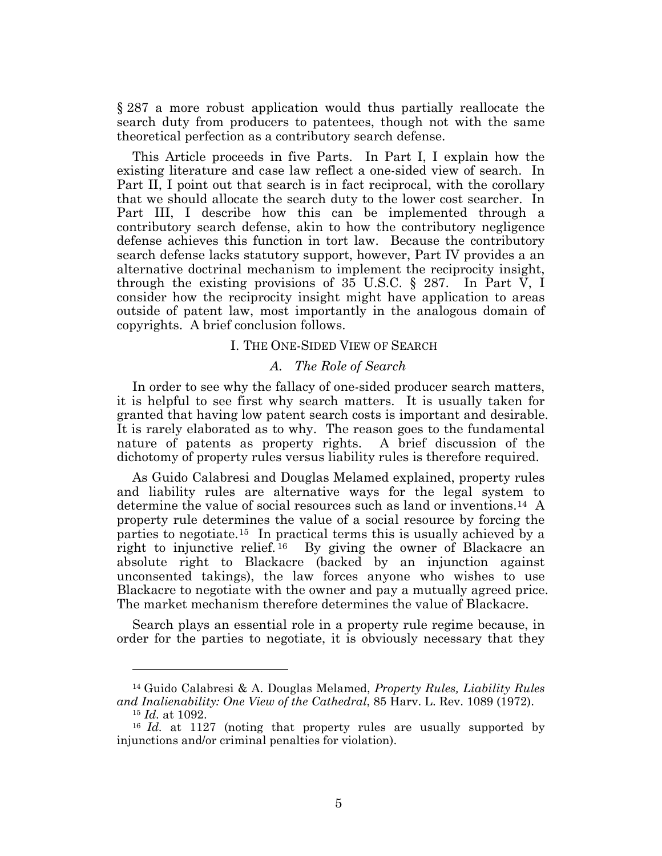<span id="page-4-0"></span>§ 287 a more robust application would thus partially reallocate the search duty from producers to patentees, though not with the same theoretical perfection as a contributory search defense.

This Article proceeds in five Parts. In Part [I](#page-4-1), I explain how the existing literature and case law reflect a one-sided view of search. In Part [II,](#page-16-1) I point out that search is in fact reciprocal, with the corollary that we should allocate the search duty to the lower cost searcher. In Part [III,](#page-19-1) I describe how this can be implemented through a contributory search defense, akin to how the contributory negligence defense achieves this function in tort law. Because the contributory search defense lacks statutory support, however, Part [IV](#page-40-1) provides a an alternative doctrinal mechanism to implement the reciprocity insight, through the existing provisions of 35 U.S.C. § 287. In Part [V,](#page-48-1) I consider how the reciprocity insight might have application to areas outside of patent law, most importantly in the analogous domain of copyrights. A brief conclusion follows.

## I. THE ONE-SIDED VIEW OF SEARCH

### *A. The Role of Search*

<span id="page-4-1"></span>In order to see why the fallacy of one-sided producer search matters, it is helpful to see first why search matters. It is usually taken for granted that having low patent search costs is important and desirable. It is rarely elaborated as to why. The reason goes to the fundamental nature of patents as property rights. A brief discussion of the dichotomy of property rules versus liability rules is therefore required.

As Guido Calabresi and Douglas Melamed explained, property rules and liability rules are alternative ways for the legal system to determine the value of social resources such as land or inventions.[14](#page-4-2) A property rule determines the value of a social resource by forcing the parties to negotiate.[15](#page-4-3) In practical terms this is usually achieved by a right to injunctive relief. [16](#page-4-4) By giving the owner of Blackacre an absolute right to Blackacre (backed by an injunction against unconsented takings), the law forces anyone who wishes to use Blackacre to negotiate with the owner and pay a mutually agreed price. The market mechanism therefore determines the value of Blackacre.

Search plays an essential role in a property rule regime because, in order for the parties to negotiate, it is obviously necessary that they

<span id="page-4-2"></span><sup>14</sup> Guido Calabresi & A. Douglas Melamed, *Property Rules, Liability Rules and Inalienability: One View of the Cathedral*, 85 Harv. L. Rev. 1089 (1972). <sup>15</sup> *Id.* at 1092.

<span id="page-4-4"></span><span id="page-4-3"></span><sup>16</sup> *Id.* at 1127 (noting that property rules are usually supported by injunctions and/or criminal penalties for violation).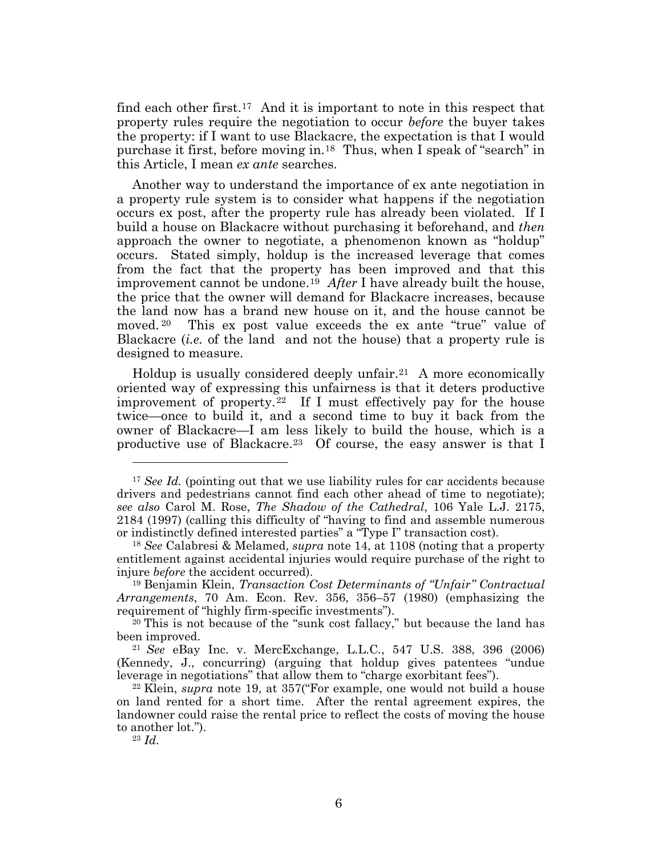find each other first.<sup>[17](#page-5-0)</sup> And it is important to note in this respect that property rules require the negotiation to occur *before* the buyer takes the property: if I want to use Blackacre, the expectation is that I would purchase it first, before moving in.[18](#page-5-1) Thus, when I speak of "search" in this Article, I mean *ex ante* searches.

Another way to understand the importance of ex ante negotiation in a property rule system is to consider what happens if the negotiation occurs ex post, after the property rule has already been violated. If I build a house on Blackacre without purchasing it beforehand, and *then* approach the owner to negotiate, a phenomenon known as "holdup" occurs. Stated simply, holdup is the increased leverage that comes from the fact that the property has been improved and that this improvement cannot be undone.[19](#page-5-2) *After* I have already built the house, the price that the owner will demand for Blackacre increases, because the land now has a brand new house on it, and the house cannot be moved. [20](#page-5-3) This ex post value exceeds the ex ante "true" value of Blackacre (*i.e.* of the land and not the house) that a property rule is designed to measure.

Holdup is usually considered deeply unfair.<sup>[21](#page-5-4)</sup> A more economically oriented way of expressing this unfairness is that it deters productive improvement of property.<sup>[22](#page-5-5)</sup> If I must effectively pay for the house twice—once to build it, and a second time to buy it back from the owner of Blackacre—I am less likely to build the house, which is a productive use of Blackacre.[23](#page-5-6) Of course, the easy answer is that I

<sup>23</sup> *Id.*

<span id="page-5-0"></span><sup>&</sup>lt;sup>17</sup> *See Id.* (pointing out that we use liability rules for car accidents because drivers and pedestrians cannot find each other ahead of time to negotiate); *see also* Carol M. Rose, *The Shadow of the Cathedral*, 106 Yale L.J. 2175, 2184 (1997) (calling this difficulty of "having to find and assemble numerous or indistinctly defined interested parties" a "Type I" transaction cost).

<span id="page-5-1"></span><sup>18</sup> *See* Calabresi & Melamed, *supra* note 14, at 1108 (noting that a property entitlement against accidental injuries would require purchase of the right to injure *before* the accident occurred).

<span id="page-5-2"></span><sup>19</sup> Benjamin Klein, *Transaction Cost Determinants of "Unfair" Contractual Arrangements*, 70 Am. Econ. Rev. 356, 356–57 (1980) (emphasizing the requirement of "highly firm-specific investments").

<span id="page-5-3"></span><sup>&</sup>lt;sup>20</sup> This is not because of the "sunk cost fallacy," but because the land has been improved.

<span id="page-5-4"></span><sup>21</sup> *See* eBay Inc. v. MercExchange, L.L.C., 547 U.S. 388, 396 (2006) (Kennedy, J., concurring) (arguing that holdup gives patentees "undue leverage in negotiations" that allow them to "charge exorbitant fees").

<span id="page-5-6"></span><span id="page-5-5"></span><sup>22</sup> Klein, *supra* note 19, at 357("For example, one would not build a house on land rented for a short time. After the rental agreement expires, the landowner could raise the rental price to reflect the costs of moving the house to another lot.").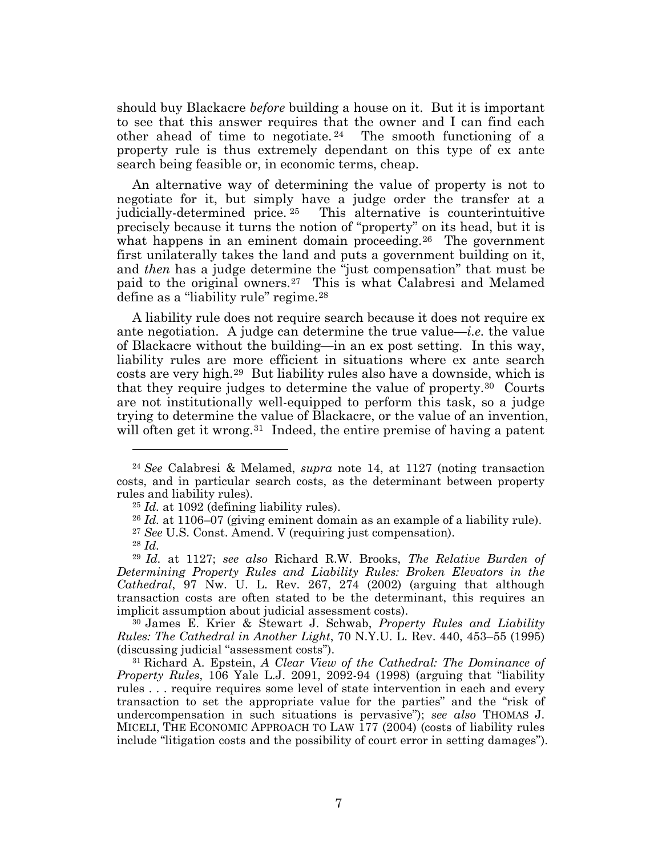should buy Blackacre *before* building a house on it. But it is important to see that this answer requires that the owner and I can find each other ahead of time to negotiate. [24](#page-6-0) The smooth functioning of a property rule is thus extremely dependant on this type of ex ante search being feasible or, in economic terms, cheap.

An alternative way of determining the value of property is not to negotiate for it, but simply have a judge order the transfer at a judicially-determined price.  $25$  This alternative is counterintuitive precisely because it turns the notion of "property" on its head, but it is what happens in an eminent domain proceeding.<sup>[26](#page-6-2)</sup> The government first unilaterally takes the land and puts a government building on it, and *then* has a judge determine the "just compensation" that must be paid to the original owners.[27](#page-6-3) This is what Calabresi and Melamed define as a "liability rule" regime.<sup>[28](#page-6-4)</sup>

A liability rule does not require search because it does not require ex ante negotiation. A judge can determine the true value—*i.e.* the value of Blackacre without the building—in an ex post setting. In this way, liability rules are more efficient in situations where ex ante search costs are very high.[29](#page-6-5) But liability rules also have a downside, which is that they require judges to determine the value of property.[30](#page-6-6) Courts are not institutionally well-equipped to perform this task, so a judge trying to determine the value of Blackacre, or the value of an invention, will often get it wrong.<sup>[31](#page-6-7)</sup> Indeed, the entire premise of having a patent

<span id="page-6-6"></span>30 James E. Krier & Stewart J. Schwab, *Property Rules and Liability Rules: The Cathedral in Another Light*, 70 N.Y.U. L. Rev. 440, 453–55 (1995) (discussing judicial "assessment costs").

<span id="page-6-7"></span>31 Richard A. Epstein, *A Clear View of the Cathedral: The Dominance of Property Rules*, 106 Yale L.J. 2091, 2092-94 (1998) (arguing that "liability rules . . . require requires some level of state intervention in each and every transaction to set the appropriate value for the parties" and the "risk of undercompensation in such situations is pervasive"); *see also* THOMAS J. MICELI, THE ECONOMIC APPROACH TO LAW 177 (2004) (costs of liability rules include "litigation costs and the possibility of court error in setting damages").

<span id="page-6-1"></span><span id="page-6-0"></span><sup>24</sup> *See* Calabresi & Melamed, *supra* note 14, at 1127 (noting transaction costs, and in particular search costs, as the determinant between property rules and liability rules).

<sup>25</sup> *Id.* at 1092 (defining liability rules).

<sup>26</sup> *Id.* at 1106–07 (giving eminent domain as an example of a liability rule). <sup>27</sup> *See* U.S. Const. Amend. V (requiring just compensation).

<sup>28</sup> *Id.*

<span id="page-6-5"></span><span id="page-6-4"></span><span id="page-6-3"></span><span id="page-6-2"></span><sup>29</sup> *Id.* at 1127; *see also* Richard R.W. Brooks, *The Relative Burden of Determining Property Rules and Liability Rules: Broken Elevators in the Cathedral*, 97 Nw. U. L. Rev. 267, 274 (2002) (arguing that although transaction costs are often stated to be the determinant, this requires an implicit assumption about judicial assessment costs).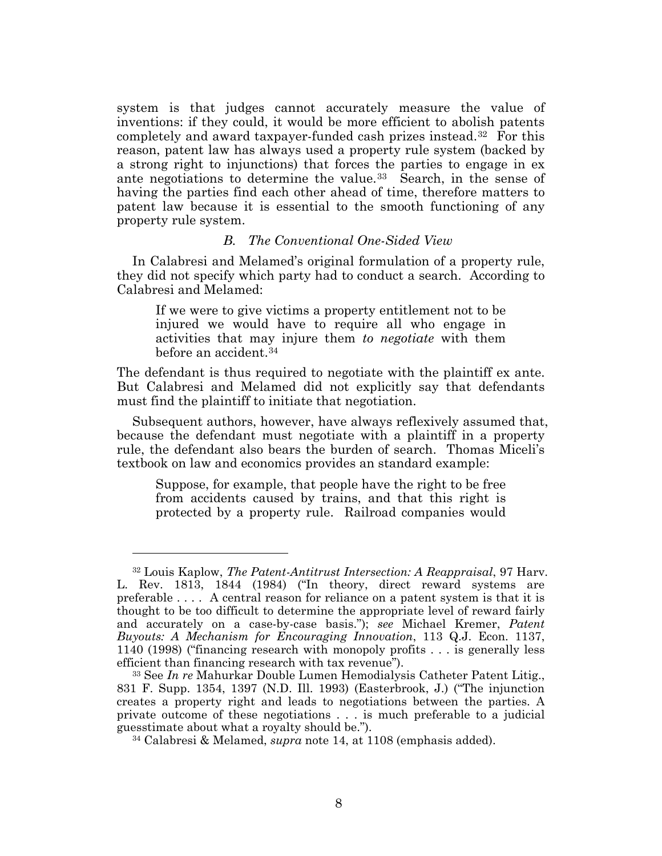<span id="page-7-0"></span>system is that judges cannot accurately measure the value of inventions: if they could, it would be more efficient to abolish patents completely and award taxpayer-funded cash prizes instead.[32](#page-7-1) For this reason, patent law has always used a property rule system (backed by a strong right to injunctions) that forces the parties to engage in ex ante negotiations to determine the value.[33](#page-7-2) Search, in the sense of having the parties find each other ahead of time, therefore matters to patent law because it is essential to the smooth functioning of any property rule system.

#### *B. The Conventional One-Sided View*

In Calabresi and Melamed's original formulation of a property rule, they did not specify which party had to conduct a search. According to Calabresi and Melamed:

If we were to give victims a property entitlement not to be injured we would have to require all who engage in activities that may injure them *to negotiate* with them before an accident[.34](#page-7-3)

The defendant is thus required to negotiate with the plaintiff ex ante. But Calabresi and Melamed did not explicitly say that defendants must find the plaintiff to initiate that negotiation.

Subsequent authors, however, have always reflexively assumed that, because the defendant must negotiate with a plaintiff in a property rule, the defendant also bears the burden of search. Thomas Miceli's textbook on law and economics provides an standard example:

Suppose, for example, that people have the right to be free from accidents caused by trains, and that this right is protected by a property rule. Railroad companies would

<span id="page-7-1"></span><sup>32</sup> Louis Kaplow, *The Patent-Antitrust Intersection: A Reappraisal*, 97 Harv. L. Rev. 1813, 1844 (1984) ("In theory, direct reward systems are preferable . . . . A central reason for reliance on a patent system is that it is thought to be too difficult to determine the appropriate level of reward fairly and accurately on a case-by-case basis."); *see* Michael Kremer, *Patent Buyouts: A Mechanism for Encouraging Innovation*, 113 Q.J. Econ. 1137, 1140 (1998) ("financing research with monopoly profits . . . is generally less efficient than financing research with tax revenue").

<span id="page-7-2"></span><sup>33</sup> See *In re* Mahurkar Double Lumen Hemodialysis Catheter Patent Litig., 831 F. Supp. 1354, 1397 (N.D. Ill. 1993) (Easterbrook, J.) ("The injunction creates a property right and leads to negotiations between the parties. A private outcome of these negotiations . . . is much preferable to a judicial guesstimate about what a royalty should be.").

<span id="page-7-3"></span><sup>34</sup> Calabresi & Melamed, *supra* note 14, at 1108 (emphasis added).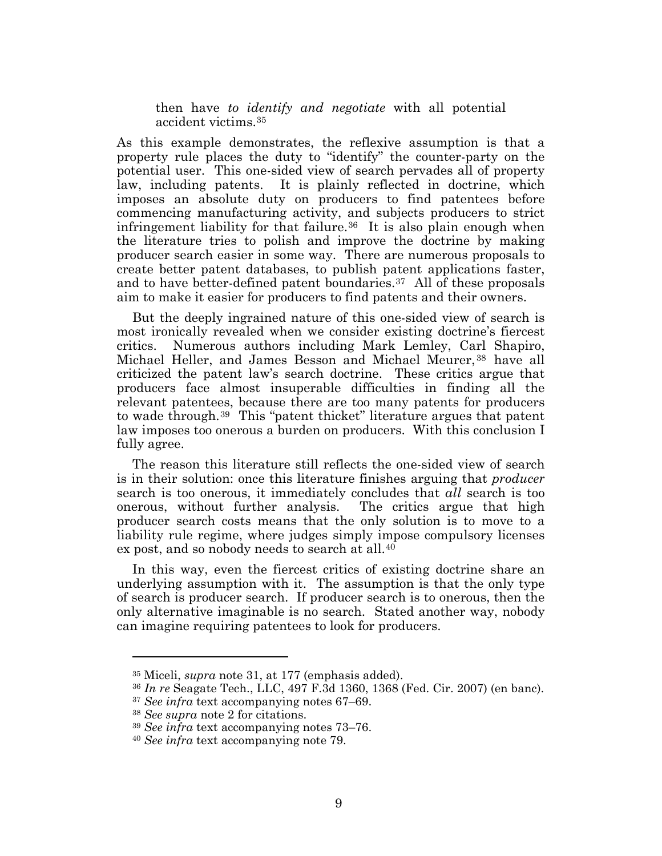then have *to identify and negotiate* with all potential accident victims[.35](#page-8-0)

As this example demonstrates, the reflexive assumption is that a property rule places the duty to "identify" the counter-party on the potential user. This one-sided view of search pervades all of property law, including patents. It is plainly reflected in doctrine, which imposes an absolute duty on producers to find patentees before commencing manufacturing activity, and subjects producers to strict infringement liability for that failure. $36$  It is also plain enough when the literature tries to polish and improve the doctrine by making producer search easier in some way. There are numerous proposals to create better patent databases, to publish patent applications faster, and to have better-defined patent boundaries.[37](#page-8-2) All of these proposals aim to make it easier for producers to find patents and their owners.

But the deeply ingrained nature of this one-sided view of search is most ironically revealed when we consider existing doctrine's fiercest critics. Numerous authors including Mark Lemley, Carl Shapiro, Michael Heller, and James Besson and Michael Meurer, [38](#page-8-3) have all criticized the patent law's search doctrine. These critics argue that producers face almost insuperable difficulties in finding all the relevant patentees, because there are too many patents for producers to wade through.[39](#page-8-4) This "patent thicket" literature argues that patent law imposes too onerous a burden on producers. With this conclusion I fully agree.

The reason this literature still reflects the one-sided view of search is in their solution: once this literature finishes arguing that *producer* search is too onerous, it immediately concludes that *all* search is too onerous, without further analysis. The critics argue that high producer search costs means that the only solution is to move to a liability rule regime, where judges simply impose compulsory licenses ex post, and so nobody needs to search at all.[40](#page-8-5)

In this way, even the fiercest critics of existing doctrine share an underlying assumption with it. The assumption is that the only type of search is producer search. If producer search is to onerous, then the only alternative imaginable is no search. Stated another way, nobody can imagine requiring patentees to look for producers.

<span id="page-8-1"></span><span id="page-8-0"></span><sup>35</sup> Miceli, *supra* note 31, at 177 (emphasis added).

<sup>36</sup> *In re* Seagate Tech., LLC, 497 F.3d 1360, 1368 (Fed. Cir. 2007) (en banc).

<sup>37</sup> *See infra* text accompanying notes 67–69.

<span id="page-8-4"></span><span id="page-8-3"></span><span id="page-8-2"></span><sup>38</sup> *See supra* note 2 for citations.

<sup>39</sup> *See infra* text accompanying notes 73–76.

<span id="page-8-5"></span><sup>40</sup> *See infra* text accompanying note 79.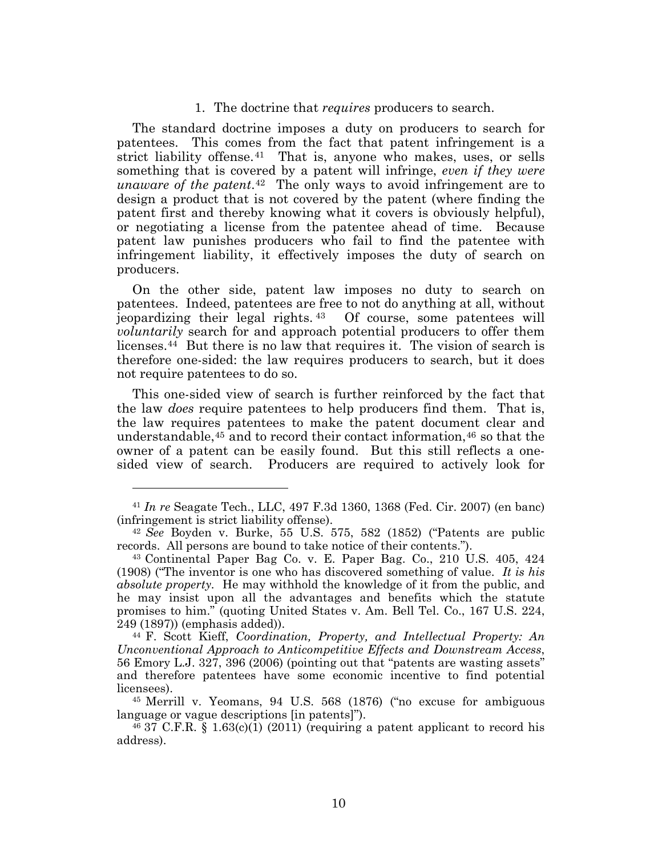#### 1. The doctrine that *requires* producers to search.

<span id="page-9-0"></span>The standard doctrine imposes a duty on producers to search for patentees. This comes from the fact that patent infringement is a strict liability offense.<sup>[41](#page-9-1)</sup> That is, anyone who makes, uses, or sells something that is covered by a patent will infringe, *even if they were unaware of the patent*.[42](#page-9-2) The only ways to avoid infringement are to design a product that is not covered by the patent (where finding the patent first and thereby knowing what it covers is obviously helpful), or negotiating a license from the patentee ahead of time. Because patent law punishes producers who fail to find the patentee with infringement liability, it effectively imposes the duty of search on producers.

On the other side, patent law imposes no duty to search on patentees. Indeed, patentees are free to not do anything at all, without jeopardizing their legal rights. [43](#page-9-3) Of course, some patentees will *voluntarily* search for and approach potential producers to offer them licenses.[44](#page-9-4) But there is no law that requires it. The vision of search is therefore one-sided: the law requires producers to search, but it does not require patentees to do so.

This one-sided view of search is further reinforced by the fact that the law *does* require patentees to help producers find them. That is, the law requires patentees to make the patent document clear and understandable,  $45$  and to record their contact information,  $46$  so that the owner of a patent can be easily found. But this still reflects a onesided view of search. Producers are required to actively look for

<span id="page-9-1"></span><sup>41</sup> *In re* Seagate Tech., LLC, 497 F.3d 1360, 1368 (Fed. Cir. 2007) (en banc) (infringement is strict liability offense).

<span id="page-9-2"></span><sup>42</sup> *See* Boyden v. Burke, 55 U.S. 575, 582 (1852) ("Patents are public records. All persons are bound to take notice of their contents.").

<span id="page-9-3"></span><sup>43</sup> Continental Paper Bag Co. v. E. Paper Bag. Co., 210 U.S. 405, 424 (1908) ("The inventor is one who has discovered something of value. *It is his absolute property.* He may withhold the knowledge of it from the public, and he may insist upon all the advantages and benefits which the statute promises to him." (quoting United States v. Am. Bell Tel. Co., 167 U.S. 224, 249 (1897)) (emphasis added)).

<span id="page-9-4"></span><sup>44</sup> F. Scott Kieff, *Coordination, Property, and Intellectual Property: An Unconventional Approach to Anticompetitive Effects and Downstream Access*, 56 Emory L.J. 327, 396 (2006) (pointing out that "patents are wasting assets" and therefore patentees have some economic incentive to find potential licensees).

<span id="page-9-5"></span><sup>45</sup> Merrill v. Yeomans, 94 U.S. 568 (1876) ("no excuse for ambiguous language or vague descriptions [in patents]").

<span id="page-9-6"></span> $46\,37$  C.F.R. § 1.63(c)(1) (2011) (requiring a patent applicant to record his address).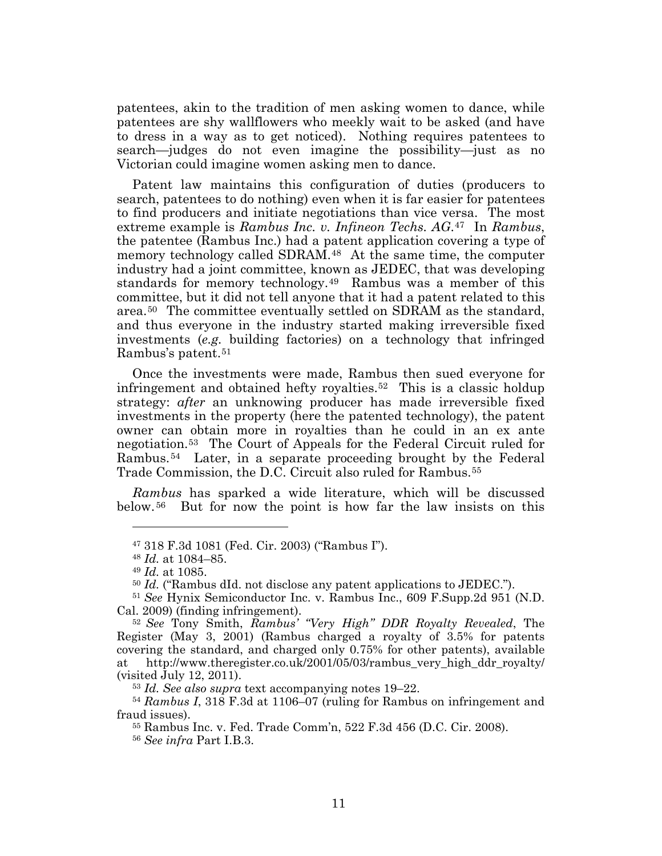patentees, akin to the tradition of men asking women to dance, while patentees are shy wallflowers who meekly wait to be asked (and have to dress in a way as to get noticed). Nothing requires patentees to search—judges do not even imagine the possibility—just as no Victorian could imagine women asking men to dance.

Patent law maintains this configuration of duties (producers to search, patentees to do nothing) even when it is far easier for patentees to find producers and initiate negotiations than vice versa. The most extreme example is *Rambus Inc. v. Infineon Techs. AG*.[47](#page-10-0) In *Rambus*, the patentee (Rambus Inc.) had a patent application covering a type of memory technology called SDRAM.<sup>[48](#page-10-1)</sup> At the same time, the computer industry had a joint committee, known as JEDEC, that was developing standards for memory technology.[49](#page-10-2) Rambus was a member of this committee, but it did not tell anyone that it had a patent related to this area.[50](#page-10-3) The committee eventually settled on SDRAM as the standard, and thus everyone in the industry started making irreversible fixed investments (*e.g.* building factories) on a technology that infringed Rambus's patent.[51](#page-10-4)

Once the investments were made, Rambus then sued everyone for infringement and obtained hefty royalties.<sup>[52](#page-10-5)</sup> This is a classic holdup strategy: *after* an unknowing producer has made irreversible fixed investments in the property (here the patented technology), the patent owner can obtain more in royalties than he could in an ex ante negotiation.[53](#page-10-6) The Court of Appeals for the Federal Circuit ruled for Rambus.[54](#page-10-7) Later, in a separate proceeding brought by the Federal Trade Commission, the D.C. Circuit also ruled for Rambus.[55](#page-10-8)

<span id="page-10-0"></span>*Rambus* has sparked a wide literature, which will be discussed below. [56](#page-10-9) But for now the point is how far the law insists on this

<span id="page-10-4"></span><span id="page-10-3"></span><span id="page-10-2"></span><span id="page-10-1"></span><sup>51</sup> *See* Hynix Semiconductor Inc. v. Rambus Inc., 609 F.Supp.2d 951 (N.D. Cal. 2009) (finding infringement).

<sup>53</sup> *Id. See also supra* text accompanying notes 19–22.

<span id="page-10-9"></span><span id="page-10-8"></span><span id="page-10-7"></span><span id="page-10-6"></span><sup>54</sup> *Rambus I*, 318 F.3d at 1106–07 (ruling for Rambus on infringement and fraud issues).

55 Rambus Inc. v. Fed. Trade Comm'n, 522 F.3d 456 (D.C. Cir. 2008).

<sup>47 318</sup> F.3d 1081 (Fed. Cir. 2003) ("Rambus I").

<sup>48</sup> *Id.* at 1084–85.

<sup>49</sup> *Id.* at 1085.

<sup>50</sup> *Id.* ("Rambus dId. not disclose any patent applications to JEDEC.").

<span id="page-10-5"></span><sup>52</sup> *See* Tony Smith, *Rambus' "Very High" DDR Royalty Revealed*, The Register (May 3, 2001) (Rambus charged a royalty of 3.5% for patents covering the standard, and charged only 0.75% for other patents), available at http://www.theregister.co.uk/2001/05/03/rambus\_very\_high\_ddr\_royalty/ (visited July 12, 2011).

<sup>56</sup> *See infra* Part I.B.3.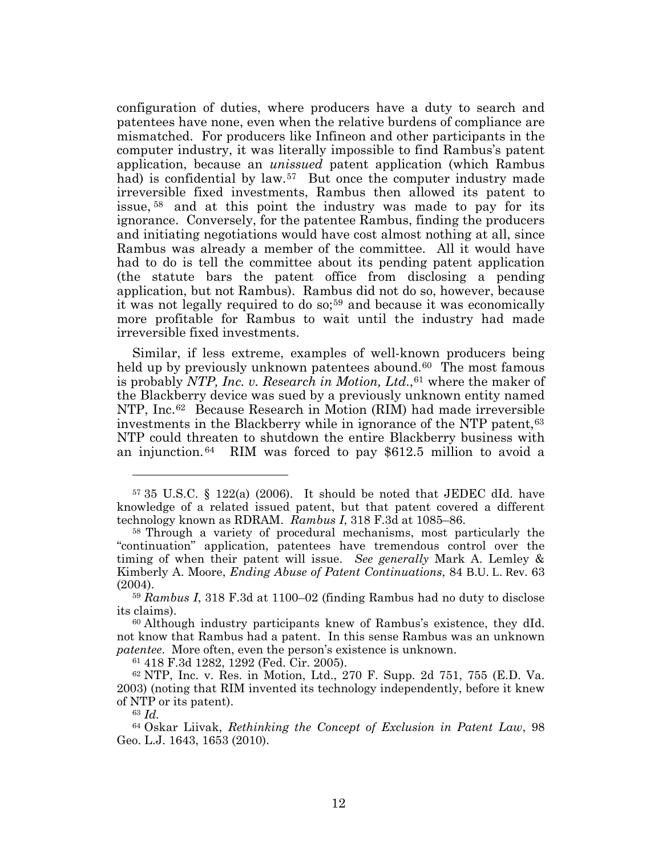configuration of duties, where producers have a duty to search and patentees have none, even when the relative burdens of compliance are mismatched. For producers like Infineon and other participants in the computer industry, it was literally impossible to find Rambus's patent application, because an *unissued* patent application (which Rambus had) is confidential by law.<sup>[57](#page-11-0)</sup> But once the computer industry made irreversible fixed investments, Rambus then allowed its patent to issue, [58](#page-11-1) and at this point the industry was made to pay for its ignorance. Conversely, for the patentee Rambus, finding the producers and initiating negotiations would have cost almost nothing at all, since Rambus was already a member of the committee. All it would have had to do is tell the committee about its pending patent application (the statute bars the patent office from disclosing a pending application, but not Rambus). Rambus did not do so, however, because it was not legally required to do so;[59](#page-11-2) and because it was economically more profitable for Rambus to wait until the industry had made irreversible fixed investments.

Similar, if less extreme, examples of well-known producers being held up by previously unknown patentees abound.<sup>[60](#page-11-3)</sup> The most famous is probably *NTP*, *Inc. v. Research in Motion, Ltd.*,<sup>[61](#page-11-4)</sup> where the maker of the Blackberry device was sued by a previously unknown entity named NTP, Inc.[62](#page-11-5) Because Research in Motion (RIM) had made irreversible investments in the Blackberry while in ignorance of the NTP patent, <sup>[63](#page-11-6)</sup> NTP could threaten to shutdown the entire Blackberry business with an injunction. [64](#page-11-7) RIM was forced to pay \$612.5 million to avoid a

<span id="page-11-0"></span> $57$  35 U.S.C. § 122(a) (2006). It should be noted that JEDEC dId. have knowledge of a related issued patent, but that patent covered a different technology known as RDRAM. *Rambus I*, 318 F.3d at 1085–86.

<span id="page-11-1"></span><sup>58</sup> Through a variety of procedural mechanisms, most particularly the "continuation" application, patentees have tremendous control over the timing of when their patent will issue. *See generally* Mark A. Lemley & Kimberly A. Moore, *Ending Abuse of Patent Continuations*, 84 B.U. L. Rev. 63 (2004).

<span id="page-11-2"></span><sup>59</sup> *Rambus I*, 318 F.3d at 1100–02 (finding Rambus had no duty to disclose its claims).

<span id="page-11-3"></span><sup>60</sup> Although industry participants knew of Rambus's existence, they dId. not know that Rambus had a patent. In this sense Rambus was an unknown *patentee*. More often, even the person's existence is unknown.

<sup>61 418</sup> F.3d 1282, 1292 (Fed. Cir. 2005).

<span id="page-11-5"></span><span id="page-11-4"></span> $62$  NTP, Inc. v. Res. in Motion, Ltd., 270 F. Supp. 2d  $751$ ,  $755$  (E.D. Va. 2003) (noting that RIM invented its technology independently, before it knew of NTP or its patent).

<sup>63</sup> *Id.*

<span id="page-11-7"></span><span id="page-11-6"></span><sup>64</sup> Oskar Liivak, *Rethinking the Concept of Exclusion in Patent Law*, 98 Geo. L.J. 1643, 1653 (2010).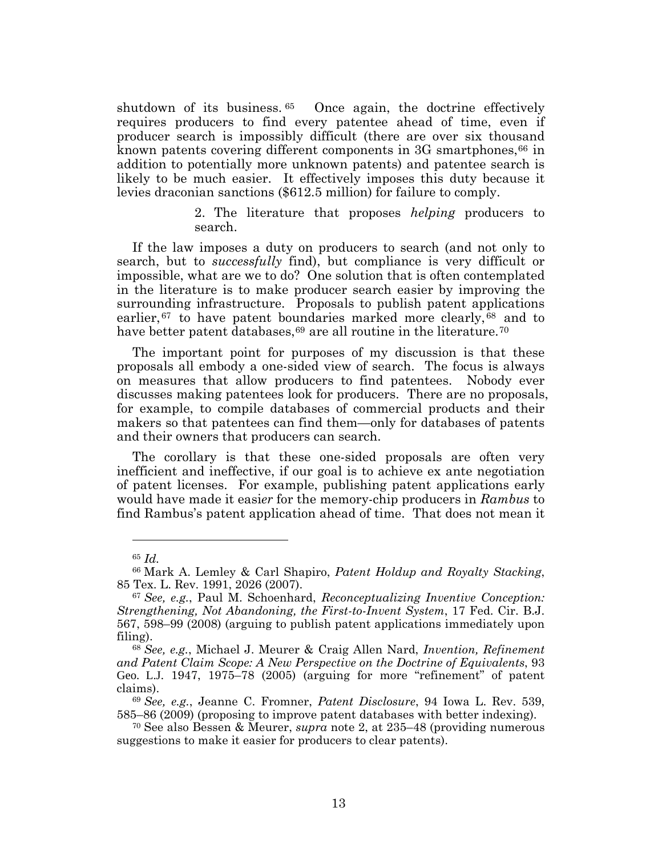<span id="page-12-0"></span>shutdown of its business.<sup>[65](#page-12-1)</sup> Once again, the doctrine effectively requires producers to find every patentee ahead of time, even if producer search is impossibly difficult (there are over six thousand known patents covering different components in  $3G$  smartphones,  $66$  in addition to potentially more unknown patents) and patentee search is likely to be much easier. It effectively imposes this duty because it levies draconian sanctions (\$612.5 million) for failure to comply.

### 2. The literature that proposes *helping* producers to search.

If the law imposes a duty on producers to search (and not only to search, but to *successfully* find), but compliance is very difficult or impossible, what are we to do? One solution that is often contemplated in the literature is to make producer search easier by improving the surrounding infrastructure. Proposals to publish patent applications earlier,<sup>[67](#page-12-3)</sup> to have patent boundaries marked more clearly,<sup>[68](#page-12-4)</sup> and to have better patent databases,  $69$  are all routine in the literature.  $70$ 

The important point for purposes of my discussion is that these proposals all embody a one-sided view of search. The focus is always on measures that allow producers to find patentees. Nobody ever discusses making patentees look for producers. There are no proposals, for example, to compile databases of commercial products and their makers so that patentees can find them—only for databases of patents and their owners that producers can search.

The corollary is that these one-sided proposals are often very inefficient and ineffective, if our goal is to achieve ex ante negotiation of patent licenses. For example, publishing patent applications early would have made it easi*er* for the memory-chip producers in *Rambus* to find Rambus's patent application ahead of time. That does not mean it

<sup>65</sup> *Id.*

<span id="page-12-2"></span><span id="page-12-1"></span><sup>66</sup> Mark A. Lemley & Carl Shapiro, *Patent Holdup and Royalty Stacking*, 85 Tex. L. Rev. 1991, 2026 (2007).

<span id="page-12-3"></span><sup>67</sup> *See, e.g.*, Paul M. Schoenhard, *Reconceptualizing Inventive Conception: Strengthening, Not Abandoning, the First-to-Invent System*, 17 Fed. Cir. B.J. 567, 598–99 (2008) (arguing to publish patent applications immediately upon filing).

<span id="page-12-4"></span><sup>68</sup> *See, e.g.*, Michael J. Meurer & Craig Allen Nard, *Invention, Refinement and Patent Claim Scope: A New Perspective on the Doctrine of Equivalents*, 93 Geo. L.J. 1947, 1975–78 (2005) (arguing for more "refinement" of patent claims).

<span id="page-12-5"></span><sup>69</sup> *See, e.g.*, Jeanne C. Fromner, *Patent Disclosure*, 94 Iowa L. Rev. 539, 585–86 (2009) (proposing to improve patent databases with better indexing).

<span id="page-12-6"></span><sup>70</sup> See also Bessen & Meurer, *supra* note 2, at 235–48 (providing numerous suggestions to make it easier for producers to clear patents).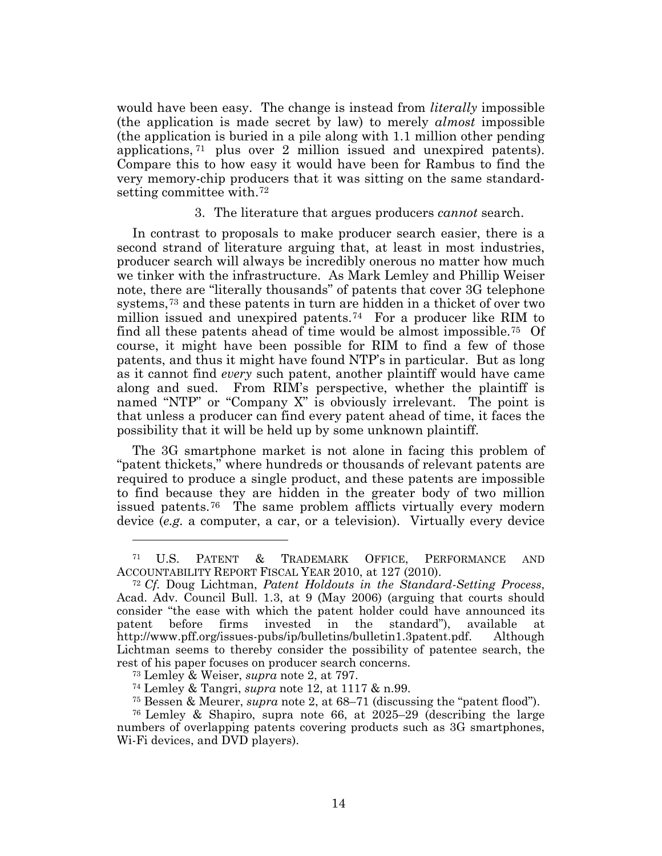<span id="page-13-0"></span>would have been easy. The change is instead from *literally* impossible (the application is made secret by law) to merely *almost* impossible (the application is buried in a pile along with 1.1 million other pending applications,  $71$  plus over 2 million issued and unexpired patents). Compare this to how easy it would have been for Rambus to find the very memory-chip producers that it was sitting on the same standardsetting committee with.[72](#page-13-2)

#### 3. The literature that argues producers *cannot* search.

In contrast to proposals to make producer search easier, there is a second strand of literature arguing that, at least in most industries, producer search will always be incredibly onerous no matter how much we tinker with the infrastructure. As Mark Lemley and Phillip Weiser note, there are "literally thousands" of patents that cover 3G telephone systems,[73](#page-13-3) and these patents in turn are hidden in a thicket of over two million issued and unexpired patents.<sup>[74](#page-13-4)</sup> For a producer like RIM to find all these patents ahead of time would be almost impossible.[75](#page-13-5) Of course, it might have been possible for RIM to find a few of those patents, and thus it might have found NTP's in particular. But as long as it cannot find *every* such patent, another plaintiff would have came along and sued. From RIM's perspective, whether the plaintiff is named "NTP" or "Company X" is obviously irrelevant. The point is that unless a producer can find every patent ahead of time, it faces the possibility that it will be held up by some unknown plaintiff.

The 3G smartphone market is not alone in facing this problem of "patent thickets," where hundreds or thousands of relevant patents are required to produce a single product, and these patents are impossible to find because they are hidden in the greater body of two million issued patents.[76](#page-13-6) The same problem afflicts virtually every modern device (*e.g.* a computer, a car, or a television). Virtually every device

<span id="page-13-1"></span><sup>71</sup> U.S. PATENT & TRADEMARK OFFICE, PERFORMANCE AND ACCOUNTABILITY REPORT FISCAL YEAR 2010, at 127 (2010).

<span id="page-13-2"></span><sup>72</sup> *Cf.* Doug Lichtman, *Patent Holdouts in the Standard-Setting Process*, Acad. Adv. Council Bull. 1.3, at 9 (May 2006) (arguing that courts should consider "the ease with which the patent holder could have announced its patent before firms invested in the standard"), available at http://www.pff.org/issues-pubs/ip/bulletins/bulletin1.3patent.pdf. Although Lichtman seems to thereby consider the possibility of patentee search, the rest of his paper focuses on producer search concerns.

<sup>73</sup> Lemley & Weiser, *supra* note 2, at 797.

<sup>74</sup> Lemley & Tangri, *supra* note 12, at 1117 & n.99.

<sup>75</sup> Bessen & Meurer, *supra* note 2, at 68–71 (discussing the "patent flood").

<span id="page-13-6"></span><span id="page-13-5"></span><span id="page-13-4"></span><span id="page-13-3"></span><sup>&</sup>lt;sup>76</sup> Lemley & Shapiro, supra note 66, at  $2025-29$  (describing the large numbers of overlapping patents covering products such as 3G smartphones, Wi-Fi devices, and DVD players).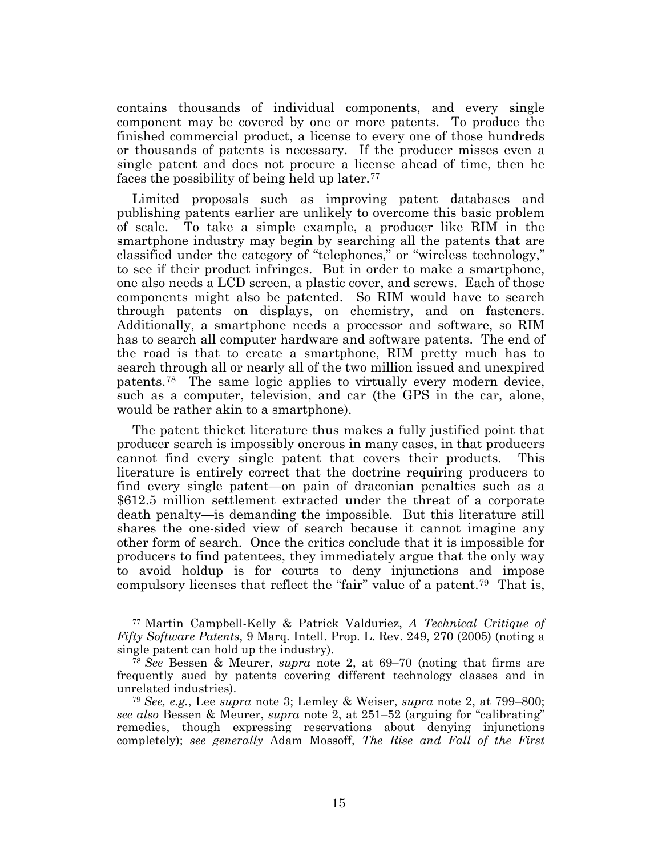contains thousands of individual components, and every single component may be covered by one or more patents. To produce the finished commercial product, a license to every one of those hundreds or thousands of patents is necessary. If the producer misses even a single patent and does not procure a license ahead of time, then he faces the possibility of being held up later.[77](#page-14-0)

Limited proposals such as improving patent databases and publishing patents earlier are unlikely to overcome this basic problem of scale. To take a simple example, a producer like RIM in the smartphone industry may begin by searching all the patents that are classified under the category of "telephones," or "wireless technology," to see if their product infringes. But in order to make a smartphone, one also needs a LCD screen, a plastic cover, and screws. Each of those components might also be patented. So RIM would have to search through patents on displays, on chemistry, and on fasteners. Additionally, a smartphone needs a processor and software, so RIM has to search all computer hardware and software patents. The end of the road is that to create a smartphone, RIM pretty much has to search through all or nearly all of the two million issued and unexpired patents.[78](#page-14-1) The same logic applies to virtually every modern device, such as a computer, television, and car (the GPS in the car, alone, would be rather akin to a smartphone).

The patent thicket literature thus makes a fully justified point that producer search is impossibly onerous in many cases, in that producers cannot find every single patent that covers their products. This literature is entirely correct that the doctrine requiring producers to find every single patent—on pain of draconian penalties such as a \$612.5 million settlement extracted under the threat of a corporate death penalty—is demanding the impossible. But this literature still shares the one-sided view of search because it cannot imagine any other form of search. Once the critics conclude that it is impossible for producers to find patentees, they immediately argue that the only way to avoid holdup is for courts to deny injunctions and impose compulsory licenses that reflect the "fair" value of a patent.<sup>[79](#page-14-2)</sup> That is,

<span id="page-14-0"></span><sup>77</sup> Martin Campbell-Kelly & Patrick Valduriez, *A Technical Critique of Fifty Software Patents*, 9 Marq. Intell. Prop. L. Rev. 249, 270 (2005) (noting a single patent can hold up the industry).

<span id="page-14-1"></span><sup>78</sup> *See* Bessen & Meurer, *supra* note 2, at 69–70 (noting that firms are frequently sued by patents covering different technology classes and in unrelated industries).

<span id="page-14-2"></span><sup>79</sup> *See, e.g.*, Lee *supra* note 3; Lemley & Weiser, *supra* note 2, at 799–800; *see also* Bessen & Meurer, *supra* note 2, at 251–52 (arguing for "calibrating" remedies, though expressing reservations about denying injunctions completely); *see generally* Adam Mossoff, *The Rise and Fall of the First*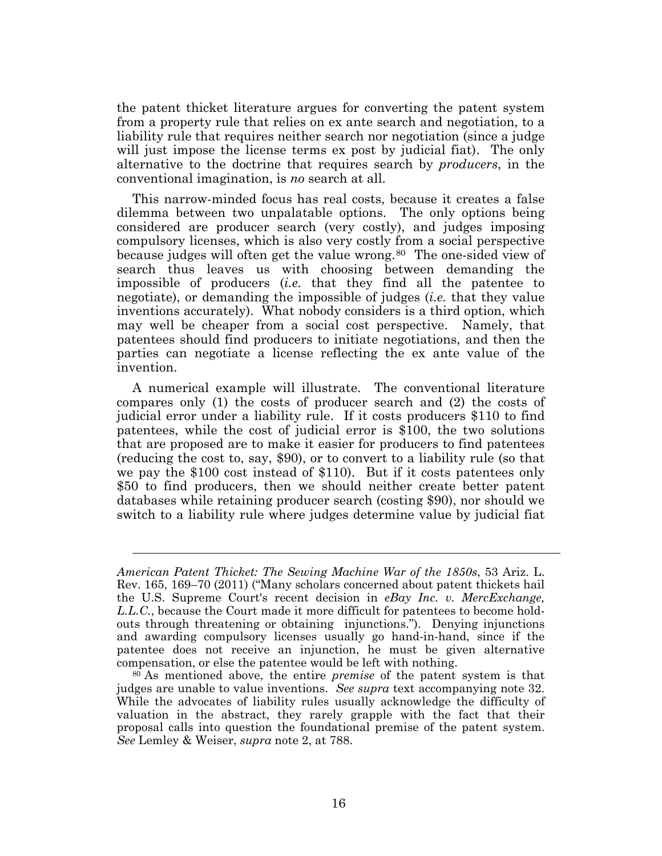the patent thicket literature argues for converting the patent system from a property rule that relies on ex ante search and negotiation, to a liability rule that requires neither search nor negotiation (since a judge will just impose the license terms ex post by judicial fiat). The only alternative to the doctrine that requires search by *producers*, in the conventional imagination, is *no* search at all.

This narrow-minded focus has real costs, because it creates a false dilemma between two unpalatable options. The only options being considered are producer search (very costly), and judges imposing compulsory licenses, which is also very costly from a social perspective because judges will often get the value wrong.<sup>[80](#page-15-0)</sup> The one-sided view of search thus leaves us with choosing between demanding the impossible of producers (*i.e.* that they find all the patentee to negotiate), or demanding the impossible of judges (*i.e.* that they value inventions accurately). What nobody considers is a third option, which may well be cheaper from a social cost perspective. Namely, that patentees should find producers to initiate negotiations, and then the parties can negotiate a license reflecting the ex ante value of the invention.

A numerical example will illustrate. The conventional literature compares only (1) the costs of producer search and (2) the costs of judicial error under a liability rule. If it costs producers \$110 to find patentees, while the cost of judicial error is \$100, the two solutions that are proposed are to make it easier for producers to find patentees (reducing the cost to, say, \$90), or to convert to a liability rule (so that we pay the \$100 cost instead of \$110). But if it costs patentees only \$50 to find producers, then we should neither create better patent databases while retaining producer search (costing \$90), nor should we switch to a liability rule where judges determine value by judicial fiat

*American Patent Thicket: The Sewing Machine War of the 1850s*, 53 Ariz. L. Rev. 165, 169–70 (2011) ("Many scholars concerned about patent thickets hail the U.S. Supreme Court's recent decision in *eBay Inc. v. MercExchange, L.L.C.*, because the Court made it more difficult for patentees to become holdouts through threatening or obtaining injunctions."). Denying injunctions and awarding compulsory licenses usually go hand-in-hand, since if the patentee does not receive an injunction, he must be given alternative compensation, or else the patentee would be left with nothing.

<span id="page-15-0"></span><sup>80</sup> As mentioned above, the entire *premise* of the patent system is that judges are unable to value inventions. *See supra* text accompanying note 32. While the advocates of liability rules usually acknowledge the difficulty of valuation in the abstract, they rarely grapple with the fact that their proposal calls into question the foundational premise of the patent system. *See* Lemley & Weiser, *supra* note 2, at 788.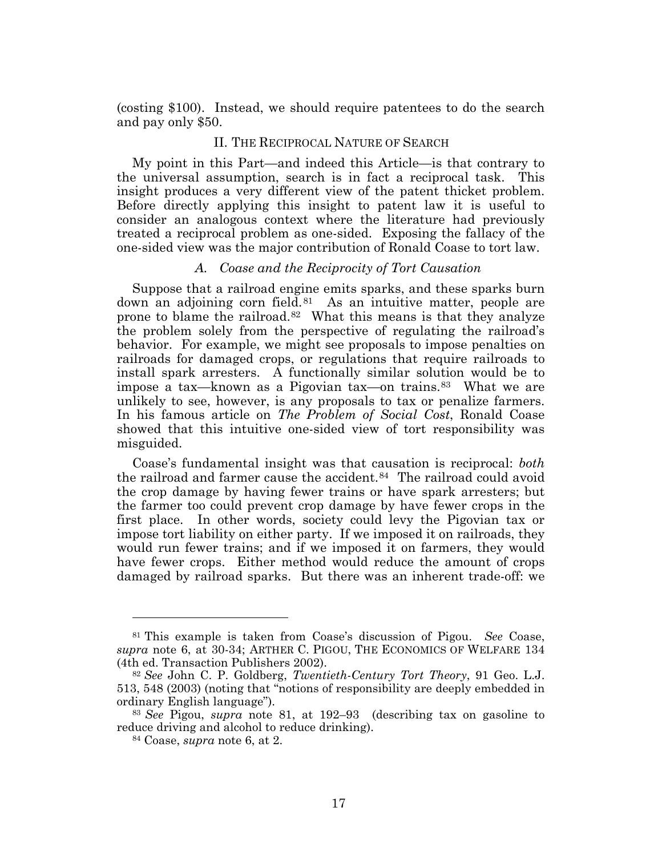<span id="page-16-0"></span>(costing \$100). Instead, we should require patentees to do the search and pay only \$50.

### II. THE RECIPROCAL NATURE OF SEARCH

<span id="page-16-1"></span>My point in this Part—and indeed this Article—is that contrary to the universal assumption, search is in fact a reciprocal task. This insight produces a very different view of the patent thicket problem. Before directly applying this insight to patent law it is useful to consider an analogous context where the literature had previously treated a reciprocal problem as one-sided. Exposing the fallacy of the one-sided view was the major contribution of Ronald Coase to tort law.

#### *A. Coase and the Reciprocity of Tort Causation*

Suppose that a railroad engine emits sparks, and these sparks burn down an adjoining corn field.[81](#page-16-2) As an intuitive matter, people are prone to blame the railroad.[82](#page-16-3) What this means is that they analyze the problem solely from the perspective of regulating the railroad's behavior. For example, we might see proposals to impose penalties on railroads for damaged crops, or regulations that require railroads to install spark arresters. A functionally similar solution would be to impose a tax—known as a Pigovian tax—on trains.[83](#page-16-4) What we are unlikely to see, however, is any proposals to tax or penalize farmers. In his famous article on *The Problem of Social Cost*, Ronald Coase showed that this intuitive one-sided view of tort responsibility was misguided.

Coase's fundamental insight was that causation is reciprocal: *both* the railroad and farmer cause the accident.[84](#page-16-5) The railroad could avoid the crop damage by having fewer trains or have spark arresters; but the farmer too could prevent crop damage by have fewer crops in the first place. In other words, society could levy the Pigovian tax or impose tort liability on either party. If we imposed it on railroads, they would run fewer trains; and if we imposed it on farmers, they would have fewer crops. Either method would reduce the amount of crops damaged by railroad sparks. But there was an inherent trade-off: we

<span id="page-16-2"></span><sup>81</sup> This example is taken from Coase's discussion of Pigou. *See* Coase, *supra* note 6, at 30-34; ARTHER C. PIGOU, THE ECONOMICS OF WELFARE 134 (4th ed. Transaction Publishers 2002).

<span id="page-16-3"></span><sup>82</sup> *See* John C. P. Goldberg, *Twentieth-Century Tort Theory*, 91 Geo. L.J. 513, 548 (2003) (noting that "notions of responsibility are deeply embedded in ordinary English language").

<span id="page-16-5"></span><span id="page-16-4"></span><sup>83</sup> *See* Pigou, *supra* note 81, at 192–93 (describing tax on gasoline to reduce driving and alcohol to reduce drinking).

<sup>84</sup> Coase, *supra* note 6, at 2.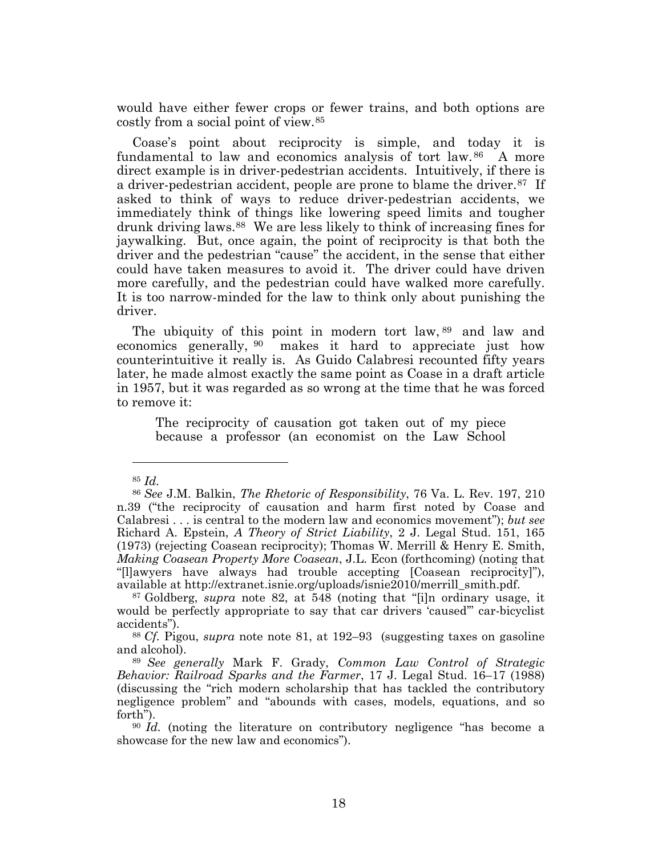would have either fewer crops or fewer trains, and both options are costly from a social point of view.[85](#page-17-0)

Coase's point about reciprocity is simple, and today it is fundamental to law and economics analysis of tort law. [86](#page-17-1) A more direct example is in driver-pedestrian accidents. Intuitively, if there is a driver-pedestrian accident, people are prone to blame the driver.[87](#page-17-2) If asked to think of ways to reduce driver-pedestrian accidents, we immediately think of things like lowering speed limits and tougher drunk driving laws.[88](#page-17-3) We are less likely to think of increasing fines for jaywalking. But, once again, the point of reciprocity is that both the driver and the pedestrian "cause" the accident, in the sense that either could have taken measures to avoid it. The driver could have driven more carefully, and the pedestrian could have walked more carefully. It is too narrow-minded for the law to think only about punishing the driver.

The ubiquity of this point in modern tort law,  $89$  and law and economics generally, [90](#page-17-5) makes it hard to appreciate just how counterintuitive it really is. As Guido Calabresi recounted fifty years later, he made almost exactly the same point as Coase in a draft article in 1957, but it was regarded as so wrong at the time that he was forced to remove it:

The reciprocity of causation got taken out of my piece because a professor (an economist on the Law School

<sup>85</sup> *Id.*

<span id="page-17-1"></span><span id="page-17-0"></span><sup>86</sup> *See* J.M. Balkin, *The Rhetoric of Responsibility*, 76 Va. L. Rev. 197, 210 n.39 ("the reciprocity of causation and harm first noted by Coase and Calabresi . . . is central to the modern law and economics movement"); *but see* Richard A. Epstein, *A Theory of Strict Liability*, 2 J. Legal Stud. 151, 165 (1973) (rejecting Coasean reciprocity); Thomas W. Merrill & Henry E. Smith, *Making Coasean Property More Coasean*, J.L. Econ (forthcoming) (noting that "[l]awyers have always had trouble accepting [Coasean reciprocity]"), available at http://extranet.isnie.org/uploads/isnie2010/merrill\_smith.pdf.

<span id="page-17-2"></span><sup>87</sup> Goldberg, *supra* note 82, at 548 (noting that "[i]n ordinary usage, it would be perfectly appropriate to say that car drivers 'caused'" car-bicyclist accidents").

<span id="page-17-3"></span><sup>88</sup> *Cf.* Pigou, *supra* note note 81, at 192–93 (suggesting taxes on gasoline and alcohol).

<span id="page-17-4"></span><sup>89</sup> *See generally* Mark F. Grady, *Common Law Control of Strategic Behavior: Railroad Sparks and the Farmer*, 17 J. Legal Stud. 16–17 (1988) (discussing the "rich modern scholarship that has tackled the contributory negligence problem" and "abounds with cases, models, equations, and so forth").

<span id="page-17-5"></span><sup>90</sup> *Id.* (noting the literature on contributory negligence "has become a showcase for the new law and economics").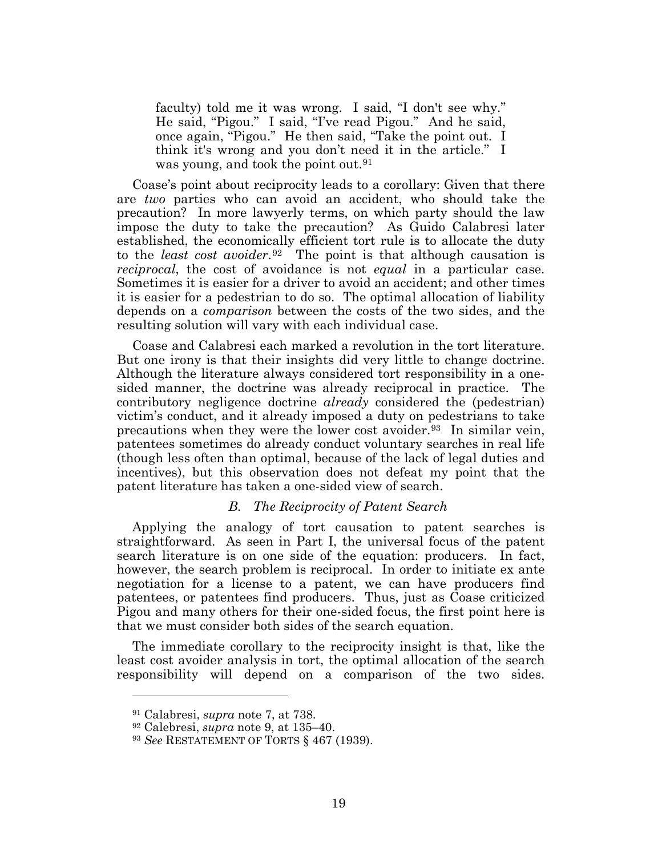<span id="page-18-0"></span>faculty) told me it was wrong. I said, "I don't see why." He said, "Pigou." I said, "I've read Pigou." And he said, once again, "Pigou." He then said, "Take the point out. I think it's wrong and you don't need it in the article." I was young, and took the point out.<sup>[91](#page-18-1)</sup>

Coase's point about reciprocity leads to a corollary: Given that there are *two* parties who can avoid an accident, who should take the precaution? In more lawyerly terms, on which party should the law impose the duty to take the precaution? As Guido Calabresi later established, the economically efficient tort rule is to allocate the duty to the *least cost avoider*.[92](#page-18-2) The point is that although causation is *reciprocal*, the cost of avoidance is not *equal* in a particular case. Sometimes it is easier for a driver to avoid an accident; and other times it is easier for a pedestrian to do so. The optimal allocation of liability depends on a *comparison* between the costs of the two sides, and the resulting solution will vary with each individual case.

Coase and Calabresi each marked a revolution in the tort literature. But one irony is that their insights did very little to change doctrine. Although the literature always considered tort responsibility in a onesided manner, the doctrine was already reciprocal in practice. The contributory negligence doctrine *already* considered the (pedestrian) victim's conduct, and it already imposed a duty on pedestrians to take precautions when they were the lower cost avoider.[93](#page-18-3) In similar vein, patentees sometimes do already conduct voluntary searches in real life (though less often than optimal, because of the lack of legal duties and incentives), but this observation does not defeat my point that the patent literature has taken a one-sided view of search.

## *B. The Reciprocity of Patent Search*

Applying the analogy of tort causation to patent searches is straightforward. As seen in Part [I](#page-4-1), the universal focus of the patent search literature is on one side of the equation: producers. In fact, however, the search problem is reciprocal. In order to initiate ex ante negotiation for a license to a patent, we can have producers find patentees, or patentees find producers. Thus, just as Coase criticized Pigou and many others for their one-sided focus, the first point here is that we must consider both sides of the search equation.

The immediate corollary to the reciprocity insight is that, like the least cost avoider analysis in tort, the optimal allocation of the search responsibility will depend on a comparison of the two sides.

<span id="page-18-1"></span><sup>91</sup> Calabresi, *supra* note 7, at 738.

<sup>92</sup> Calebresi, *supra* note 9, at 135–40.

<span id="page-18-3"></span><span id="page-18-2"></span><sup>93</sup> *See* RESTATEMENT OF TORTS § 467 (1939).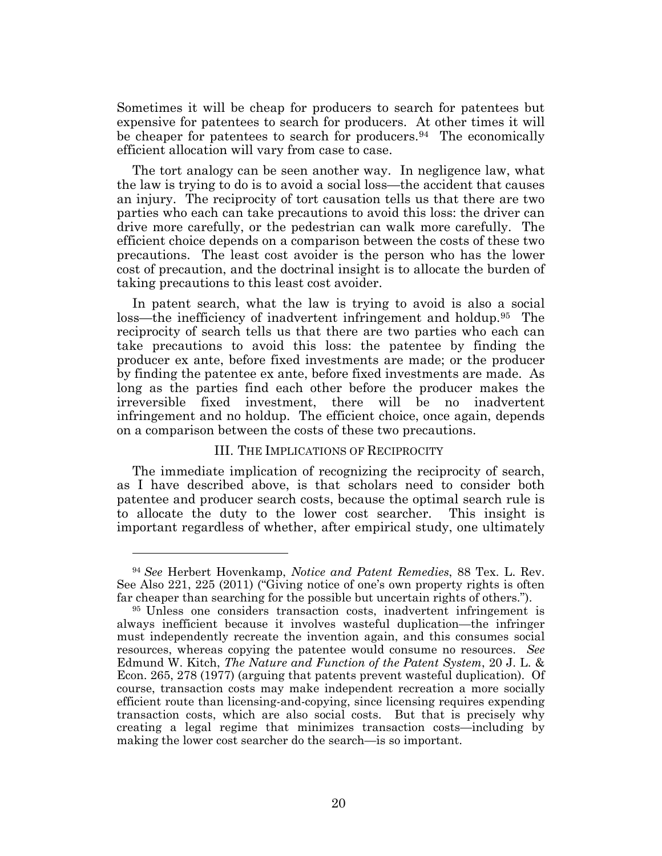<span id="page-19-0"></span>Sometimes it will be cheap for producers to search for patentees but expensive for patentees to search for producers. At other times it will be cheaper for patentees to search for producers.<sup>[94](#page-19-2)</sup> The economically efficient allocation will vary from case to case.

The tort analogy can be seen another way. In negligence law, what the law is trying to do is to avoid a social loss—the accident that causes an injury. The reciprocity of tort causation tells us that there are two parties who each can take precautions to avoid this loss: the driver can drive more carefully, or the pedestrian can walk more carefully. The efficient choice depends on a comparison between the costs of these two precautions. The least cost avoider is the person who has the lower cost of precaution, and the doctrinal insight is to allocate the burden of taking precautions to this least cost avoider.

In patent search, what the law is trying to avoid is also a social loss—the inefficiency of inadvertent infringement and holdup.<sup>[95](#page-19-3)</sup> The reciprocity of search tells us that there are two parties who each can take precautions to avoid this loss: the patentee by finding the producer ex ante, before fixed investments are made; or the producer by finding the patentee ex ante, before fixed investments are made. As long as the parties find each other before the producer makes the irreversible fixed investment, there will be no inadvertent infringement and no holdup. The efficient choice, once again, depends on a comparison between the costs of these two precautions.

#### III. THE IMPLICATIONS OF RECIPROCITY

<span id="page-19-1"></span>The immediate implication of recognizing the reciprocity of search, as I have described above, is that scholars need to consider both patentee and producer search costs, because the optimal search rule is to allocate the duty to the lower cost searcher. This insight is important regardless of whether, after empirical study, one ultimately

<span id="page-19-2"></span><sup>94</sup> *See* Herbert Hovenkamp, *Notice and Patent Remedies*, 88 Tex. L. Rev. See Also 221, 225 (2011) ("Giving notice of one's own property rights is often far cheaper than searching for the possible but uncertain rights of others.").

<span id="page-19-3"></span><sup>95</sup> Unless one considers transaction costs, inadvertent infringement is always inefficient because it involves wasteful duplication—the infringer must independently recreate the invention again, and this consumes social resources, whereas copying the patentee would consume no resources. *See* Edmund W. Kitch, *The Nature and Function of the Patent System*, 20 J. L. & Econ. 265, 278 (1977) (arguing that patents prevent wasteful duplication). Of course, transaction costs may make independent recreation a more socially efficient route than licensing-and-copying, since licensing requires expending transaction costs, which are also social costs. But that is precisely why creating a legal regime that minimizes transaction costs—including by making the lower cost searcher do the search—is so important.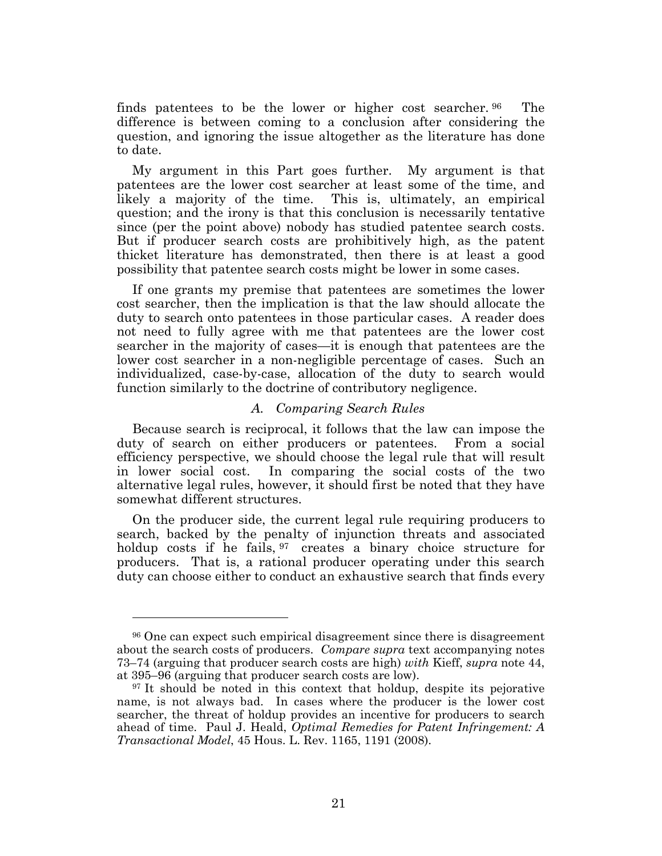<span id="page-20-0"></span>finds patentees to be the lower or higher cost searcher. [96](#page-20-1) The difference is between coming to a conclusion after considering the question, and ignoring the issue altogether as the literature has done to date.

My argument in this Part goes further. My argument is that patentees are the lower cost searcher at least some of the time, and likely a majority of the time. This is, ultimately, an empirical question; and the irony is that this conclusion is necessarily tentative since (per the point above) nobody has studied patentee search costs. But if producer search costs are prohibitively high, as the patent thicket literature has demonstrated, then there is at least a good possibility that patentee search costs might be lower in some cases.

If one grants my premise that patentees are sometimes the lower cost searcher, then the implication is that the law should allocate the duty to search onto patentees in those particular cases. A reader does not need to fully agree with me that patentees are the lower cost searcher in the majority of cases—it is enough that patentees are the lower cost searcher in a non-negligible percentage of cases. Such an individualized, case-by-case, allocation of the duty to search would function similarly to the doctrine of contributory negligence.

#### *A. Comparing Search Rules*

<span id="page-20-3"></span>Because search is reciprocal, it follows that the law can impose the duty of search on either producers or patentees. From a social efficiency perspective, we should choose the legal rule that will result in lower social cost. In comparing the social costs of the two alternative legal rules, however, it should first be noted that they have somewhat different structures.

On the producer side, the current legal rule requiring producers to search, backed by the penalty of injunction threats and associated holdup costs if he fails, <sup>[97](#page-20-2)</sup> creates a binary choice structure for producers. That is, a rational producer operating under this search duty can choose either to conduct an exhaustive search that finds every

<span id="page-20-1"></span><sup>96</sup> One can expect such empirical disagreement since there is disagreement about the search costs of producers. *Compare supra* text accompanying notes 73–74 (arguing that producer search costs are high) *with* Kieff, *supra* note 44, at 395–96 (arguing that producer search costs are low).

<span id="page-20-2"></span><sup>&</sup>lt;sup>97</sup> It should be noted in this context that holdup, despite its pejorative name, is not always bad. In cases where the producer is the lower cost searcher, the threat of holdup provides an incentive for producers to search ahead of time. Paul J. Heald, *Optimal Remedies for Patent Infringement: A Transactional Model*, 45 Hous. L. Rev. 1165, 1191 (2008).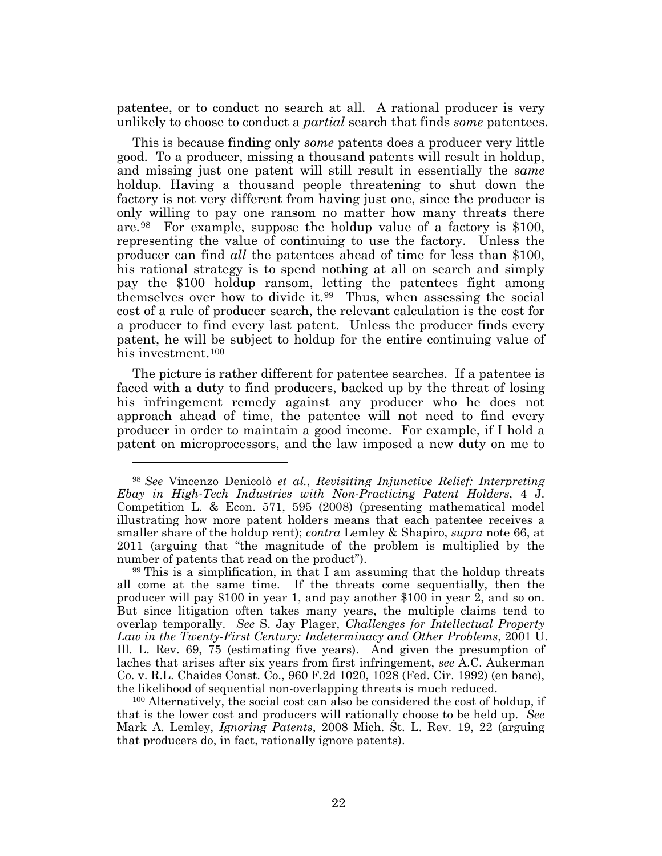patentee, or to conduct no search at all. A rational producer is very unlikely to choose to conduct a *partial* search that finds *some* patentees.

This is because finding only *some* patents does a producer very little good. To a producer, missing a thousand patents will result in holdup, and missing just one patent will still result in essentially the *same* holdup. Having a thousand people threatening to shut down the factory is not very different from having just one, since the producer is only willing to pay one ransom no matter how many threats there are.[98](#page-21-0) For example, suppose the holdup value of a factory is \$100, representing the value of continuing to use the factory. Unless the producer can find *all* the patentees ahead of time for less than \$100, his rational strategy is to spend nothing at all on search and simply pay the \$100 holdup ransom, letting the patentees fight among themselves over how to divide it.[99](#page-21-1) Thus, when assessing the social cost of a rule of producer search, the relevant calculation is the cost for a producer to find every last patent. Unless the producer finds every patent, he will be subject to holdup for the entire continuing value of his investment.<sup>[100](#page-21-2)</sup>

The picture is rather different for patentee searches. If a patentee is faced with a duty to find producers, backed up by the threat of losing his infringement remedy against any producer who he does not approach ahead of time, the patentee will not need to find every producer in order to maintain a good income. For example, if I hold a patent on microprocessors, and the law imposed a new duty on me to

<span id="page-21-0"></span><sup>98</sup> *See* Vincenzo Denicolò *et al.*, *Revisiting Injunctive Relief: Interpreting Ebay in High-Tech Industries with Non-Practicing Patent Holders*, 4 J. Competition L. & Econ. 571, 595 (2008) (presenting mathematical model illustrating how more patent holders means that each patentee receives a smaller share of the holdup rent); *contra* Lemley & Shapiro, *supra* note 66, at 2011 (arguing that "the magnitude of the problem is multiplied by the number of patents that read on the product").

<span id="page-21-1"></span><sup>99</sup> This is a simplification, in that I am assuming that the holdup threats all come at the same time. If the threats come sequentially, then the producer will pay \$100 in year 1, and pay another \$100 in year 2, and so on. But since litigation often takes many years, the multiple claims tend to overlap temporally. *See* S. Jay Plager, *Challenges for Intellectual Property Law in the Twenty-First Century: Indeterminacy and Other Problems*, 2001 U. Ill. L. Rev. 69, 75 (estimating five years). And given the presumption of laches that arises after six years from first infringement, *see* A.C. Aukerman Co. v. R.L. Chaides Const. Co., 960 F.2d 1020, 1028 (Fed. Cir. 1992) (en banc), the likelihood of sequential non-overlapping threats is much reduced.

<span id="page-21-2"></span><sup>100</sup> Alternatively, the social cost can also be considered the cost of holdup, if that is the lower cost and producers will rationally choose to be held up. *See* Mark A. Lemley, *Ignoring Patents*, 2008 Mich. St. L. Rev. 19, 22 (arguing that producers do, in fact, rationally ignore patents).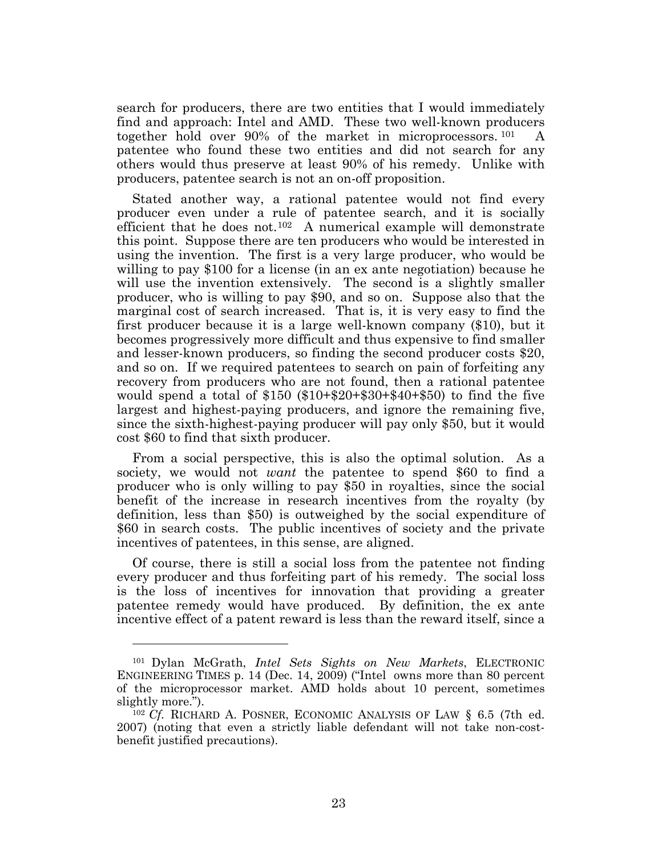search for producers, there are two entities that I would immediately find and approach: Intel and AMD. These two well-known producers together hold over 90% of the market in microprocessors. [101](#page-22-0) A patentee who found these two entities and did not search for any others would thus preserve at least 90% of his remedy. Unlike with producers, patentee search is not an on-off proposition.

Stated another way, a rational patentee would not find every producer even under a rule of patentee search, and it is socially efficient that he does not.<sup>[102](#page-22-1)</sup> A numerical example will demonstrate this point. Suppose there are ten producers who would be interested in using the invention. The first is a very large producer, who would be willing to pay \$100 for a license (in an ex ante negotiation) because he will use the invention extensively. The second is a slightly smaller producer, who is willing to pay \$90, and so on. Suppose also that the marginal cost of search increased. That is, it is very easy to find the first producer because it is a large well-known company (\$10), but it becomes progressively more difficult and thus expensive to find smaller and lesser-known producers, so finding the second producer costs \$20, and so on. If we required patentees to search on pain of forfeiting any recovery from producers who are not found, then a rational patentee would spend a total of \$150 (\$10+\$20+\$30+\$40+\$50) to find the five largest and highest-paying producers, and ignore the remaining five, since the sixth-highest-paying producer will pay only \$50, but it would cost \$60 to find that sixth producer.

From a social perspective, this is also the optimal solution. As a society, we would not *want* the patentee to spend \$60 to find a producer who is only willing to pay \$50 in royalties, since the social benefit of the increase in research incentives from the royalty (by definition, less than \$50) is outweighed by the social expenditure of \$60 in search costs. The public incentives of society and the private incentives of patentees, in this sense, are aligned.

Of course, there is still a social loss from the patentee not finding every producer and thus forfeiting part of his remedy. The social loss is the loss of incentives for innovation that providing a greater patentee remedy would have produced. By definition, the ex ante incentive effect of a patent reward is less than the reward itself, since a

<span id="page-22-0"></span><sup>101</sup> Dylan McGrath, *Intel Sets Sights on New Markets*, ELECTRONIC ENGINEERING TIMES p. 14 (Dec. 14, 2009) ("Intel owns more than 80 percent of the microprocessor market. AMD holds about 10 percent, sometimes slightly more.").

<span id="page-22-1"></span><sup>102</sup> *Cf.* RICHARD A. POSNER, ECONOMIC ANALYSIS OF LAW § 6.5 (7th ed. 2007) (noting that even a strictly liable defendant will not take non-costbenefit justified precautions).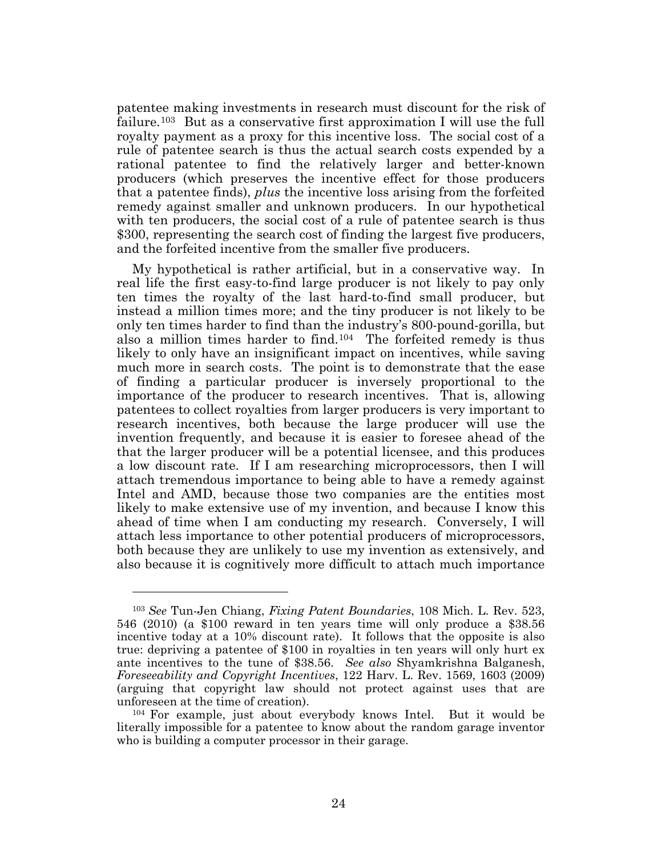patentee making investments in research must discount for the risk of failure.<sup>[103](#page-23-0)</sup> But as a conservative first approximation I will use the full royalty payment as a proxy for this incentive loss. The social cost of a rule of patentee search is thus the actual search costs expended by a rational patentee to find the relatively larger and better-known producers (which preserves the incentive effect for those producers that a patentee finds), *plus* the incentive loss arising from the forfeited remedy against smaller and unknown producers. In our hypothetical with ten producers, the social cost of a rule of patentee search is thus \$300, representing the search cost of finding the largest five producers, and the forfeited incentive from the smaller five producers.

My hypothetical is rather artificial, but in a conservative way. In real life the first easy-to-find large producer is not likely to pay only ten times the royalty of the last hard-to-find small producer, but instead a million times more; and the tiny producer is not likely to be only ten times harder to find than the industry's 800-pound-gorilla, but also a million times harder to find.<sup>[104](#page-23-1)</sup> The forfeited remedy is thus likely to only have an insignificant impact on incentives, while saving much more in search costs. The point is to demonstrate that the ease of finding a particular producer is inversely proportional to the importance of the producer to research incentives. That is, allowing patentees to collect royalties from larger producers is very important to research incentives, both because the large producer will use the invention frequently, and because it is easier to foresee ahead of the that the larger producer will be a potential licensee, and this produces a low discount rate. If I am researching microprocessors, then I will attach tremendous importance to being able to have a remedy against Intel and AMD, because those two companies are the entities most likely to make extensive use of my invention, and because I know this ahead of time when I am conducting my research. Conversely, I will attach less importance to other potential producers of microprocessors, both because they are unlikely to use my invention as extensively, and also because it is cognitively more difficult to attach much importance

<span id="page-23-0"></span><sup>103</sup> *See* Tun-Jen Chiang, *Fixing Patent Boundaries*, 108 Mich. L. Rev. 523, 546 (2010) (a \$100 reward in ten years time will only produce a \$38.56 incentive today at a 10% discount rate). It follows that the opposite is also true: depriving a patentee of \$100 in royalties in ten years will only hurt ex ante incentives to the tune of \$38.56. *See also* Shyamkrishna Balganesh, *Foreseeability and Copyright Incentives*, 122 Harv. L. Rev. 1569, 1603 (2009) (arguing that copyright law should not protect against uses that are unforeseen at the time of creation).

<span id="page-23-1"></span><sup>104</sup> For example, just about everybody knows Intel. But it would be literally impossible for a patentee to know about the random garage inventor who is building a computer processor in their garage.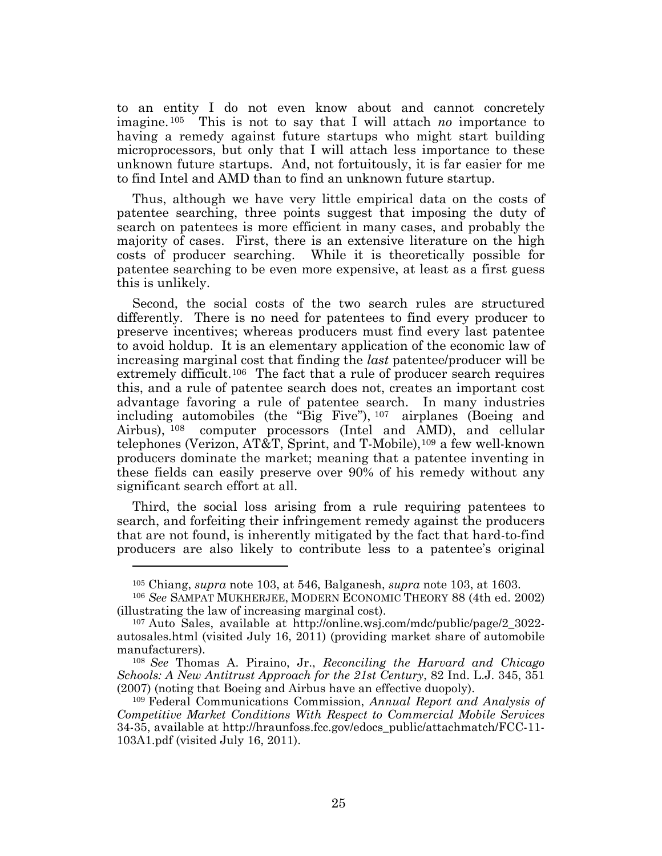to an entity I do not even know about and cannot concretely imagine. [105](#page-24-0) This is not to say that I will attach *no* importance to having a remedy against future startups who might start building microprocessors, but only that I will attach less importance to these unknown future startups. And, not fortuitously, it is far easier for me to find Intel and AMD than to find an unknown future startup.

Thus, although we have very little empirical data on the costs of patentee searching, three points suggest that imposing the duty of search on patentees is more efficient in many cases, and probably the majority of cases. First, there is an extensive literature on the high costs of producer searching. While it is theoretically possible for patentee searching to be even more expensive, at least as a first guess this is unlikely.

Second, the social costs of the two search rules are structured differently. There is no need for patentees to find every producer to preserve incentives; whereas producers must find every last patentee to avoid holdup. It is an elementary application of the economic law of increasing marginal cost that finding the *last* patentee/producer will be extremely difficult.<sup>[106](#page-24-1)</sup> The fact that a rule of producer search requires this, and a rule of patentee search does not, creates an important cost advantage favoring a rule of patentee search. In many industries including automobiles (the "Big Five"), <sup>[107](#page-24-2)</sup> airplanes (Boeing and Airbus), [108](#page-24-3) computer processors (Intel and AMD), and cellular telephones (Verizon, AT&T, Sprint, and T-Mobile),[109](#page-24-4) a few well-known producers dominate the market; meaning that a patentee inventing in these fields can easily preserve over 90% of his remedy without any significant search effort at all.

Third, the social loss arising from a rule requiring patentees to search, and forfeiting their infringement remedy against the producers that are not found, is inherently mitigated by the fact that hard-to-find producers are also likely to contribute less to a patentee's original

<sup>105</sup> Chiang, *supra* note 103, at 546, Balganesh, *supra* note 103, at 1603.

<span id="page-24-1"></span><span id="page-24-0"></span><sup>106</sup> *See* SAMPAT MUKHERJEE, MODERN ECONOMIC THEORY 88 (4th ed. 2002) (illustrating the law of increasing marginal cost).

<span id="page-24-2"></span><sup>107</sup> Auto Sales, available at http://online.wsj.com/mdc/public/page/2\_3022 autosales.html (visited July 16, 2011) (providing market share of automobile manufacturers).

<span id="page-24-3"></span><sup>108</sup> *See* Thomas A. Piraino, Jr., *Reconciling the Harvard and Chicago Schools: A New Antitrust Approach for the 21st Century*, 82 Ind. L.J. 345, 351 (2007) (noting that Boeing and Airbus have an effective duopoly).

<span id="page-24-4"></span><sup>109</sup> Federal Communications Commission, *Annual Report and Analysis of Competitive Market Conditions With Respect to Commercial Mobile Services* 34-35, available at http://hraunfoss.fcc.gov/edocs\_public/attachmatch/FCC-11- 103A1.pdf (visited July 16, 2011).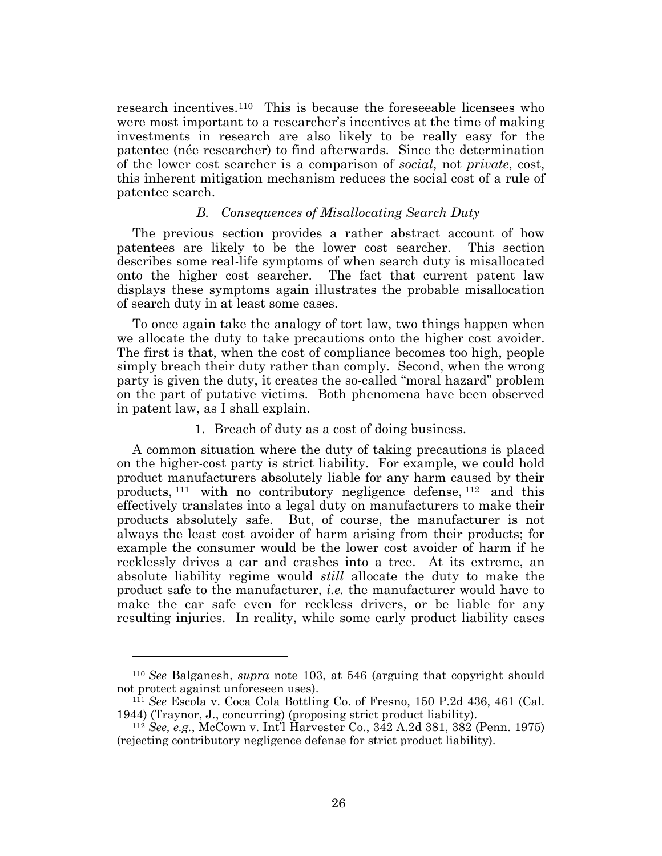<span id="page-25-0"></span>research incentives.[110](#page-25-1) This is because the foreseeable licensees who were most important to a researcher's incentives at the time of making investments in research are also likely to be really easy for the patentee (née researcher) to find afterwards. Since the determination of the lower cost searcher is a comparison of *social*, not *private*, cost, this inherent mitigation mechanism reduces the social cost of a rule of patentee search.

### *B. Consequences of Misallocating Search Duty*

The previous section provides a rather abstract account of how patentees are likely to be the lower cost searcher. This section describes some real-life symptoms of when search duty is misallocated onto the higher cost searcher. The fact that current patent law displays these symptoms again illustrates the probable misallocation of search duty in at least some cases.

To once again take the analogy of tort law, two things happen when we allocate the duty to take precautions onto the higher cost avoider. The first is that, when the cost of compliance becomes too high, people simply breach their duty rather than comply. Second, when the wrong party is given the duty, it creates the so-called "moral hazard" problem on the part of putative victims. Both phenomena have been observed in patent law, as I shall explain.

1. Breach of duty as a cost of doing business.

A common situation where the duty of taking precautions is placed on the higher-cost party is strict liability. For example, we could hold product manufacturers absolutely liable for any harm caused by their products, [111](#page-25-2) with no contributory negligence defense, [112](#page-25-3) and this effectively translates into a legal duty on manufacturers to make their products absolutely safe. But, of course, the manufacturer is not always the least cost avoider of harm arising from their products; for example the consumer would be the lower cost avoider of harm if he recklessly drives a car and crashes into a tree. At its extreme, an absolute liability regime would *still* allocate the duty to make the product safe to the manufacturer, *i.e.* the manufacturer would have to make the car safe even for reckless drivers, or be liable for any resulting injuries. In reality, while some early product liability cases

<span id="page-25-1"></span><sup>110</sup> *See* Balganesh, *supra* note 103, at 546 (arguing that copyright should not protect against unforeseen uses).

<span id="page-25-2"></span><sup>111</sup> *See* Escola v. Coca Cola Bottling Co. of Fresno, 150 P.2d 436, 461 (Cal. 1944) (Traynor, J., concurring) (proposing strict product liability).

<span id="page-25-3"></span><sup>112</sup> *See, e.g.*, McCown v. Int'l Harvester Co., 342 A.2d 381, 382 (Penn. 1975) (rejecting contributory negligence defense for strict product liability).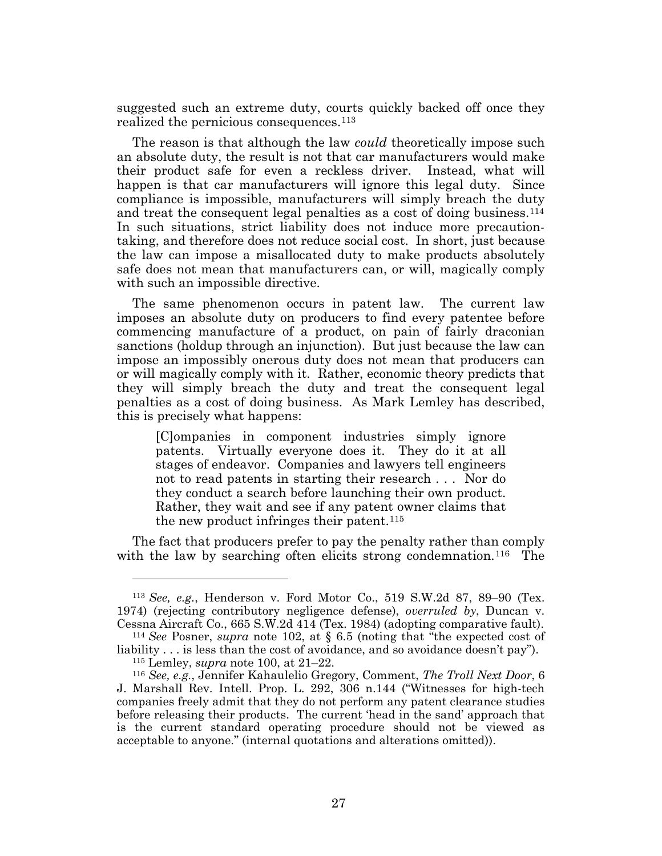suggested such an extreme duty, courts quickly backed off once they realized the pernicious consequences.[113](#page-26-0)

The reason is that although the law *could* theoretically impose such an absolute duty, the result is not that car manufacturers would make their product safe for even a reckless driver. Instead, what will happen is that car manufacturers will ignore this legal duty. Since compliance is impossible, manufacturers will simply breach the duty and treat the consequent legal penalties as a cost of doing business.[114](#page-26-1) In such situations, strict liability does not induce more precautiontaking, and therefore does not reduce social cost. In short, just because the law can impose a misallocated duty to make products absolutely safe does not mean that manufacturers can, or will, magically comply with such an impossible directive.

The same phenomenon occurs in patent law. The current law imposes an absolute duty on producers to find every patentee before commencing manufacture of a product, on pain of fairly draconian sanctions (holdup through an injunction). But just because the law can impose an impossibly onerous duty does not mean that producers can or will magically comply with it. Rather, economic theory predicts that they will simply breach the duty and treat the consequent legal penalties as a cost of doing business. As Mark Lemley has described, this is precisely what happens:

[C]ompanies in component industries simply ignore patents. Virtually everyone does it. They do it at all stages of endeavor. Companies and lawyers tell engineers not to read patents in starting their research . . . Nor do they conduct a search before launching their own product. Rather, they wait and see if any patent owner claims that the new product infringes their patent[.115](#page-26-2)

The fact that producers prefer to pay the penalty rather than comply with the law by searching often elicits strong condemnation.<sup>[116](#page-26-3)</sup> The

<span id="page-26-0"></span><sup>113</sup> *See, e.g.*, Henderson v. Ford Motor Co., 519 S.W.2d 87, 89–90 (Tex. 1974) (rejecting contributory negligence defense), *overruled by*, Duncan v. Cessna Aircraft Co., 665 S.W.2d 414 (Tex. 1984) (adopting comparative fault).

<span id="page-26-1"></span><sup>114</sup> *See* Posner, *supra* note 102, at § 6.5 (noting that "the expected cost of liability . . . is less than the cost of avoidance, and so avoidance doesn't pay").

<sup>115</sup> Lemley, *supra* note 100, at 21–22.

<span id="page-26-3"></span><span id="page-26-2"></span><sup>116</sup> *See, e.g.*, Jennifer Kahaulelio Gregory, Comment, *The Troll Next Door*, 6 J. Marshall Rev. Intell. Prop. L. 292, 306 n.144 ("Witnesses for high-tech companies freely admit that they do not perform any patent clearance studies before releasing their products. The current 'head in the sand' approach that is the current standard operating procedure should not be viewed as acceptable to anyone." (internal quotations and alterations omitted)).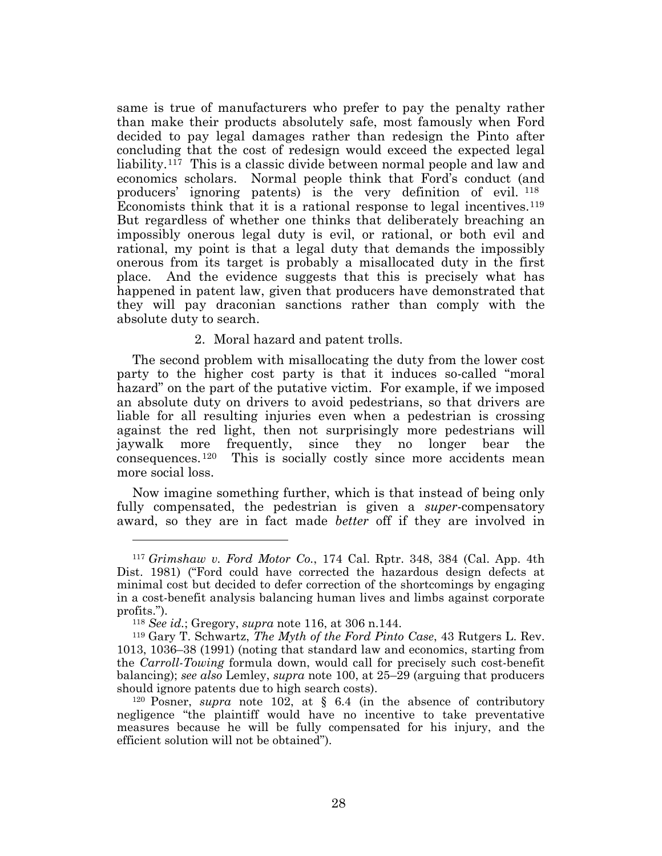<span id="page-27-0"></span>same is true of manufacturers who prefer to pay the penalty rather than make their products absolutely safe, most famously when Ford decided to pay legal damages rather than redesign the Pinto after concluding that the cost of redesign would exceed the expected legal liability.[117](#page-27-1) This is a classic divide between normal people and law and economics scholars. Normal people think that Ford's conduct (and producers' ignoring patents) is the very definition of evil. [118](#page-27-2) Economists think that it is a rational response to legal incentives.[119](#page-27-3)  But regardless of whether one thinks that deliberately breaching an impossibly onerous legal duty is evil, or rational, or both evil and rational, my point is that a legal duty that demands the impossibly onerous from its target is probably a misallocated duty in the first place. And the evidence suggests that this is precisely what has happened in patent law, given that producers have demonstrated that they will pay draconian sanctions rather than comply with the absolute duty to search.

## 2. Moral hazard and patent trolls.

The second problem with misallocating the duty from the lower cost party to the higher cost party is that it induces so-called "moral hazard" on the part of the putative victim. For example, if we imposed an absolute duty on drivers to avoid pedestrians, so that drivers are liable for all resulting injuries even when a pedestrian is crossing against the red light, then not surprisingly more pedestrians will jaywalk more frequently, since they no longer bear the consequences. [120](#page-27-4) This is socially costly since more accidents mean more social loss.

Now imagine something further, which is that instead of being only fully compensated, the pedestrian is given a *super*-compensatory award, so they are in fact made *better* off if they are involved in

<span id="page-27-1"></span><sup>117</sup> *Grimshaw v. Ford Motor Co.*, 174 Cal. Rptr. 348, 384 (Cal. App. 4th Dist. 1981) ("Ford could have corrected the hazardous design defects at minimal cost but decided to defer correction of the shortcomings by engaging in a cost-benefit analysis balancing human lives and limbs against corporate profits.").

<sup>118</sup> *See id.*; Gregory, *supra* note 116, at 306 n.144.

<span id="page-27-3"></span><span id="page-27-2"></span><sup>119</sup> Gary T. Schwartz, *The Myth of the Ford Pinto Case*, 43 Rutgers L. Rev. 1013, 1036–38 (1991) (noting that standard law and economics, starting from the *Carroll-Towing* formula down, would call for precisely such cost-benefit balancing); *see also* Lemley, *supra* note 100, at 25–29 (arguing that producers should ignore patents due to high search costs).

<span id="page-27-4"></span><sup>120</sup> Posner, *supra* note 102, at § 6.4 (in the absence of contributory negligence "the plaintiff would have no incentive to take preventative measures because he will be fully compensated for his injury, and the efficient solution will not be obtained").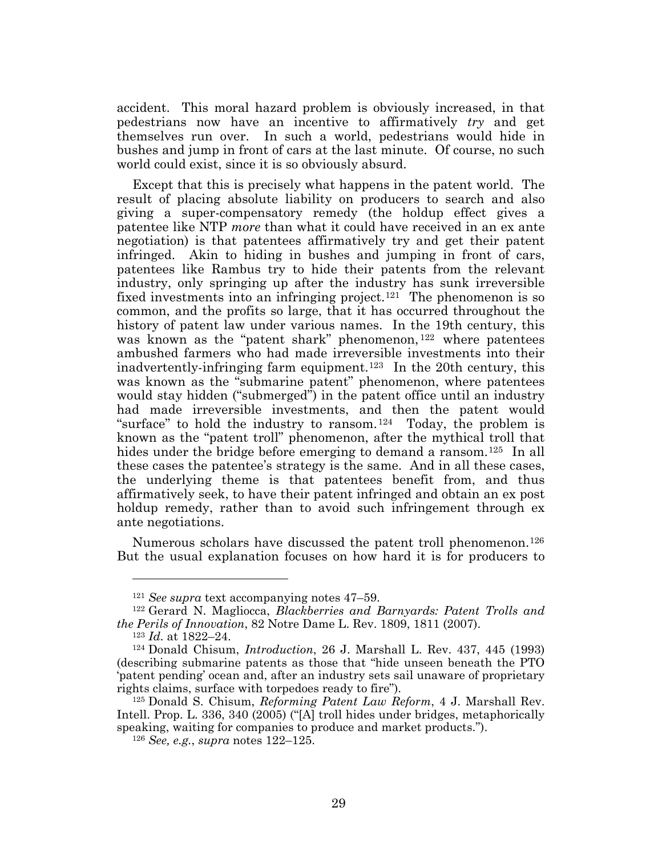accident. This moral hazard problem is obviously increased, in that pedestrians now have an incentive to affirmatively *try* and get themselves run over. In such a world, pedestrians would hide in bushes and jump in front of cars at the last minute. Of course, no such world could exist, since it is so obviously absurd.

Except that this is precisely what happens in the patent world. The result of placing absolute liability on producers to search and also giving a super-compensatory remedy (the holdup effect gives a patentee like NTP *more* than what it could have received in an ex ante negotiation) is that patentees affirmatively try and get their patent infringed. Akin to hiding in bushes and jumping in front of cars, patentees like Rambus try to hide their patents from the relevant industry, only springing up after the industry has sunk irreversible fixed investments into an infringing project.[121](#page-28-0) The phenomenon is so common, and the profits so large, that it has occurred throughout the history of patent law under various names. In the 19th century, this was known as the "patent shark" phenomenon,  $122$  where patentees ambushed farmers who had made irreversible investments into their inadvertently-infringing farm equipment.<sup>[123](#page-28-2)</sup> In the 20th century, this was known as the "submarine patent" phenomenon, where patentees would stay hidden ("submerged") in the patent office until an industry had made irreversible investments, and then the patent would "surface" to hold the industry to ransom.<sup>[124](#page-28-3)</sup> Today, the problem is known as the "patent troll" phenomenon, after the mythical troll that hides under the bridge before emerging to demand a ransom.<sup>[125](#page-28-4)</sup> In all these cases the patentee's strategy is the same. And in all these cases, the underlying theme is that patentees benefit from, and thus affirmatively seek, to have their patent infringed and obtain an ex post holdup remedy, rather than to avoid such infringement through ex ante negotiations.

Numerous scholars have discussed the patent troll phenomenon.<sup>[126](#page-28-5)</sup> But the usual explanation focuses on how hard it is for producers to

<sup>121</sup> *See supra* text accompanying notes 47–59.

<span id="page-28-1"></span><span id="page-28-0"></span><sup>122</sup> Gerard N. Magliocca, *Blackberries and Barnyards: Patent Trolls and the Perils of Innovation*, 82 Notre Dame L. Rev. 1809, 1811 (2007).

<sup>123</sup> *Id.* at 1822–24.

<span id="page-28-3"></span><span id="page-28-2"></span><sup>124</sup> Donald Chisum, *Introduction*, 26 J. Marshall L. Rev. 437, 445 (1993) (describing submarine patents as those that "hide unseen beneath the PTO 'patent pending' ocean and, after an industry sets sail unaware of proprietary rights claims, surface with torpedoes ready to fire").

<span id="page-28-5"></span><span id="page-28-4"></span><sup>125</sup> Donald S. Chisum, *Reforming Patent Law Reform*, 4 J. Marshall Rev. Intell. Prop. L. 336, 340 (2005) ("[A] troll hides under bridges, metaphorically speaking, waiting for companies to produce and market products.").

<sup>126</sup> *See, e.g.*, *supra* notes 122–125.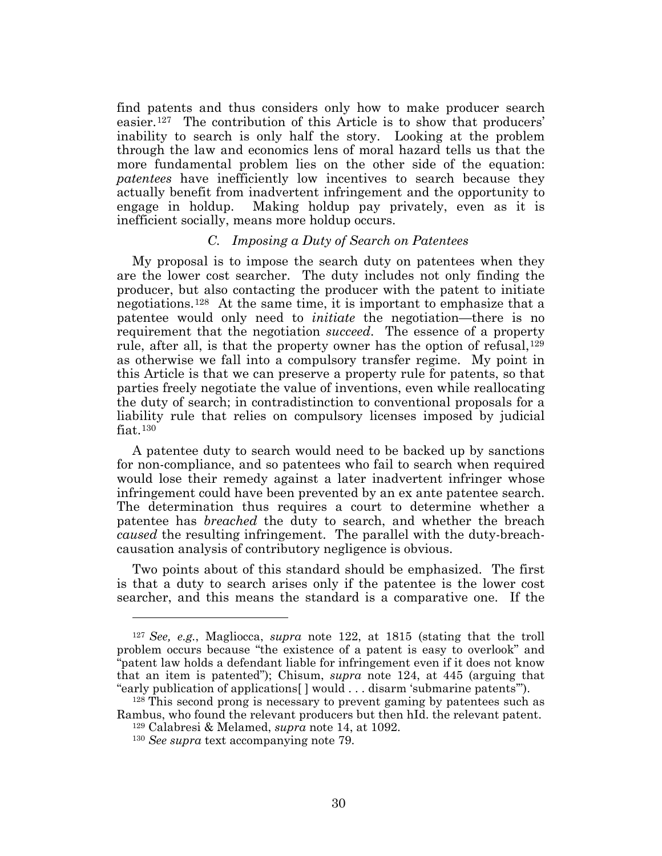<span id="page-29-0"></span>find patents and thus considers only how to make producer search easier.[127](#page-29-1) The contribution of this Article is to show that producers' inability to search is only half the story. Looking at the problem through the law and economics lens of moral hazard tells us that the more fundamental problem lies on the other side of the equation: *patentees* have inefficiently low incentives to search because they actually benefit from inadvertent infringement and the opportunity to engage in holdup. Making holdup pay privately, even as it is inefficient socially, means more holdup occurs.

#### *C. Imposing a Duty of Search on Patentees*

My proposal is to impose the search duty on patentees when they are the lower cost searcher. The duty includes not only finding the producer, but also contacting the producer with the patent to initiate negotiations.[128](#page-29-2) At the same time, it is important to emphasize that a patentee would only need to *initiate* the negotiation—there is no requirement that the negotiation *succeed*. The essence of a property rule, after all, is that the property owner has the option of refusal,[129](#page-29-3) as otherwise we fall into a compulsory transfer regime. My point in this Article is that we can preserve a property rule for patents, so that parties freely negotiate the value of inventions, even while reallocating the duty of search; in contradistinction to conventional proposals for a liability rule that relies on compulsory licenses imposed by judicial fiat.[130](#page-29-4)

A patentee duty to search would need to be backed up by sanctions for non-compliance, and so patentees who fail to search when required would lose their remedy against a later inadvertent infringer whose infringement could have been prevented by an ex ante patentee search. The determination thus requires a court to determine whether a patentee has *breached* the duty to search, and whether the breach *caused* the resulting infringement. The parallel with the duty-breachcausation analysis of contributory negligence is obvious.

Two points about of this standard should be emphasized. The first is that a duty to search arises only if the patentee is the lower cost searcher, and this means the standard is a comparative one. If the

<span id="page-29-1"></span><sup>127</sup> *See, e.g.*, Magliocca, *supra* note 122, at 1815 (stating that the troll problem occurs because "the existence of a patent is easy to overlook" and "patent law holds a defendant liable for infringement even if it does not know that an item is patented"); Chisum, *supra* note 124, at 445 (arguing that "early publication of applications[ ] would . . . disarm 'submarine patents'").

<span id="page-29-4"></span><span id="page-29-3"></span><span id="page-29-2"></span><sup>&</sup>lt;sup>128</sup> This second prong is necessary to prevent gaming by patentees such as Rambus, who found the relevant producers but then hId. the relevant patent.

<sup>129</sup> Calabresi & Melamed, *supra* note 14, at 1092.

<sup>130</sup> *See supra* text accompanying note 79.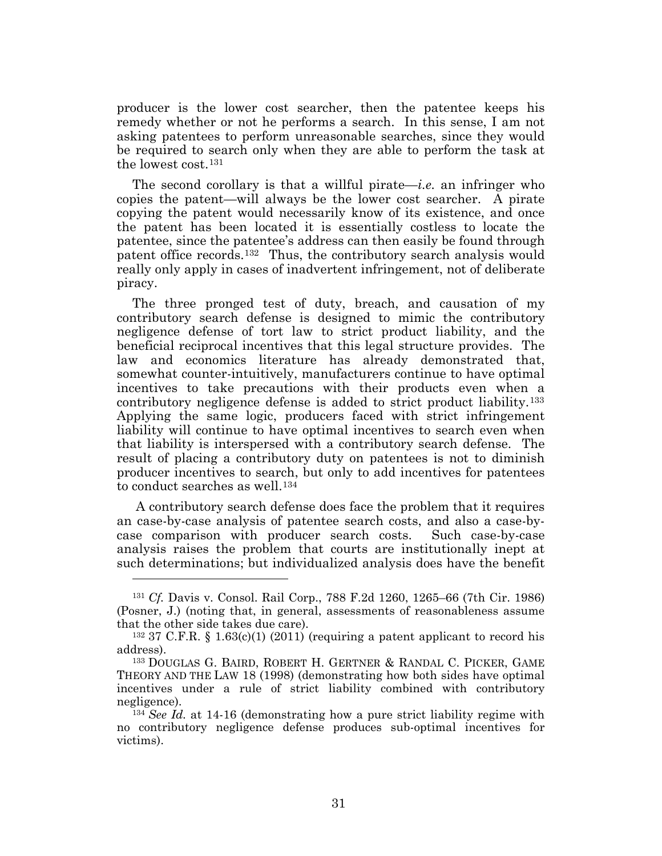producer is the lower cost searcher, then the patentee keeps his remedy whether or not he performs a search. In this sense, I am not asking patentees to perform unreasonable searches, since they would be required to search only when they are able to perform the task at the lowest cost.[131](#page-30-0)

The second corollary is that a willful pirate—*i.e.* an infringer who copies the patent—will always be the lower cost searcher. A pirate copying the patent would necessarily know of its existence, and once the patent has been located it is essentially costless to locate the patentee, since the patentee's address can then easily be found through patent office records.[132](#page-30-1) Thus, the contributory search analysis would really only apply in cases of inadvertent infringement, not of deliberate piracy.

The three pronged test of duty, breach, and causation of my contributory search defense is designed to mimic the contributory negligence defense of tort law to strict product liability, and the beneficial reciprocal incentives that this legal structure provides. The law and economics literature has already demonstrated that, somewhat counter-intuitively, manufacturers continue to have optimal incentives to take precautions with their products even when a contributory negligence defense is added to strict product liability.[133](#page-30-2) Applying the same logic, producers faced with strict infringement liability will continue to have optimal incentives to search even when that liability is interspersed with a contributory search defense. The result of placing a contributory duty on patentees is not to diminish producer incentives to search, but only to add incentives for patentees to conduct searches as well.[134](#page-30-3)

 A contributory search defense does face the problem that it requires an case-by-case analysis of patentee search costs, and also a case-bycase comparison with producer search costs. Such case-by-case analysis raises the problem that courts are institutionally inept at such determinations; but individualized analysis does have the benefit

<span id="page-30-0"></span><sup>131</sup> *Cf.* Davis v. Consol. Rail Corp., 788 F.2d 1260, 1265–66 (7th Cir. 1986) (Posner, J.) (noting that, in general, assessments of reasonableness assume that the other side takes due care).

<span id="page-30-1"></span><sup>&</sup>lt;sup>132</sup> 37 C.F.R. § 1.63(c)(1) (2011) (requiring a patent applicant to record his address).

<span id="page-30-2"></span><sup>133</sup> DOUGLAS G. BAIRD, ROBERT H. GERTNER & RANDAL C. PICKER, GAME THEORY AND THE LAW 18 (1998) (demonstrating how both sides have optimal incentives under a rule of strict liability combined with contributory negligence).

<span id="page-30-3"></span><sup>134</sup> *See Id.* at 14-16 (demonstrating how a pure strict liability regime with no contributory negligence defense produces sub-optimal incentives for victims).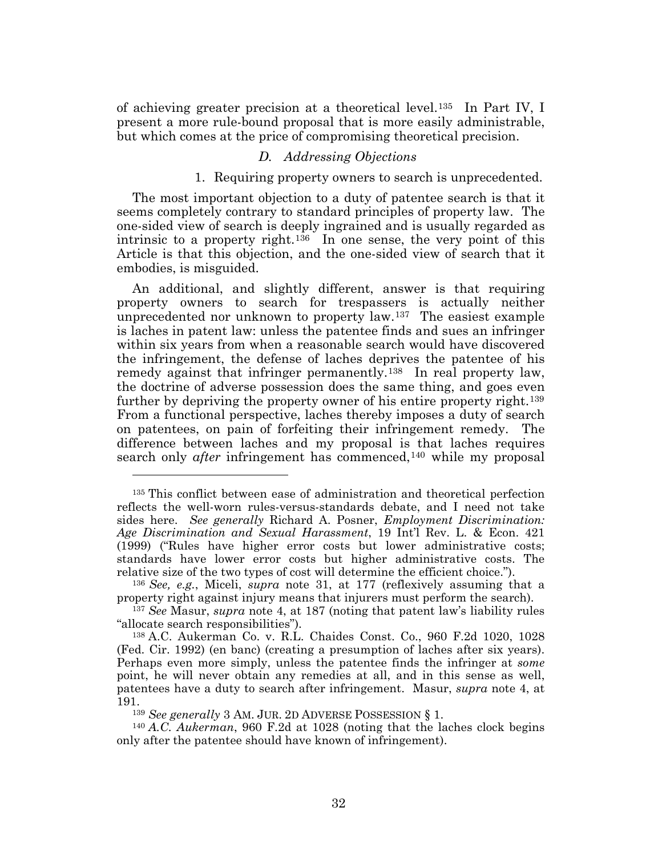<span id="page-31-0"></span>of achieving greater precision at a theoretical level.[135](#page-31-1) In Part [IV](#page-40-1), I present a more rule-bound proposal that is more easily administrable, but which comes at the price of compromising theoretical precision.

#### *D. Addressing Objections*

## 1. Requiring property owners to search is unprecedented.

The most important objection to a duty of patentee search is that it seems completely contrary to standard principles of property law. The one-sided view of search is deeply ingrained and is usually regarded as intrinsic to a property right.[136](#page-31-2) In one sense, the very point of this Article is that this objection, and the one-sided view of search that it embodies, is misguided.

An additional, and slightly different, answer is that requiring property owners to search for trespassers is actually neither unprecedented nor unknown to property law.[137](#page-31-3) The easiest example is laches in patent law: unless the patentee finds and sues an infringer within six years from when a reasonable search would have discovered the infringement, the defense of laches deprives the patentee of his remedy against that infringer permanently.<sup>[138](#page-31-4)</sup> In real property law, the doctrine of adverse possession does the same thing, and goes even further by depriving the property owner of his entire property right.[139](#page-31-5) From a functional perspective, laches thereby imposes a duty of search on patentees, on pain of forfeiting their infringement remedy. The difference between laches and my proposal is that laches requires search only *after* infringement has commenced,<sup>[140](#page-31-6)</sup> while my proposal

<span id="page-31-1"></span><sup>135</sup> This conflict between ease of administration and theoretical perfection reflects the well-worn rules-versus-standards debate, and I need not take sides here. *See generally* Richard A. Posner, *Employment Discrimination: Age Discrimination and Sexual Harassment*, 19 Int'l Rev. L. & Econ. 421 (1999) ("Rules have higher error costs but lower administrative costs; standards have lower error costs but higher administrative costs. The relative size of the two types of cost will determine the efficient choice.").

<span id="page-31-2"></span><sup>136</sup> *See, e.g.*, Miceli, *supra* note 31, at 177 (reflexively assuming that a property right against injury means that injurers must perform the search).

<span id="page-31-3"></span><sup>137</sup> *See* Masur, *supra* note 4, at 187 (noting that patent law's liability rules "allocate search responsibilities").

<span id="page-31-4"></span><sup>138</sup> A.C. Aukerman Co. v. R.L. Chaides Const. Co., 960 F.2d 1020, 1028 (Fed. Cir. 1992) (en banc) (creating a presumption of laches after six years). Perhaps even more simply, unless the patentee finds the infringer at *some* point, he will never obtain any remedies at all, and in this sense as well, patentees have a duty to search after infringement. Masur, *supra* note 4, at 191.

<sup>139</sup> *See generally* 3 AM. JUR. 2D ADVERSE POSSESSION § 1.

<span id="page-31-6"></span><span id="page-31-5"></span><sup>140</sup> *A.C. Aukerman*, 960 F.2d at 1028 (noting that the laches clock begins only after the patentee should have known of infringement).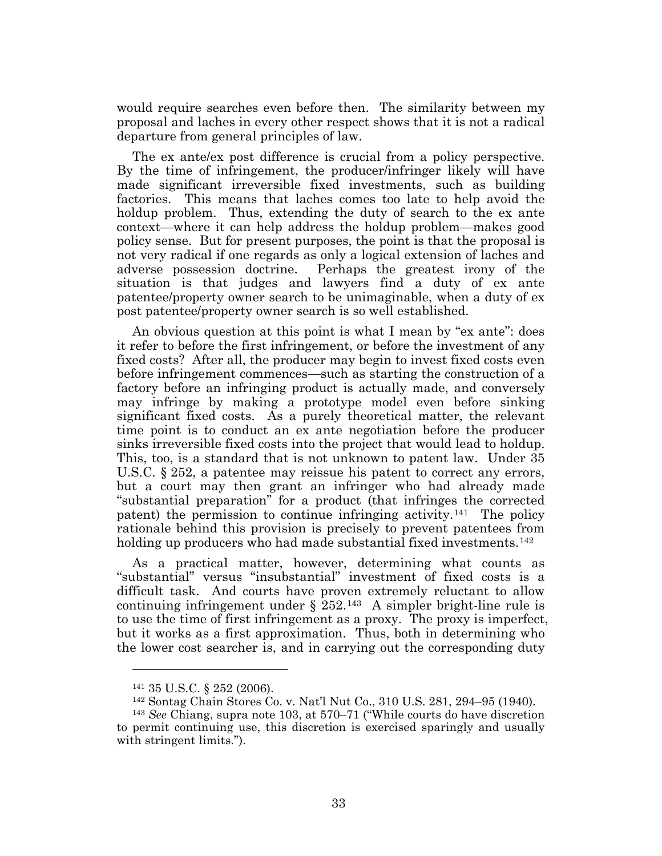would require searches even before then. The similarity between my proposal and laches in every other respect shows that it is not a radical departure from general principles of law.

The ex ante/ex post difference is crucial from a policy perspective. By the time of infringement, the producer/infringer likely will have made significant irreversible fixed investments, such as building factories. This means that laches comes too late to help avoid the holdup problem. Thus, extending the duty of search to the ex ante context—where it can help address the holdup problem—makes good policy sense. But for present purposes, the point is that the proposal is not very radical if one regards as only a logical extension of laches and adverse possession doctrine. Perhaps the greatest irony of the situation is that judges and lawyers find a duty of ex ante patentee/property owner search to be unimaginable, when a duty of ex post patentee/property owner search is so well established.

An obvious question at this point is what I mean by "ex ante": does it refer to before the first infringement, or before the investment of any fixed costs? After all, the producer may begin to invest fixed costs even before infringement commences—such as starting the construction of a factory before an infringing product is actually made, and conversely may infringe by making a prototype model even before sinking significant fixed costs. As a purely theoretical matter, the relevant time point is to conduct an ex ante negotiation before the producer sinks irreversible fixed costs into the project that would lead to holdup. This, too, is a standard that is not unknown to patent law. Under 35 U.S.C. § 252, a patentee may reissue his patent to correct any errors, but a court may then grant an infringer who had already made "substantial preparation" for a product (that infringes the corrected patent) the permission to continue infringing activity.[141](#page-32-0) The policy rationale behind this provision is precisely to prevent patentees from holding up producers who had made substantial fixed investments.<sup>142</sup>

As a practical matter, however, determining what counts as "substantial" versus "insubstantial" investment of fixed costs is a difficult task. And courts have proven extremely reluctant to allow continuing infringement under  $\S 252$ .<sup>[143](#page-32-2)</sup> A simpler bright-line rule is to use the time of first infringement as a proxy. The proxy is imperfect, but it works as a first approximation. Thus, both in determining who the lower cost searcher is, and in carrying out the corresponding duty

<sup>141 35</sup> U.S.C. § 252 (2006).

<sup>142</sup> Sontag Chain Stores Co. v. Nat'l Nut Co., 310 U.S. 281, 294–95 (1940).

<span id="page-32-2"></span><span id="page-32-1"></span><span id="page-32-0"></span><sup>143</sup> *See* Chiang, supra note 103, at 570–71 ("While courts do have discretion to permit continuing use, this discretion is exercised sparingly and usually with stringent limits.").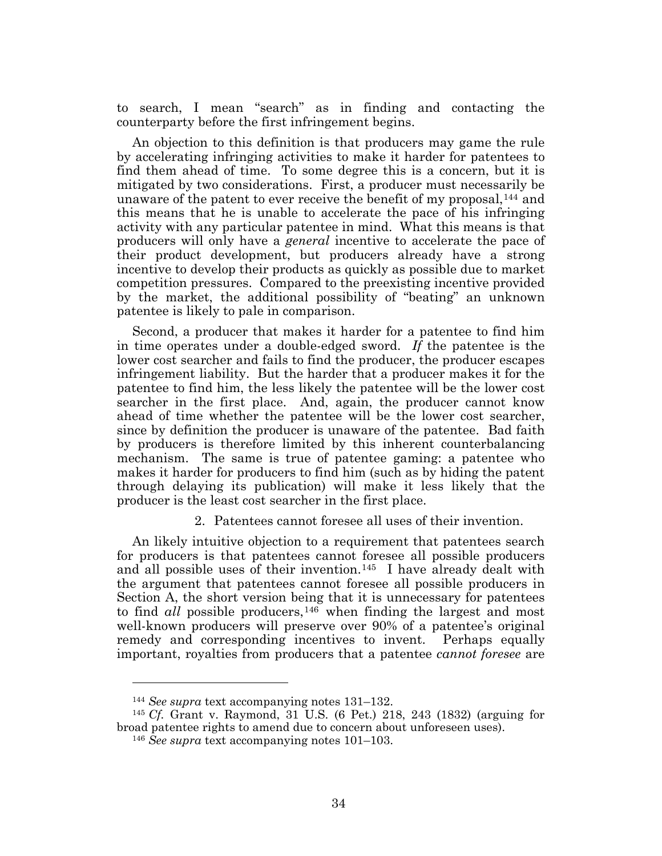<span id="page-33-0"></span>to search, I mean "search" as in finding and contacting the counterparty before the first infringement begins.

An objection to this definition is that producers may game the rule by accelerating infringing activities to make it harder for patentees to find them ahead of time. To some degree this is a concern, but it is mitigated by two considerations. First, a producer must necessarily be unaware of the patent to ever receive the benefit of my proposal,[144](#page-33-1) and this means that he is unable to accelerate the pace of his infringing activity with any particular patentee in mind. What this means is that producers will only have a *general* incentive to accelerate the pace of their product development, but producers already have a strong incentive to develop their products as quickly as possible due to market competition pressures. Compared to the preexisting incentive provided by the market, the additional possibility of "beating" an unknown patentee is likely to pale in comparison.

Second, a producer that makes it harder for a patentee to find him in time operates under a double-edged sword. *If* the patentee is the lower cost searcher and fails to find the producer, the producer escapes infringement liability. But the harder that a producer makes it for the patentee to find him, the less likely the patentee will be the lower cost searcher in the first place. And, again, the producer cannot know ahead of time whether the patentee will be the lower cost searcher, since by definition the producer is unaware of the patentee. Bad faith by producers is therefore limited by this inherent counterbalancing mechanism. The same is true of patentee gaming: a patentee who makes it harder for producers to find him (such as by hiding the patent through delaying its publication) will make it less likely that the producer is the least cost searcher in the first place.

2. Patentees cannot foresee all uses of their invention.

An likely intuitive objection to a requirement that patentees search for producers is that patentees cannot foresee all possible producers and all possible uses of their invention.[145](#page-33-2) I have already dealt with the argument that patentees cannot foresee all possible producers in Section A, the short version being that it is unnecessary for patentees to find *all* possible producers,<sup>[146](#page-33-3)</sup> when finding the largest and most well-known producers will preserve over 90% of a patentee's original remedy and corresponding incentives to invent. Perhaps equally important, royalties from producers that a patentee *cannot foresee* are

<sup>144</sup> *See supra* text accompanying notes 131–132.

<span id="page-33-3"></span><span id="page-33-2"></span><span id="page-33-1"></span><sup>145</sup> *Cf.* Grant v. Raymond, 31 U.S. (6 Pet.) 218, 243 (1832) (arguing for broad patentee rights to amend due to concern about unforeseen uses).

<sup>146</sup> *See supra* text accompanying notes 101–103.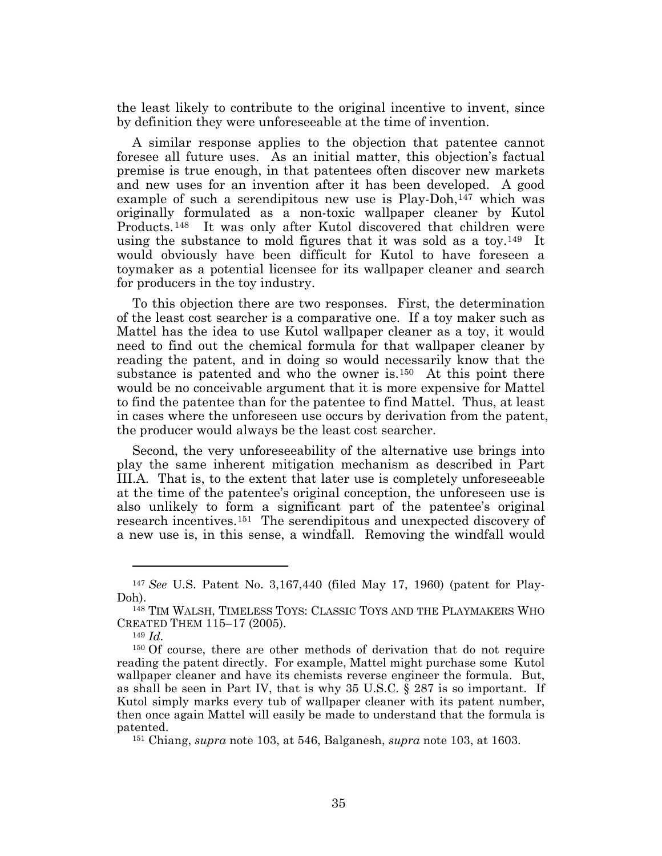the least likely to contribute to the original incentive to invent, since by definition they were unforeseeable at the time of invention.

A similar response applies to the objection that patentee cannot foresee all future uses. As an initial matter, this objection's factual premise is true enough, in that patentees often discover new markets and new uses for an invention after it has been developed. A good example of such a serendipitous new use is Play-Doh,<sup>[147](#page-34-0)</sup> which was originally formulated as a non-toxic wallpaper cleaner by Kutol Products.[148](#page-34-1) It was only after Kutol discovered that children were using the substance to mold figures that it was sold as a toy.<sup>[149](#page-34-2)</sup> It would obviously have been difficult for Kutol to have foreseen a toymaker as a potential licensee for its wallpaper cleaner and search for producers in the toy industry.

To this objection there are two responses. First, the determination of the least cost searcher is a comparative one. If a toy maker such as Mattel has the idea to use Kutol wallpaper cleaner as a toy, it would need to find out the chemical formula for that wallpaper cleaner by reading the patent, and in doing so would necessarily know that the substance is patented and who the owner is.<sup>150</sup> At this point there would be no conceivable argument that it is more expensive for Mattel to find the patentee than for the patentee to find Mattel. Thus, at least in cases where the unforeseen use occurs by derivation from the patent, the producer would always be the least cost searcher.

Second, the very unforeseeability of the alternative use brings into play the same inherent mitigation mechanism as described in Part [III.A.](#page-20-3) That is, to the extent that later use is completely unforeseeable at the time of the patentee's original conception, the unforeseen use is also unlikely to form a significant part of the patentee's original research incentives.[151](#page-34-4) The serendipitous and unexpected discovery of a new use is, in this sense, a windfall. Removing the windfall would

<span id="page-34-0"></span><sup>147</sup> *See* U.S. Patent No. 3,167,440 (filed May 17, 1960) (patent for Play-Doh).

<span id="page-34-1"></span><sup>148</sup> TIM WALSH, TIMELESS TOYS: CLASSIC TOYS AND THE PLAYMAKERS WHO CREATED THEM 115–17 (2005).

<sup>149</sup> *Id.*

<span id="page-34-3"></span><span id="page-34-2"></span><sup>150</sup> Of course, there are other methods of derivation that do not require reading the patent directly. For example, Mattel might purchase some Kutol wallpaper cleaner and have its chemists reverse engineer the formula. But, as shall be seen in Part IV, that is why 35 U.S.C. § 287 is so important. If Kutol simply marks every tub of wallpaper cleaner with its patent number, then once again Mattel will easily be made to understand that the formula is patented.

<span id="page-34-4"></span><sup>151</sup> Chiang, *supra* note 103, at 546, Balganesh, *supra* note 103, at 1603.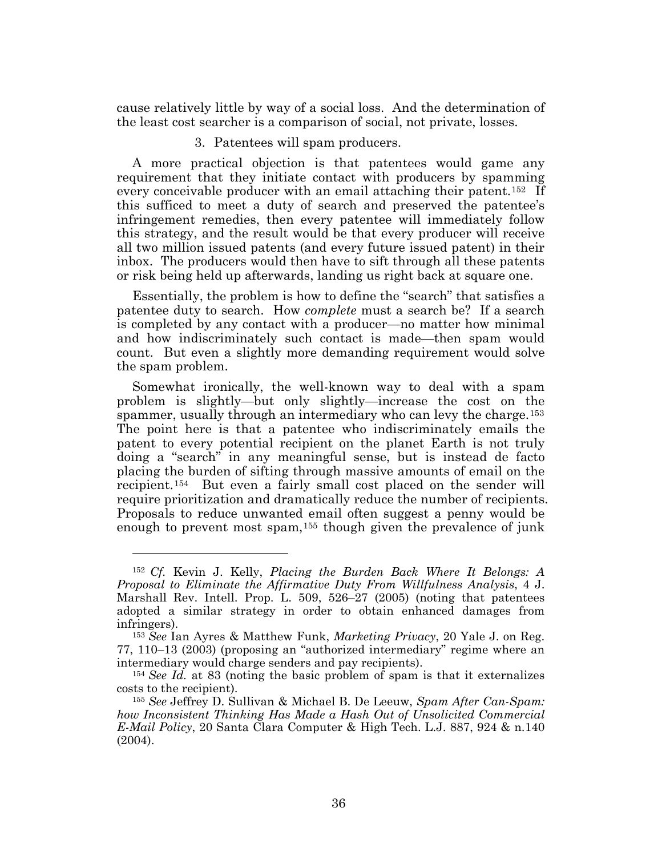<span id="page-35-0"></span>cause relatively little by way of a social loss. And the determination of the least cost searcher is a comparison of social, not private, losses.

## 3. Patentees will spam producers.

A more practical objection is that patentees would game any requirement that they initiate contact with producers by spamming every conceivable producer with an email attaching their patent.<sup>[152](#page-35-1)</sup> If this sufficed to meet a duty of search and preserved the patentee's infringement remedies, then every patentee will immediately follow this strategy, and the result would be that every producer will receive all two million issued patents (and every future issued patent) in their inbox. The producers would then have to sift through all these patents or risk being held up afterwards, landing us right back at square one.

Essentially, the problem is how to define the "search" that satisfies a patentee duty to search. How *complete* must a search be? If a search is completed by any contact with a producer—no matter how minimal and how indiscriminately such contact is made—then spam would count. But even a slightly more demanding requirement would solve the spam problem.

Somewhat ironically, the well-known way to deal with a spam problem is slightly—but only slightly—increase the cost on the spammer, usually through an intermediary who can levy the charge.<sup>[153](#page-35-2)</sup> The point here is that a patentee who indiscriminately emails the patent to every potential recipient on the planet Earth is not truly doing a "search" in any meaningful sense, but is instead de facto placing the burden of sifting through massive amounts of email on the recipient.[154](#page-35-3) But even a fairly small cost placed on the sender will require prioritization and dramatically reduce the number of recipients. Proposals to reduce unwanted email often suggest a penny would be enough to prevent most spam,<sup>[155](#page-35-4)</sup> though given the prevalence of junk

<span id="page-35-1"></span><sup>152</sup> *Cf.* Kevin J. Kelly, *Placing the Burden Back Where It Belongs: A Proposal to Eliminate the Affirmative Duty From Willfulness Analysis*, 4 J. Marshall Rev. Intell. Prop. L. 509, 526–27 (2005) (noting that patentees adopted a similar strategy in order to obtain enhanced damages from infringers).

<span id="page-35-2"></span><sup>153</sup> *See* Ian Ayres & Matthew Funk, *Marketing Privacy*, 20 Yale J. on Reg. 77, 110–13 (2003) (proposing an "authorized intermediary" regime where an intermediary would charge senders and pay recipients).

<span id="page-35-3"></span><sup>154</sup> *See Id.* at 83 (noting the basic problem of spam is that it externalizes costs to the recipient).

<span id="page-35-4"></span><sup>155</sup> *See* Jeffrey D. Sullivan & Michael B. De Leeuw, *Spam After Can-Spam: how Inconsistent Thinking Has Made a Hash Out of Unsolicited Commercial E-Mail Policy*, 20 Santa Clara Computer & High Tech. L.J. 887, 924 & n.140 (2004).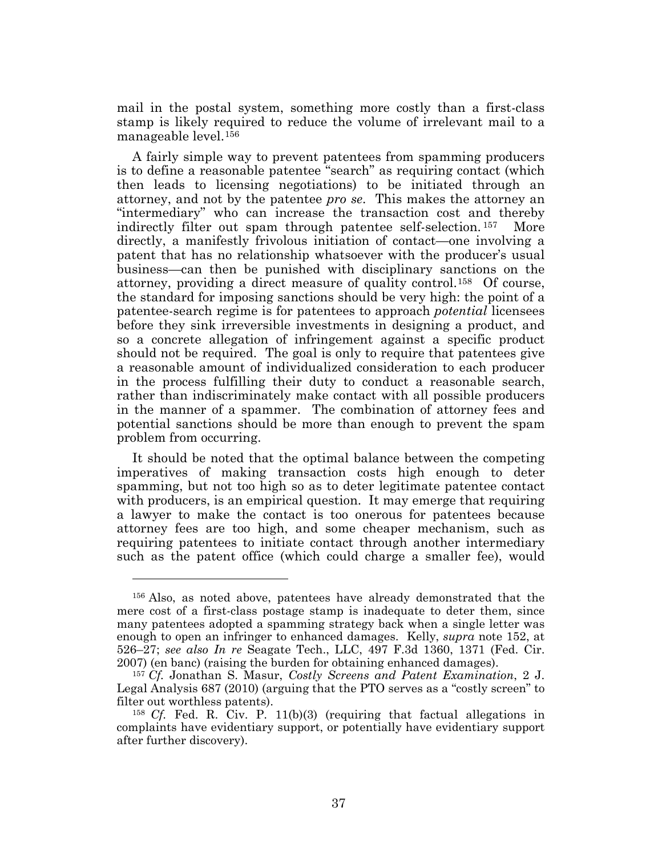mail in the postal system, something more costly than a first-class stamp is likely required to reduce the volume of irrelevant mail to a manageable level.[156](#page-36-0)

A fairly simple way to prevent patentees from spamming producers is to define a reasonable patentee "search" as requiring contact (which then leads to licensing negotiations) to be initiated through an attorney, and not by the patentee *pro se*. This makes the attorney an "intermediary" who can increase the transaction cost and thereby indirectly filter out spam through patentee self-selection. [157](#page-36-1) More directly, a manifestly frivolous initiation of contact—one involving a patent that has no relationship whatsoever with the producer's usual business—can then be punished with disciplinary sanctions on the attorney, providing a direct measure of quality control.[158](#page-36-2) Of course, the standard for imposing sanctions should be very high: the point of a patentee-search regime is for patentees to approach *potential* licensees before they sink irreversible investments in designing a product, and so a concrete allegation of infringement against a specific product should not be required. The goal is only to require that patentees give a reasonable amount of individualized consideration to each producer in the process fulfilling their duty to conduct a reasonable search, rather than indiscriminately make contact with all possible producers in the manner of a spammer. The combination of attorney fees and potential sanctions should be more than enough to prevent the spam problem from occurring.

It should be noted that the optimal balance between the competing imperatives of making transaction costs high enough to deter spamming, but not too high so as to deter legitimate patentee contact with producers, is an empirical question. It may emerge that requiring a lawyer to make the contact is too onerous for patentees because attorney fees are too high, and some cheaper mechanism, such as requiring patentees to initiate contact through another intermediary such as the patent office (which could charge a smaller fee), would

<span id="page-36-0"></span><sup>156</sup> Also, as noted above, patentees have already demonstrated that the mere cost of a first-class postage stamp is inadequate to deter them, since many patentees adopted a spamming strategy back when a single letter was enough to open an infringer to enhanced damages. Kelly, *supra* note 152, at 526–27; *see also In re* Seagate Tech., LLC, 497 F.3d 1360, 1371 (Fed. Cir. 2007) (en banc) (raising the burden for obtaining enhanced damages).

<span id="page-36-1"></span><sup>157</sup> *Cf.* Jonathan S. Masur, *Costly Screens and Patent Examination*, 2 J. Legal Analysis 687 (2010) (arguing that the PTO serves as a "costly screen" to filter out worthless patents).

<span id="page-36-2"></span><sup>158</sup> *Cf.* Fed. R. Civ. P. 11(b)(3) (requiring that factual allegations in complaints have evidentiary support, or potentially have evidentiary support after further discovery).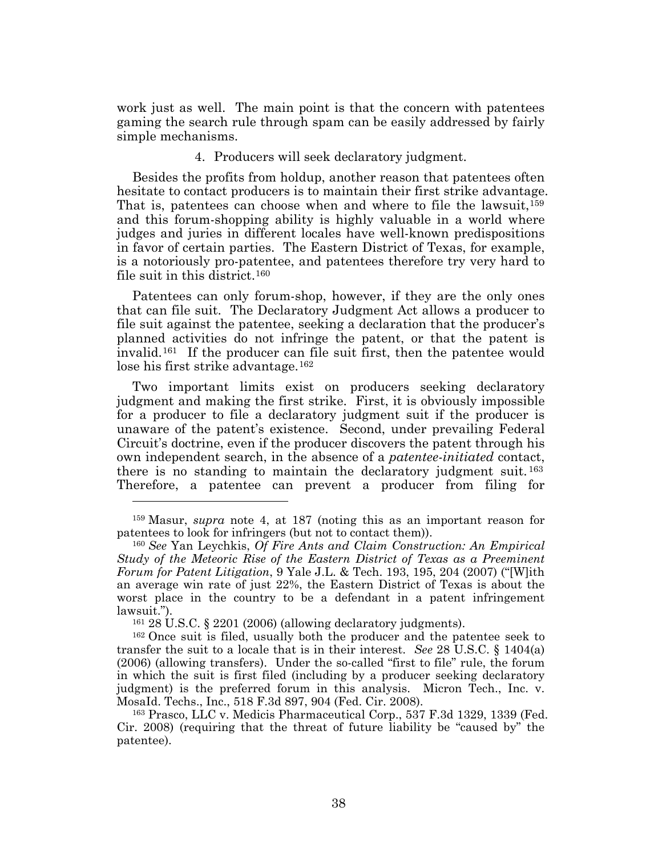<span id="page-37-0"></span>work just as well. The main point is that the concern with patentees gaming the search rule through spam can be easily addressed by fairly simple mechanisms.

4. Producers will seek declaratory judgment.

Besides the profits from holdup, another reason that patentees often hesitate to contact producers is to maintain their first strike advantage. That is, patentees can choose when and where to file the lawsuit,  $159$ and this forum-shopping ability is highly valuable in a world where judges and juries in different locales have well-known predispositions in favor of certain parties. The Eastern District of Texas, for example, is a notoriously pro-patentee, and patentees therefore try very hard to file suit in this district.[160](#page-37-2)

Patentees can only forum-shop, however, if they are the only ones that can file suit. The Declaratory Judgment Act allows a producer to file suit against the patentee, seeking a declaration that the producer's planned activities do not infringe the patent, or that the patent is invalid.[161](#page-37-3) If the producer can file suit first, then the patentee would lose his first strike advantage.<sup>[162](#page-37-4)</sup>

Two important limits exist on producers seeking declaratory judgment and making the first strike. First, it is obviously impossible for a producer to file a declaratory judgment suit if the producer is unaware of the patent's existence. Second, under prevailing Federal Circuit's doctrine, even if the producer discovers the patent through his own independent search, in the absence of a *patentee-initiated* contact, there is no standing to maintain the declaratory judgment suit. [163](#page-37-5) Therefore, a patentee can prevent a producer from filing for

<span id="page-37-1"></span><sup>159</sup> Masur, *supra* note 4, at 187 (noting this as an important reason for patentees to look for infringers (but not to contact them)).

<span id="page-37-2"></span><sup>160</sup> *See* Yan Leychkis, *Of Fire Ants and Claim Construction: An Empirical Study of the Meteoric Rise of the Eastern District of Texas as a Preeminent Forum for Patent Litigation*, 9 Yale J.L. & Tech. 193, 195, 204 (2007) ("[W]ith an average win rate of just 22%, the Eastern District of Texas is about the worst place in the country to be a defendant in a patent infringement lawsuit.").

<sup>161 28</sup> U.S.C. § 2201 (2006) (allowing declaratory judgments).

<span id="page-37-4"></span><span id="page-37-3"></span><sup>&</sup>lt;sup>162</sup> Once suit is filed, usually both the producer and the patentee seek to transfer the suit to a locale that is in their interest. *See* 28 U.S.C. § 1404(a) (2006) (allowing transfers). Under the so-called "first to file" rule, the forum in which the suit is first filed (including by a producer seeking declaratory judgment) is the preferred forum in this analysis. Micron Tech., Inc. v. MosaId. Techs., Inc., 518 F.3d 897, 904 (Fed. Cir. 2008).

<span id="page-37-5"></span><sup>163</sup> Prasco, LLC v. Medicis Pharmaceutical Corp., 537 F.3d 1329, 1339 (Fed. Cir. 2008) (requiring that the threat of future liability be "caused by" the patentee).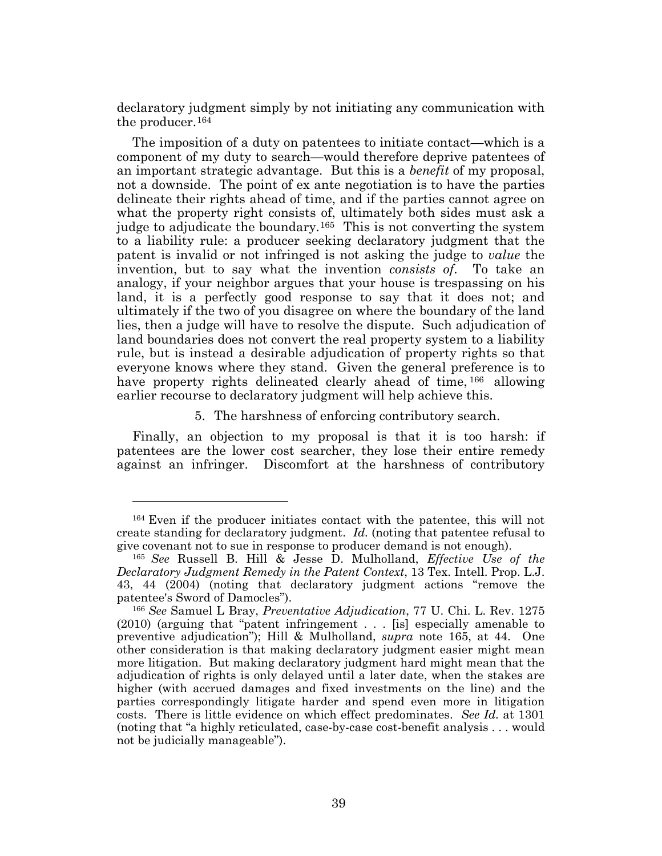<span id="page-38-0"></span>declaratory judgment simply by not initiating any communication with the producer.[164](#page-38-1)

The imposition of a duty on patentees to initiate contact—which is a component of my duty to search—would therefore deprive patentees of an important strategic advantage. But this is a *benefit* of my proposal, not a downside. The point of ex ante negotiation is to have the parties delineate their rights ahead of time, and if the parties cannot agree on what the property right consists of, ultimately both sides must ask a judge to adjudicate the boundary.[165](#page-38-2) This is not converting the system to a liability rule: a producer seeking declaratory judgment that the patent is invalid or not infringed is not asking the judge to *value* the invention, but to say what the invention *consists of*. To take an analogy, if your neighbor argues that your house is trespassing on his land, it is a perfectly good response to say that it does not; and ultimately if the two of you disagree on where the boundary of the land lies, then a judge will have to resolve the dispute. Such adjudication of land boundaries does not convert the real property system to a liability rule, but is instead a desirable adjudication of property rights so that everyone knows where they stand. Given the general preference is to have property rights delineated clearly ahead of time, <sup>[166](#page-38-3)</sup> allowing earlier recourse to declaratory judgment will help achieve this.

5. The harshness of enforcing contributory search.

Finally, an objection to my proposal is that it is too harsh: if patentees are the lower cost searcher, they lose their entire remedy against an infringer. Discomfort at the harshness of contributory

<span id="page-38-1"></span><sup>164</sup> Even if the producer initiates contact with the patentee, this will not create standing for declaratory judgment. *Id.* (noting that patentee refusal to give covenant not to sue in response to producer demand is not enough).

<span id="page-38-2"></span><sup>165</sup> *See* Russell B. Hill & Jesse D. Mulholland, *Effective Use of the Declaratory Judgment Remedy in the Patent Context*, 13 Tex. Intell. Prop. L.J. 43, 44 (2004) (noting that declaratory judgment actions "remove the patentee's Sword of Damocles").

<span id="page-38-3"></span><sup>166</sup> *See* Samuel L Bray, *Preventative Adjudication*, 77 U. Chi. L. Rev. 1275 (2010) (arguing that "patent infringement . . . [is] especially amenable to preventive adjudication"); Hill & Mulholland, *supra* note 165, at 44. One other consideration is that making declaratory judgment easier might mean more litigation. But making declaratory judgment hard might mean that the adjudication of rights is only delayed until a later date, when the stakes are higher (with accrued damages and fixed investments on the line) and the parties correspondingly litigate harder and spend even more in litigation costs. There is little evidence on which effect predominates. *See Id.* at 1301 (noting that "a highly reticulated, case-by-case cost-benefit analysis . . . would not be judicially manageable").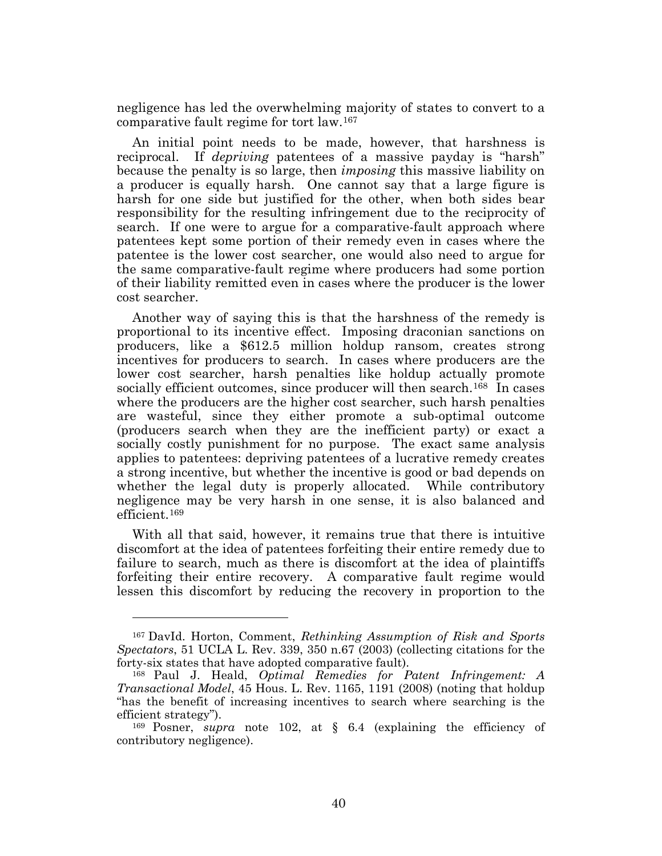negligence has led the overwhelming majority of states to convert to a comparative fault regime for tort law.[167](#page-39-0)

An initial point needs to be made, however, that harshness is reciprocal. If *depriving* patentees of a massive payday is "harsh" because the penalty is so large, then *imposing* this massive liability on a producer is equally harsh. One cannot say that a large figure is harsh for one side but justified for the other, when both sides bear responsibility for the resulting infringement due to the reciprocity of search. If one were to argue for a comparative-fault approach where patentees kept some portion of their remedy even in cases where the patentee is the lower cost searcher, one would also need to argue for the same comparative-fault regime where producers had some portion of their liability remitted even in cases where the producer is the lower cost searcher.

Another way of saying this is that the harshness of the remedy is proportional to its incentive effect. Imposing draconian sanctions on producers, like a \$612.5 million holdup ransom, creates strong incentives for producers to search. In cases where producers are the lower cost searcher, harsh penalties like holdup actually promote socially efficient outcomes, since producer will then search.<sup>[168](#page-39-1)</sup> In cases where the producers are the higher cost searcher, such harsh penalties are wasteful, since they either promote a sub-optimal outcome (producers search when they are the inefficient party) or exact a socially costly punishment for no purpose. The exact same analysis applies to patentees: depriving patentees of a lucrative remedy creates a strong incentive, but whether the incentive is good or bad depends on whether the legal duty is properly allocated. While contributory negligence may be very harsh in one sense, it is also balanced and efficient.[169](#page-39-2)

With all that said, however, it remains true that there is intuitive discomfort at the idea of patentees forfeiting their entire remedy due to failure to search, much as there is discomfort at the idea of plaintiffs forfeiting their entire recovery. A comparative fault regime would lessen this discomfort by reducing the recovery in proportion to the

<span id="page-39-0"></span><sup>167</sup> DavId. Horton, Comment, *Rethinking Assumption of Risk and Sports Spectators*, 51 UCLA L. Rev. 339, 350 n.67 (2003) (collecting citations for the forty-six states that have adopted comparative fault).

<span id="page-39-1"></span><sup>168</sup> Paul J. Heald, *Optimal Remedies for Patent Infringement: A Transactional Model*, 45 Hous. L. Rev. 1165, 1191 (2008) (noting that holdup "has the benefit of increasing incentives to search where searching is the efficient strategy").

<span id="page-39-2"></span><sup>169</sup> Posner, *supra* note 102, at § 6.4 (explaining the efficiency of contributory negligence).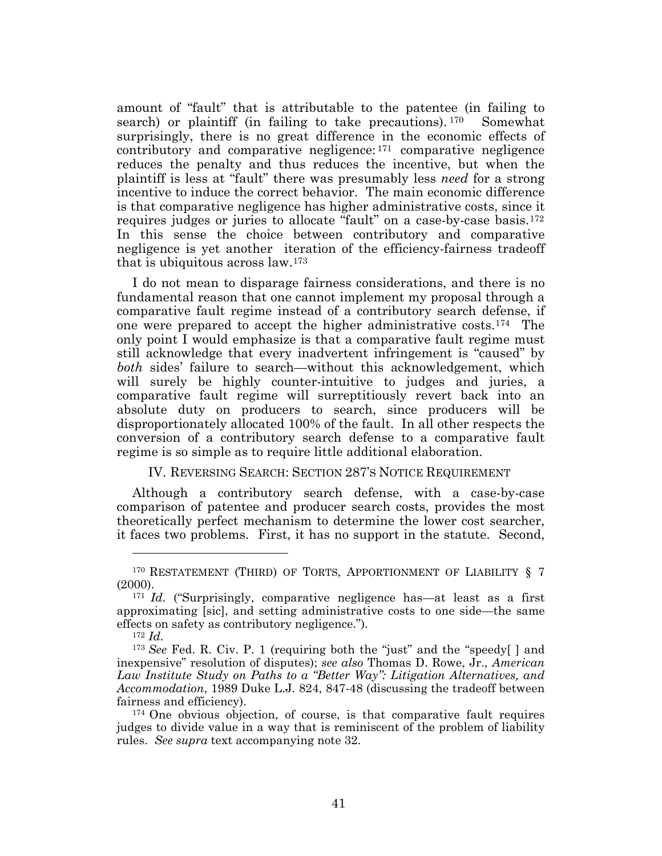<span id="page-40-0"></span>amount of "fault" that is attributable to the patentee (in failing to search) or plaintiff (in failing to take precautions).  $170$  Somewhat surprisingly, there is no great difference in the economic effects of contributory and comparative negligence: [171](#page-40-3) comparative negligence reduces the penalty and thus reduces the incentive, but when the plaintiff is less at "fault" there was presumably less *need* for a strong incentive to induce the correct behavior. The main economic difference is that comparative negligence has higher administrative costs, since it requires judges or juries to allocate "fault" on a case-by-case basis.[172](#page-40-4) In this sense the choice between contributory and comparative negligence is yet another iteration of the efficiency-fairness tradeoff that is ubiquitous across law.[173](#page-40-5)

I do not mean to disparage fairness considerations, and there is no fundamental reason that one cannot implement my proposal through a comparative fault regime instead of a contributory search defense, if one were prepared to accept the higher administrative costs[.174](#page-40-6) The only point I would emphasize is that a comparative fault regime must still acknowledge that every inadvertent infringement is "caused" by *both* sides' failure to search—without this acknowledgement, which will surely be highly counter-intuitive to judges and juries, a comparative fault regime will surreptitiously revert back into an absolute duty on producers to search, since producers will be disproportionately allocated 100% of the fault. In all other respects the conversion of a contributory search defense to a comparative fault regime is so simple as to require little additional elaboration.

IV. REVERSING SEARCH: SECTION 287'S NOTICE REQUIREMENT

<span id="page-40-1"></span>Although a contributory search defense, with a case-by-case comparison of patentee and producer search costs, provides the most theoretically perfect mechanism to determine the lower cost searcher, it faces two problems. First, it has no support in the statute. Second,

<span id="page-40-2"></span><sup>&</sup>lt;sup>170</sup> RESTATEMENT (THIRD) OF TORTS, APPORTIONMENT OF LIABILITY § 7 (2000).

<span id="page-40-3"></span><sup>171</sup> *Id.* ("Surprisingly, comparative negligence has—at least as a first approximating [sic], and setting administrative costs to one side—the same effects on safety as contributory negligence.").

<sup>172</sup> *Id.*

<span id="page-40-5"></span><span id="page-40-4"></span><sup>173</sup> *See* Fed. R. Civ. P. 1 (requiring both the "just" and the "speedy[ ] and inexpensive" resolution of disputes); *see also* Thomas D. Rowe, Jr., *American Law Institute Study on Paths to a "Better Way": Litigation Alternatives, and Accommodation*, 1989 Duke L.J. 824, 847-48 (discussing the tradeoff between fairness and efficiency).

<span id="page-40-6"></span><sup>174</sup> One obvious objection, of course, is that comparative fault requires judges to divide value in a way that is reminiscent of the problem of liability rules. *See supra* text accompanying note 32.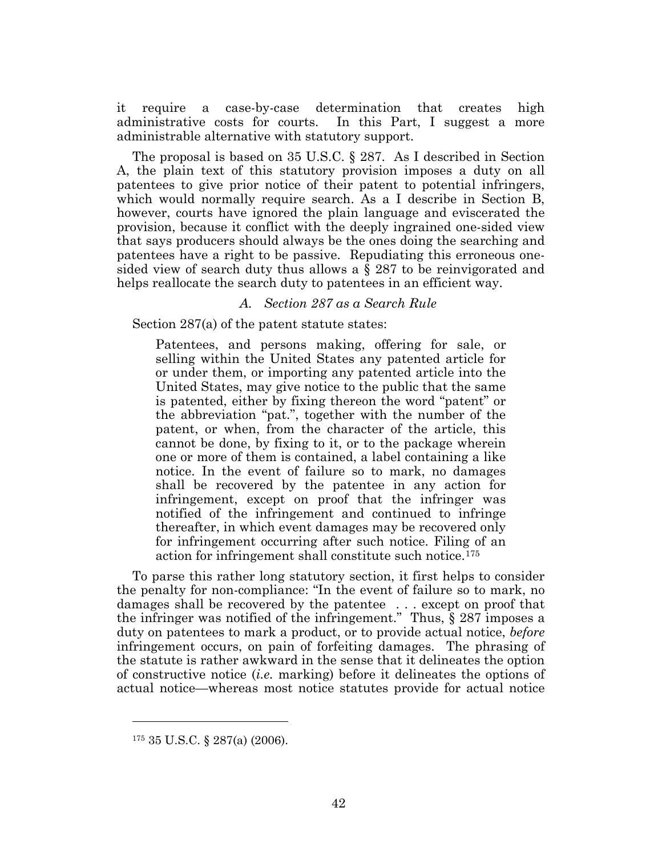<span id="page-41-0"></span>it require a case-by-case determination that creates high administrative costs for courts. In this Part, I suggest a more administrable alternative with statutory support.

The proposal is based on 35 U.S.C. § 287. As I described in Section A, the plain text of this statutory provision imposes a duty on all patentees to give prior notice of their patent to potential infringers, which would normally require search. As a I describe in Section B, however, courts have ignored the plain language and eviscerated the provision, because it conflict with the deeply ingrained one-sided view that says producers should always be the ones doing the searching and patentees have a right to be passive. Repudiating this erroneous onesided view of search duty thus allows a § 287 to be reinvigorated and helps reallocate the search duty to patentees in an efficient way.

#### *A. Section 287 as a Search Rule*

Section 287(a) of the patent statute states:

Patentees, and persons making, offering for sale, or selling within the United States any patented article for or under them, or importing any patented article into the United States, may give notice to the public that the same is patented, either by fixing thereon the word "patent" or the abbreviation "pat.", together with the number of the patent, or when, from the character of the article, this cannot be done, by fixing to it, or to the package wherein one or more of them is contained, a label containing a like notice. In the event of failure so to mark, no damages shall be recovered by the patentee in any action for infringement, except on proof that the infringer was notified of the infringement and continued to infringe thereafter, in which event damages may be recovered only for infringement occurring after such notice. Filing of an action for infringement shall constitute such notice.[175](#page-41-1)

To parse this rather long statutory section, it first helps to consider the penalty for non-compliance: "In the event of failure so to mark, no damages shall be recovered by the patentee ... except on proof that the infringer was notified of the infringement." Thus,  $\S 287$  imposes a duty on patentees to mark a product, or to provide actual notice, *before* infringement occurs, on pain of forfeiting damages. The phrasing of the statute is rather awkward in the sense that it delineates the option of constructive notice (*i.e.* marking) before it delineates the options of actual notice—whereas most notice statutes provide for actual notice

<span id="page-41-1"></span><sup>175 35</sup> U.S.C. § 287(a) (2006).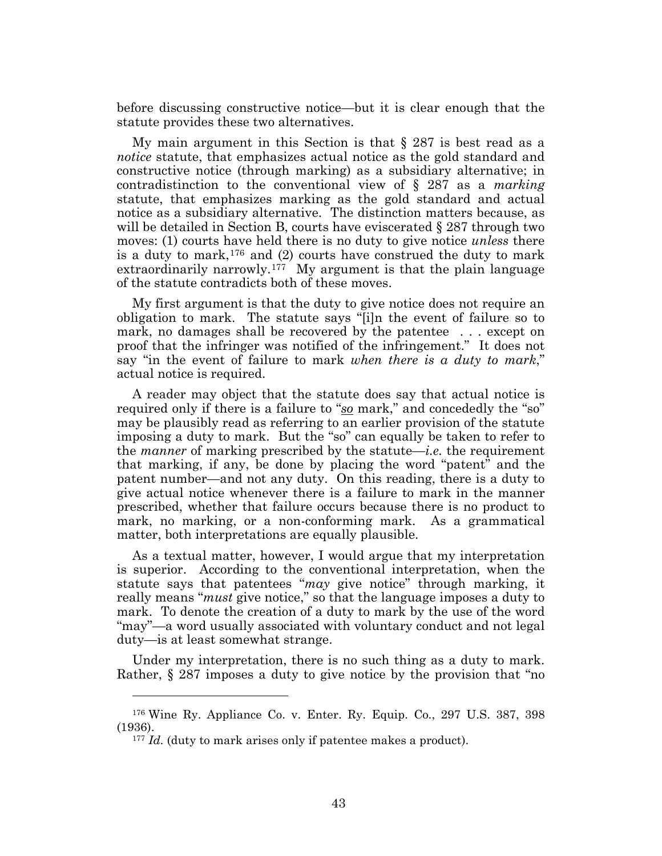before discussing constructive notice—but it is clear enough that the statute provides these two alternatives.

My main argument in this Section is that § 287 is best read as a *notice* statute, that emphasizes actual notice as the gold standard and constructive notice (through marking) as a subsidiary alternative; in contradistinction to the conventional view of § 287 as a *marking* statute, that emphasizes marking as the gold standard and actual notice as a subsidiary alternative. The distinction matters because, as will be detailed in Section [B](#page-44-1), courts have eviscerated § 287 through two moves: (1) courts have held there is no duty to give notice *unless* there is a duty to mark,<sup>[176](#page-42-0)</sup> and  $(2)$  courts have construed the duty to mark extraordinarily narrowly.<sup>[177](#page-42-1)</sup> My argument is that the plain language of the statute contradicts both of these moves.

My first argument is that the duty to give notice does not require an obligation to mark. The statute says "[i]n the event of failure so to mark, no damages shall be recovered by the patentee . . . except on proof that the infringer was notified of the infringement." It does not say "in the event of failure to mark *when there is a duty to mark*," actual notice is required.

A reader may object that the statute does say that actual notice is required only if there is a failure to "*so* mark," and concededly the "so" may be plausibly read as referring to an earlier provision of the statute imposing a duty to mark. But the "so" can equally be taken to refer to the *manner* of marking prescribed by the statute—*i.e.* the requirement that marking, if any, be done by placing the word "patent" and the patent number—and not any duty. On this reading, there is a duty to give actual notice whenever there is a failure to mark in the manner prescribed, whether that failure occurs because there is no product to mark, no marking, or a non-conforming mark. As a grammatical matter, both interpretations are equally plausible.

As a textual matter, however, I would argue that my interpretation is superior. According to the conventional interpretation, when the statute says that patentees "*may* give notice" through marking, it really means "*must* give notice," so that the language imposes a duty to mark. To denote the creation of a duty to mark by the use of the word "may"—a word usually associated with voluntary conduct and not legal duty—is at least somewhat strange.

Under my interpretation, there is no such thing as a duty to mark. Rather, § 287 imposes a duty to give notice by the provision that "no

<span id="page-42-1"></span><span id="page-42-0"></span><sup>176</sup> Wine Ry. Appliance Co. v. Enter. Ry. Equip. Co., 297 U.S. 387, 398 (1936).

<sup>&</sup>lt;sup>177</sup> *Id.* (duty to mark arises only if patentee makes a product).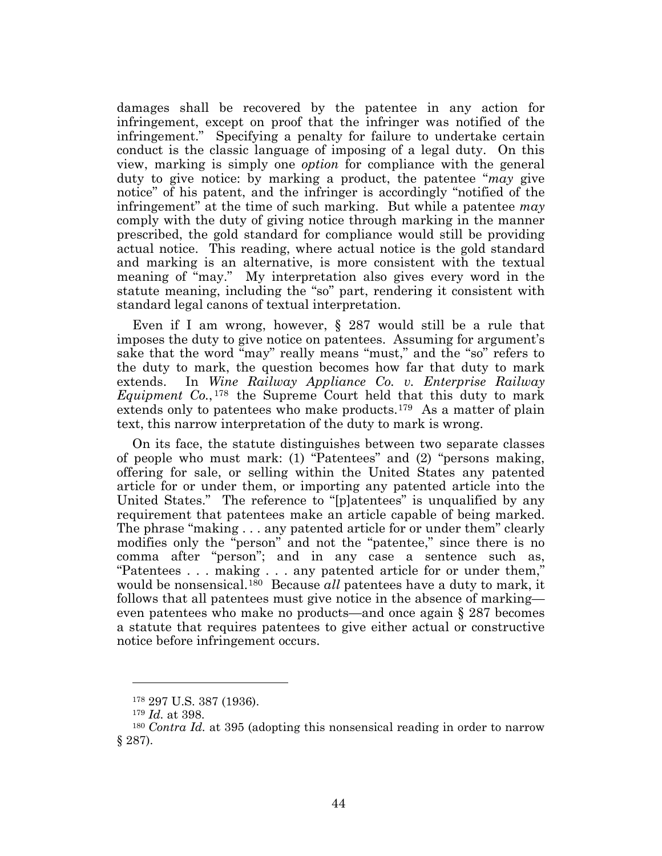damages shall be recovered by the patentee in any action for infringement, except on proof that the infringer was notified of the infringement." Specifying a penalty for failure to undertake certain conduct is the classic language of imposing of a legal duty. On this view, marking is simply one *option* for compliance with the general duty to give notice: by marking a product, the patentee "*may* give notice" of his patent, and the infringer is accordingly "notified of the infringement" at the time of such marking. But while a patentee *may* comply with the duty of giving notice through marking in the manner prescribed, the gold standard for compliance would still be providing actual notice. This reading, where actual notice is the gold standard and marking is an alternative, is more consistent with the textual meaning of "may." My interpretation also gives every word in the statute meaning, including the "so" part, rendering it consistent with standard legal canons of textual interpretation.

Even if I am wrong, however, § 287 would still be a rule that imposes the duty to give notice on patentees. Assuming for argument's sake that the word "may" really means "must," and the "so" refers to the duty to mark, the question becomes how far that duty to mark extends. In *Wine Railway Appliance Co. v. Enterprise Railway Equipment Co.*, [178](#page-43-0) the Supreme Court held that this duty to mark extends only to patentees who make products.<sup>[179](#page-43-1)</sup> As a matter of plain text, this narrow interpretation of the duty to mark is wrong.

On its face, the statute distinguishes between two separate classes of people who must mark: (1) "Patentees" and (2) "persons making, offering for sale, or selling within the United States any patented article for or under them, or importing any patented article into the United States." The reference to "[p]atentees" is unqualified by any requirement that patentees make an article capable of being marked. The phrase "making . . . any patented article for or under them" clearly modifies only the "person" and not the "patentee," since there is no comma after "person"; and in any case a sentence such as, "Patentees . . . making . . . any patented article for or under them," would be nonsensical.[180](#page-43-2) Because *all* patentees have a duty to mark, it follows that all patentees must give notice in the absence of marking even patentees who make no products—and once again § 287 becomes a statute that requires patentees to give either actual or constructive notice before infringement occurs.

<sup>178 297</sup> U.S. 387 (1936).

<sup>179</sup> *Id.* at 398.

<span id="page-43-2"></span><span id="page-43-1"></span><span id="page-43-0"></span><sup>180</sup> *Contra Id.* at 395 (adopting this nonsensical reading in order to narrow § 287).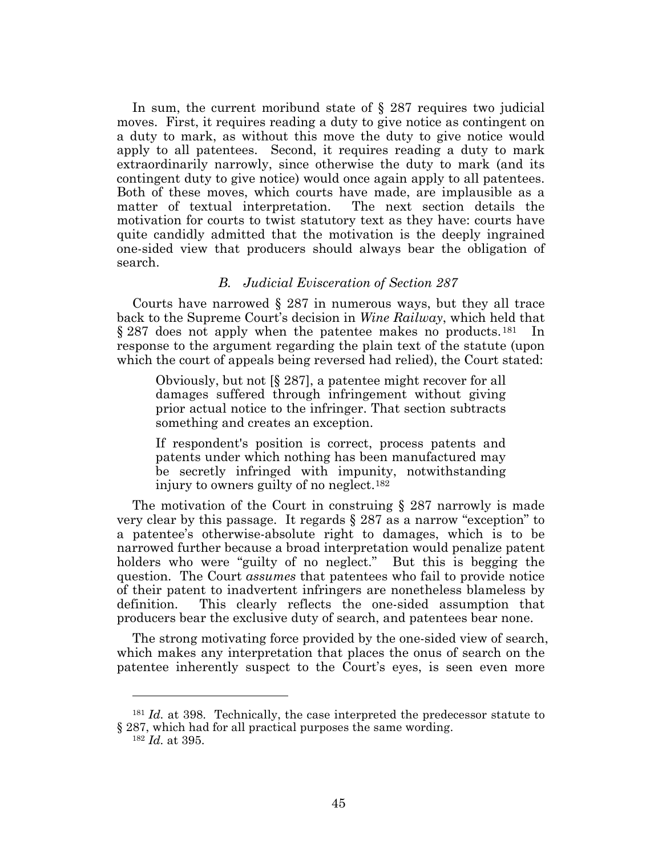<span id="page-44-0"></span>In sum, the current moribund state of § 287 requires two judicial moves. First, it requires reading a duty to give notice as contingent on a duty to mark, as without this move the duty to give notice would apply to all patentees. Second, it requires reading a duty to mark extraordinarily narrowly, since otherwise the duty to mark (and its contingent duty to give notice) would once again apply to all patentees. Both of these moves, which courts have made, are implausible as a matter of textual interpretation. The next section details the motivation for courts to twist statutory text as they have: courts have quite candidly admitted that the motivation is the deeply ingrained one-sided view that producers should always bear the obligation of search.

#### *B. Judicial Evisceration of Section 287*

<span id="page-44-1"></span>Courts have narrowed § 287 in numerous ways, but they all trace back to the Supreme Court's decision in *Wine Railway*, which held that § 287 does not apply when the patentee makes no products.<sup>[181](#page-44-2)</sup> In response to the argument regarding the plain text of the statute (upon which the court of appeals being reversed had relied), the Court stated:

Obviously, but not [§ 287], a patentee might recover for all damages suffered through infringement without giving prior actual notice to the infringer. That section subtracts something and creates an exception.

If respondent's position is correct, process patents and patents under which nothing has been manufactured may be secretly infringed with impunity, notwithstanding injury to owners guilty of no neglect.[182](#page-44-3)

The motivation of the Court in construing § 287 narrowly is made very clear by this passage. It regards § 287 as a narrow "exception" to a patentee's otherwise-absolute right to damages, which is to be narrowed further because a broad interpretation would penalize patent holders who were "guilty of no neglect." But this is begging the question. The Court *assumes* that patentees who fail to provide notice of their patent to inadvertent infringers are nonetheless blameless by definition. This clearly reflects the one-sided assumption that producers bear the exclusive duty of search, and patentees bear none.

The strong motivating force provided by the one-sided view of search, which makes any interpretation that places the onus of search on the patentee inherently suspect to the Court's eyes, is seen even more

<span id="page-44-3"></span><span id="page-44-2"></span><sup>181</sup> *Id.* at 398. Technically, the case interpreted the predecessor statute to § 287, which had for all practical purposes the same wording.

<sup>182</sup> *Id.* at 395.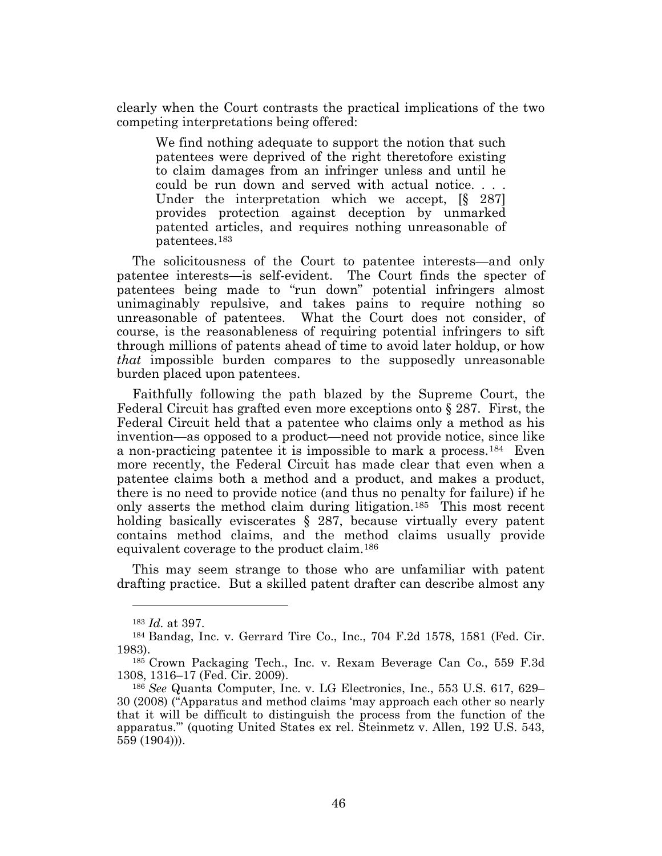clearly when the Court contrasts the practical implications of the two competing interpretations being offered:

We find nothing adequate to support the notion that such patentees were deprived of the right theretofore existing to claim damages from an infringer unless and until he could be run down and served with actual notice. . . . Under the interpretation which we accept,  $\S$  287] provides protection against deception by unmarked patented articles, and requires nothing unreasonable of patentees.[183](#page-45-0)

The solicitousness of the Court to patentee interests—and only patentee interests—is self-evident. The Court finds the specter of patentees being made to "run down" potential infringers almost unimaginably repulsive, and takes pains to require nothing so unreasonable of patentees. What the Court does not consider, of course, is the reasonableness of requiring potential infringers to sift through millions of patents ahead of time to avoid later holdup, or how *that* impossible burden compares to the supposedly unreasonable burden placed upon patentees.

Faithfully following the path blazed by the Supreme Court, the Federal Circuit has grafted even more exceptions onto § 287. First, the Federal Circuit held that a patentee who claims only a method as his invention—as opposed to a product—need not provide notice, since like a non-practicing patentee it is impossible to mark a process.[184](#page-45-1) Even more recently, the Federal Circuit has made clear that even when a patentee claims both a method and a product, and makes a product, there is no need to provide notice (and thus no penalty for failure) if he only asserts the method claim during litigation.[185](#page-45-2) This most recent holding basically eviscerates § 287, because virtually every patent contains method claims, and the method claims usually provide equivalent coverage to the product claim.[186](#page-45-3)

This may seem strange to those who are unfamiliar with patent drafting practice. But a skilled patent drafter can describe almost any

<sup>183</sup> *Id.* at 397.

<span id="page-45-1"></span><span id="page-45-0"></span><sup>184</sup> Bandag, Inc. v. Gerrard Tire Co., Inc., 704 F.2d 1578, 1581 (Fed. Cir. 1983).

<span id="page-45-2"></span><sup>185</sup> Crown Packaging Tech., Inc. v. Rexam Beverage Can Co., 559 F.3d 1308, 1316–17 (Fed. Cir. 2009).

<span id="page-45-3"></span><sup>186</sup> *See* Quanta Computer, Inc. v. LG Electronics, Inc., 553 U.S. 617, 629– 30 (2008) ("Apparatus and method claims 'may approach each other so nearly that it will be difficult to distinguish the process from the function of the apparatus.'" (quoting United States ex rel. Steinmetz v. Allen, 192 U.S. 543, 559 (1904))).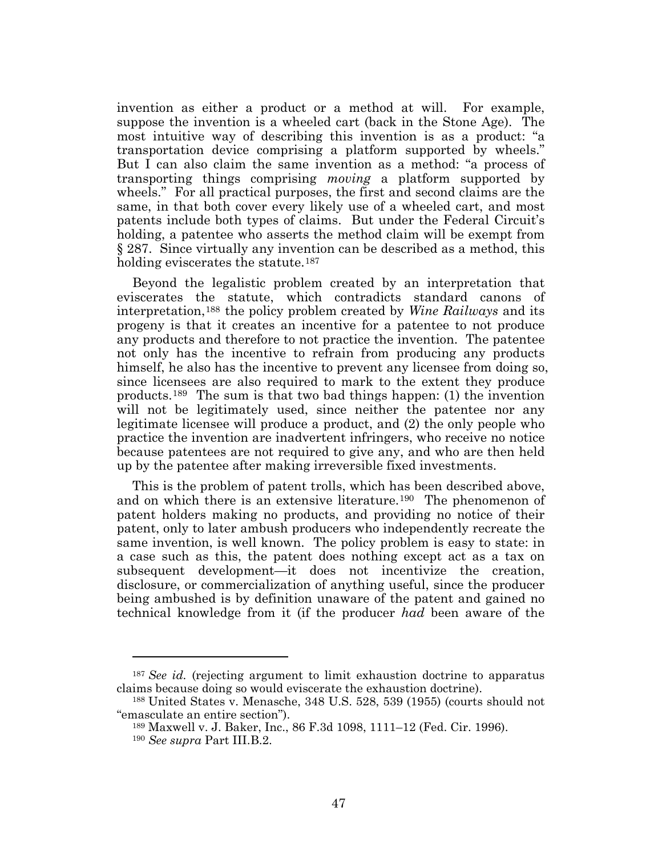invention as either a product or a method at will. For example, suppose the invention is a wheeled cart (back in the Stone Age). The most intuitive way of describing this invention is as a product: "a transportation device comprising a platform supported by wheels." But I can also claim the same invention as a method: "a process of transporting things comprising *moving* a platform supported by wheels." For all practical purposes, the first and second claims are the same, in that both cover every likely use of a wheeled cart, and most patents include both types of claims. But under the Federal Circuit's holding, a patentee who asserts the method claim will be exempt from § 287. Since virtually any invention can be described as a method, this holding eviscerates the statute.<sup>[187](#page-46-0)</sup>

Beyond the legalistic problem created by an interpretation that eviscerates the statute, which contradicts standard canons of interpretation,[188](#page-46-1) the policy problem created by *Wine Railways* and its progeny is that it creates an incentive for a patentee to not produce any products and therefore to not practice the invention. The patentee not only has the incentive to refrain from producing any products himself, he also has the incentive to prevent any licensee from doing so, since licensees are also required to mark to the extent they produce products.[189](#page-46-2) The sum is that two bad things happen: (1) the invention will not be legitimately used, since neither the patentee nor any legitimate licensee will produce a product, and (2) the only people who practice the invention are inadvertent infringers, who receive no notice because patentees are not required to give any, and who are then held up by the patentee after making irreversible fixed investments.

This is the problem of patent trolls, which has been described above, and on which there is an extensive literature.[190](#page-46-3) The phenomenon of patent holders making no products, and providing no notice of their patent, only to later ambush producers who independently recreate the same invention, is well known. The policy problem is easy to state: in a case such as this, the patent does nothing except act as a tax on subsequent development—it does not incentivize the creation, disclosure, or commercialization of anything useful, since the producer being ambushed is by definition unaware of the patent and gained no technical knowledge from it (if the producer *had* been aware of the

<span id="page-46-0"></span><sup>187</sup> *See id.* (rejecting argument to limit exhaustion doctrine to apparatus claims because doing so would eviscerate the exhaustion doctrine).

<span id="page-46-3"></span><span id="page-46-2"></span><span id="page-46-1"></span><sup>188</sup> United States v. Menasche, 348 U.S. 528, 539 (1955) (courts should not "emasculate an entire section").

<sup>189</sup> Maxwell v. J. Baker, Inc., 86 F.3d 1098, 1111–12 (Fed. Cir. 1996).

<sup>190</sup> *See supra* Part III.B.2.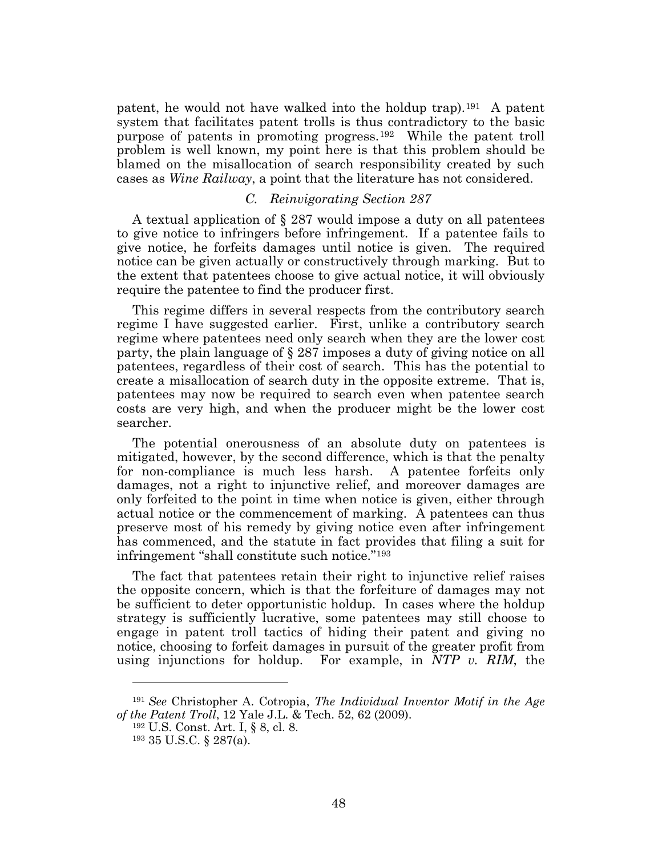<span id="page-47-0"></span>patent, he would not have walked into the holdup trap).[191](#page-47-1) A patent system that facilitates patent trolls is thus contradictory to the basic purpose of patents in promoting progress.[192](#page-47-2) While the patent troll problem is well known, my point here is that this problem should be blamed on the misallocation of search responsibility created by such cases as *Wine Railway*, a point that the literature has not considered.

## *C. Reinvigorating Section 287*

A textual application of § 287 would impose a duty on all patentees to give notice to infringers before infringement. If a patentee fails to give notice, he forfeits damages until notice is given. The required notice can be given actually or constructively through marking. But to the extent that patentees choose to give actual notice, it will obviously require the patentee to find the producer first.

This regime differs in several respects from the contributory search regime I have suggested earlier. First, unlike a contributory search regime where patentees need only search when they are the lower cost party, the plain language of § 287 imposes a duty of giving notice on all patentees, regardless of their cost of search. This has the potential to create a misallocation of search duty in the opposite extreme. That is, patentees may now be required to search even when patentee search costs are very high, and when the producer might be the lower cost searcher.

The potential onerousness of an absolute duty on patentees is mitigated, however, by the second difference, which is that the penalty for non-compliance is much less harsh. A patentee forfeits only damages, not a right to injunctive relief, and moreover damages are only forfeited to the point in time when notice is given, either through actual notice or the commencement of marking. A patentees can thus preserve most of his remedy by giving notice even after infringement has commenced, and the statute in fact provides that filing a suit for infringement "shall constitute such notice."[193](#page-47-3)

The fact that patentees retain their right to injunctive relief raises the opposite concern, which is that the forfeiture of damages may not be sufficient to deter opportunistic holdup. In cases where the holdup strategy is sufficiently lucrative, some patentees may still choose to engage in patent troll tactics of hiding their patent and giving no notice, choosing to forfeit damages in pursuit of the greater profit from using injunctions for holdup. For example, in *NTP v. RIM*, the

<span id="page-47-3"></span><span id="page-47-2"></span><span id="page-47-1"></span><sup>191</sup> *See* Christopher A. Cotropia, *The Individual Inventor Motif in the Age of the Patent Troll*, 12 Yale J.L. & Tech. 52, 62 (2009).

<sup>192</sup> U.S. Const. Art. I, § 8, cl. 8.

<sup>193 35</sup> U.S.C. § 287(a).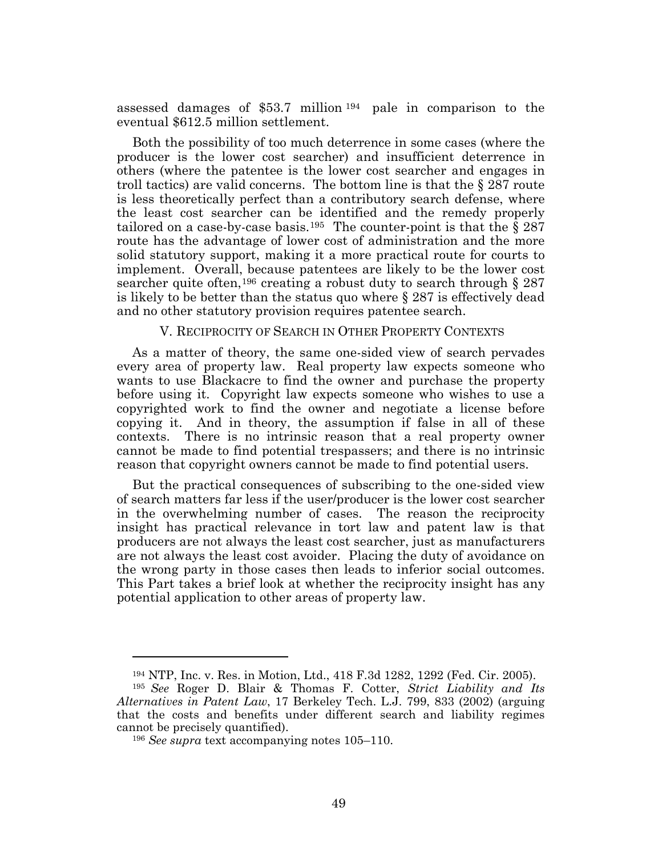<span id="page-48-0"></span>assessed damages of \$53.7 million [194](#page-48-2) pale in comparison to the eventual \$612.5 million settlement.

Both the possibility of too much deterrence in some cases (where the producer is the lower cost searcher) and insufficient deterrence in others (where the patentee is the lower cost searcher and engages in troll tactics) are valid concerns. The bottom line is that the § 287 route is less theoretically perfect than a contributory search defense, where the least cost searcher can be identified and the remedy properly tailored on a case-by-case basis.<sup>[195](#page-48-3)</sup> The counter-point is that the  $\S 287$ route has the advantage of lower cost of administration and the more solid statutory support, making it a more practical route for courts to implement. Overall, because patentees are likely to be the lower cost searcher quite often,<sup>[196](#page-48-4)</sup> creating a robust duty to search through  $\S 287$ is likely to be better than the status quo where § 287 is effectively dead and no other statutory provision requires patentee search.

#### V. RECIPROCITY OF SEARCH IN OTHER PROPERTY CONTEXTS

<span id="page-48-1"></span>As a matter of theory, the same one-sided view of search pervades every area of property law. Real property law expects someone who wants to use Blackacre to find the owner and purchase the property before using it. Copyright law expects someone who wishes to use a copyrighted work to find the owner and negotiate a license before copying it. And in theory, the assumption if false in all of these contexts. There is no intrinsic reason that a real property owner cannot be made to find potential trespassers; and there is no intrinsic reason that copyright owners cannot be made to find potential users.

But the practical consequences of subscribing to the one-sided view of search matters far less if the user/producer is the lower cost searcher in the overwhelming number of cases. The reason the reciprocity insight has practical relevance in tort law and patent law is that producers are not always the least cost searcher, just as manufacturers are not always the least cost avoider. Placing the duty of avoidance on the wrong party in those cases then leads to inferior social outcomes. This Part takes a brief look at whether the reciprocity insight has any potential application to other areas of property law.

<sup>194</sup> NTP, Inc. v. Res. in Motion, Ltd., 418 F.3d 1282, 1292 (Fed. Cir. 2005).

<span id="page-48-4"></span><span id="page-48-3"></span><span id="page-48-2"></span><sup>195</sup> *See* Roger D. Blair & Thomas F. Cotter, *Strict Liability and Its Alternatives in Patent Law*, 17 Berkeley Tech. L.J. 799, 833 (2002) (arguing that the costs and benefits under different search and liability regimes cannot be precisely quantified).

<sup>196</sup> *See supra* text accompanying notes 105–110.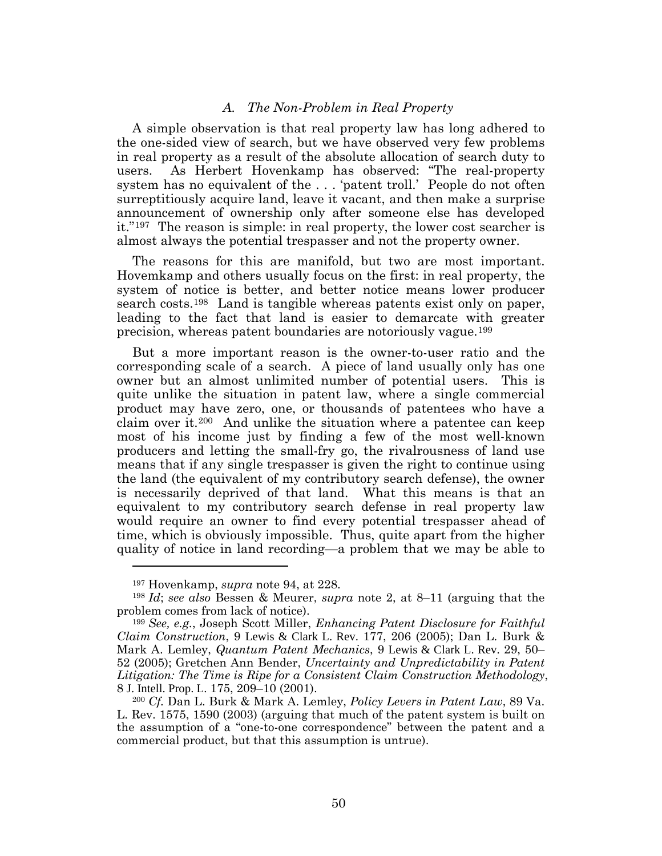#### *A. The Non-Problem in Real Property*

<span id="page-49-0"></span>A simple observation is that real property law has long adhered to the one-sided view of search, but we have observed very few problems in real property as a result of the absolute allocation of search duty to users. As Herbert Hovenkamp has observed: "The real-property system has no equivalent of the . . . 'patent troll.' People do not often surreptitiously acquire land, leave it vacant, and then make a surprise announcement of ownership only after someone else has developed it."[197](#page-49-1) The reason is simple: in real property, the lower cost searcher is almost always the potential trespasser and not the property owner.

The reasons for this are manifold, but two are most important. Hovemkamp and others usually focus on the first: in real property, the system of notice is better, and better notice means lower producer search costs.[198](#page-49-2) Land is tangible whereas patents exist only on paper, leading to the fact that land is easier to demarcate with greater precision, whereas patent boundaries are notoriously vague.[199](#page-49-3)

But a more important reason is the owner-to-user ratio and the corresponding scale of a search. A piece of land usually only has one owner but an almost unlimited number of potential users. This is quite unlike the situation in patent law, where a single commercial product may have zero, one, or thousands of patentees who have a claim over it.[200](#page-49-4) And unlike the situation where a patentee can keep most of his income just by finding a few of the most well-known producers and letting the small-fry go, the rivalrousness of land use means that if any single trespasser is given the right to continue using the land (the equivalent of my contributory search defense), the owner is necessarily deprived of that land. What this means is that an equivalent to my contributory search defense in real property law would require an owner to find every potential trespasser ahead of time, which is obviously impossible. Thus, quite apart from the higher quality of notice in land recording—a problem that we may be able to

<sup>197</sup> Hovenkamp, *supra* note 94, at 228.

<span id="page-49-2"></span><span id="page-49-1"></span><sup>198</sup> *Id*; *see also* Bessen & Meurer, *supra* note 2, at 8–11 (arguing that the problem comes from lack of notice).

<span id="page-49-3"></span><sup>199</sup> *See, e.g.*, Joseph Scott Miller, *Enhancing Patent Disclosure for Faithful Claim Construction*, 9 Lewis & Clark L. Rev. 177, 206 (2005); Dan L. Burk & Mark A. Lemley, *Quantum Patent Mechanics*, 9 Lewis & Clark L. Rev. 29, 50– 52 (2005); Gretchen Ann Bender, *Uncertainty and Unpredictability in Patent Litigation: The Time is Ripe for a Consistent Claim Construction Methodology*, 8 J. Intell. Prop. L. 175, 209–10 (2001).

<span id="page-49-4"></span><sup>200</sup> *Cf.* Dan L. Burk & Mark A. Lemley, *Policy Levers in Patent Law*, 89 Va. L. Rev. 1575, 1590 (2003) (arguing that much of the patent system is built on the assumption of a "one-to-one correspondence" between the patent and a commercial product, but that this assumption is untrue).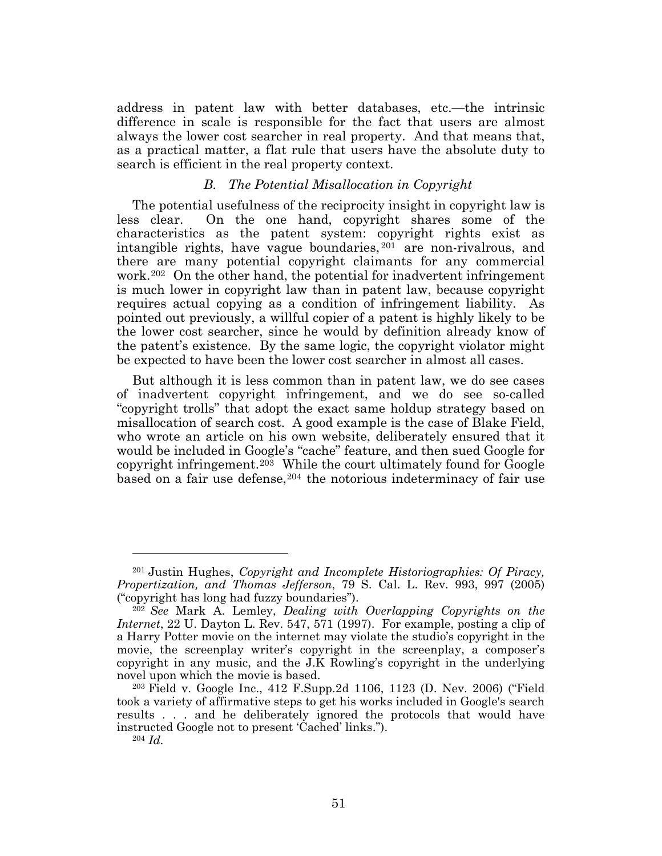<span id="page-50-0"></span>address in patent law with better databases, etc.—the intrinsic difference in scale is responsible for the fact that users are almost always the lower cost searcher in real property. And that means that, as a practical matter, a flat rule that users have the absolute duty to search is efficient in the real property context.

## *B. The Potential Misallocation in Copyright*

The potential usefulness of the reciprocity insight in copyright law is less clear. On the one hand, copyright shares some of the characteristics as the patent system: copyright rights exist as intangible rights, have vague boundaries, [201](#page-50-1) are non-rivalrous, and there are many potential copyright claimants for any commercial work.<sup>[202](#page-50-2)</sup> On the other hand, the potential for inadvertent infringement is much lower in copyright law than in patent law, because copyright requires actual copying as a condition of infringement liability. As pointed out previously, a willful copier of a patent is highly likely to be the lower cost searcher, since he would by definition already know of the patent's existence. By the same logic, the copyright violator might be expected to have been the lower cost searcher in almost all cases.

But although it is less common than in patent law, we do see cases of inadvertent copyright infringement, and we do see so-called "copyright trolls" that adopt the exact same holdup strategy based on misallocation of search cost. A good example is the case of Blake Field, who wrote an article on his own website, deliberately ensured that it would be included in Google's "cache" feature, and then sued Google for copyright infringement.[203](#page-50-3) While the court ultimately found for Google based on a fair use defense,<sup>[204](#page-50-4)</sup> the notorious indeterminacy of fair use

<span id="page-50-1"></span><sup>201</sup> Justin Hughes, *Copyright and Incomplete Historiographies: Of Piracy, Propertization, and Thomas Jefferson*, 79 S. Cal. L. Rev. 993, 997 (2005) ("copyright has long had fuzzy boundaries").

<span id="page-50-2"></span><sup>202</sup> *See* Mark A. Lemley, *Dealing with Overlapping Copyrights on the Internet*, 22 U. Dayton L. Rev. 547, 571 (1997). For example, posting a clip of a Harry Potter movie on the internet may violate the studio's copyright in the movie, the screenplay writer's copyright in the screenplay, a composer's copyright in any music, and the J.K Rowling's copyright in the underlying novel upon which the movie is based.

<span id="page-50-4"></span><span id="page-50-3"></span><sup>203</sup> Field v. Google Inc., 412 F.Supp.2d 1106, 1123 (D. Nev. 2006) ("Field took a variety of affirmative steps to get his works included in Google's search results . . . and he deliberately ignored the protocols that would have instructed Google not to present 'Cached' links.").

<sup>204</sup> *Id.*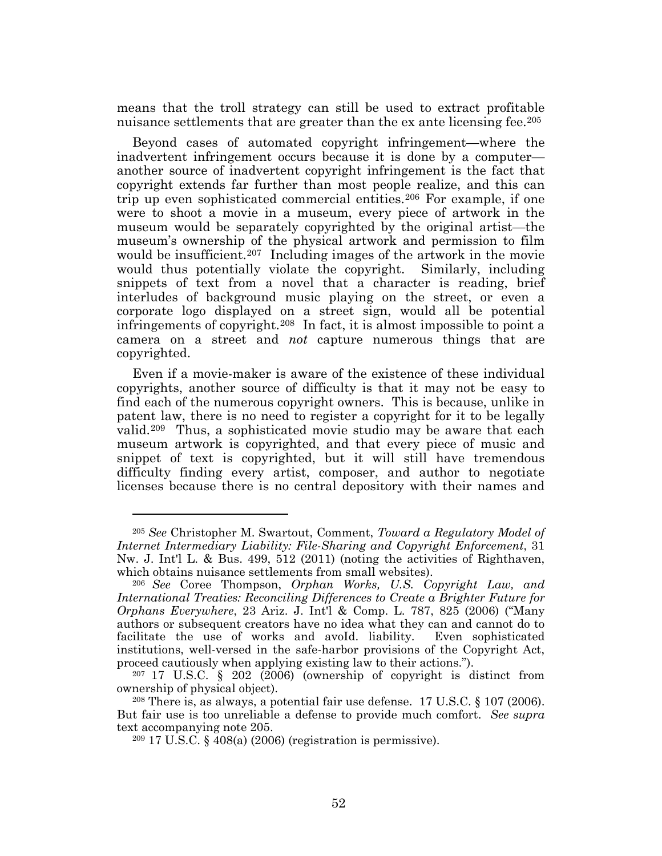means that the troll strategy can still be used to extract profitable nuisance settlements that are greater than the ex ante licensing fee.<sup>[205](#page-51-0)</sup>

Beyond cases of automated copyright infringement—where the inadvertent infringement occurs because it is done by a computer another source of inadvertent copyright infringement is the fact that copyright extends far further than most people realize, and this can trip up even sophisticated commercial entities.[206](#page-51-1) For example, if one were to shoot a movie in a museum, every piece of artwork in the museum would be separately copyrighted by the original artist—the museum's ownership of the physical artwork and permission to film would be insufficient.<sup>207</sup> Including images of the artwork in the movie would thus potentially violate the copyright. Similarly, including snippets of text from a novel that a character is reading, brief interludes of background music playing on the street, or even a corporate logo displayed on a street sign, would all be potential infringements of copyright.[208](#page-51-3) In fact, it is almost impossible to point a camera on a street and *not* capture numerous things that are copyrighted.

Even if a movie-maker is aware of the existence of these individual copyrights, another source of difficulty is that it may not be easy to find each of the numerous copyright owners. This is because, unlike in patent law, there is no need to register a copyright for it to be legally valid.[209](#page-51-4) Thus, a sophisticated movie studio may be aware that each museum artwork is copyrighted, and that every piece of music and snippet of text is copyrighted, but it will still have tremendous difficulty finding every artist, composer, and author to negotiate licenses because there is no central depository with their names and

<span id="page-51-0"></span><sup>205</sup> *See* Christopher M. Swartout, Comment, *Toward a Regulatory Model of Internet Intermediary Liability: File-Sharing and Copyright Enforcement*, 31 Nw. J. Int'l L. & Bus. 499, 512 (2011) (noting the activities of Righthaven, which obtains nuisance settlements from small websites).

<span id="page-51-1"></span><sup>206</sup> *See* Coree Thompson, *Orphan Works, U.S. Copyright Law, and International Treaties: Reconciling Differences to Create a Brighter Future for Orphans Everywhere*, 23 Ariz. J. Int'l & Comp. L. 787, 825 (2006) ("Many authors or subsequent creators have no idea what they can and cannot do to facilitate the use of works and avoId. liability. Even sophisticated institutions, well-versed in the safe-harbor provisions of the Copyright Act, proceed cautiously when applying existing law to their actions.").

<span id="page-51-2"></span> $207$  17 U.S.C. § 202 (2006) (ownership of copyright is distinct from ownership of physical object).

<span id="page-51-4"></span><span id="page-51-3"></span><sup>&</sup>lt;sup>208</sup> There is, as always, a potential fair use defense. 17 U.S.C. § 107 (2006). But fair use is too unreliable a defense to provide much comfort. *See supra* text accompanying note 205.

 $209$  17 U.S.C. § 408(a) (2006) (registration is permissive).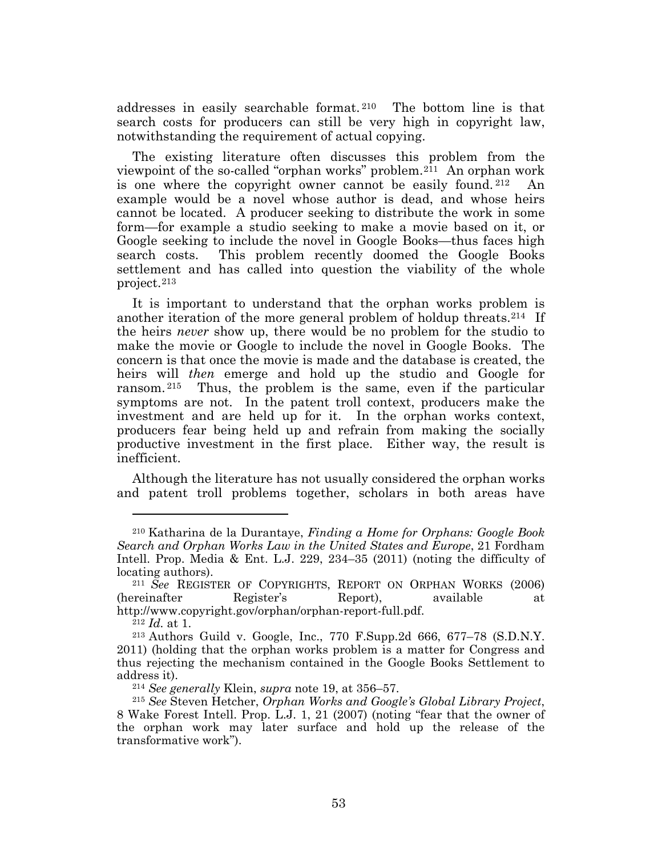addresses in easily searchable format. [210](#page-52-0) The bottom line is that search costs for producers can still be very high in copyright law, notwithstanding the requirement of actual copying.

The existing literature often discusses this problem from the viewpoint of the so-called "orphan works" problem.<sup>[211](#page-52-1)</sup> An orphan work is one where the copyright owner cannot be easily found. [212](#page-52-2) An example would be a novel whose author is dead, and whose heirs cannot be located. A producer seeking to distribute the work in some form—for example a studio seeking to make a movie based on it, or Google seeking to include the novel in Google Books—thus faces high search costs. This problem recently doomed the Google Books settlement and has called into question the viability of the whole project.[213](#page-52-3)

It is important to understand that the orphan works problem is another iteration of the more general problem of holdup threats.[214](#page-52-4) If the heirs *never* show up, there would be no problem for the studio to make the movie or Google to include the novel in Google Books. The concern is that once the movie is made and the database is created, the heirs will *then* emerge and hold up the studio and Google for ransom. [215](#page-52-5) Thus, the problem is the same, even if the particular symptoms are not. In the patent troll context, producers make the investment and are held up for it. In the orphan works context, producers fear being held up and refrain from making the socially productive investment in the first place. Either way, the result is inefficient.

Although the literature has not usually considered the orphan works and patent troll problems together, scholars in both areas have

<span id="page-52-0"></span><sup>210</sup> Katharina de la Durantaye, *Finding a Home for Orphans: Google Book Search and Orphan Works Law in the United States and Europe*, 21 Fordham Intell. Prop. Media & Ent. L.J. 229, 234–35 (2011) (noting the difficulty of locating authors).

<span id="page-52-1"></span><sup>211</sup> *See* REGISTER OF COPYRIGHTS, REPORT ON ORPHAN WORKS (2006) (hereinafter Register's Report), available at http://www.copyright.gov/orphan/orphan-report-full.pdf.

<sup>212</sup> *Id.* at 1.

<span id="page-52-3"></span><span id="page-52-2"></span><sup>213</sup> Authors Guild v. Google, Inc., 770 F.Supp.2d 666, 677–78 (S.D.N.Y. 2011) (holding that the orphan works problem is a matter for Congress and thus rejecting the mechanism contained in the Google Books Settlement to address it).

<sup>214</sup> *See generally* Klein, *supra* note 19, at 356–57.

<span id="page-52-5"></span><span id="page-52-4"></span><sup>215</sup> *See* Steven Hetcher, *Orphan Works and Google's Global Library Project*, 8 Wake Forest Intell. Prop. L.J. 1, 21 (2007) (noting "fear that the owner of the orphan work may later surface and hold up the release of the transformative work").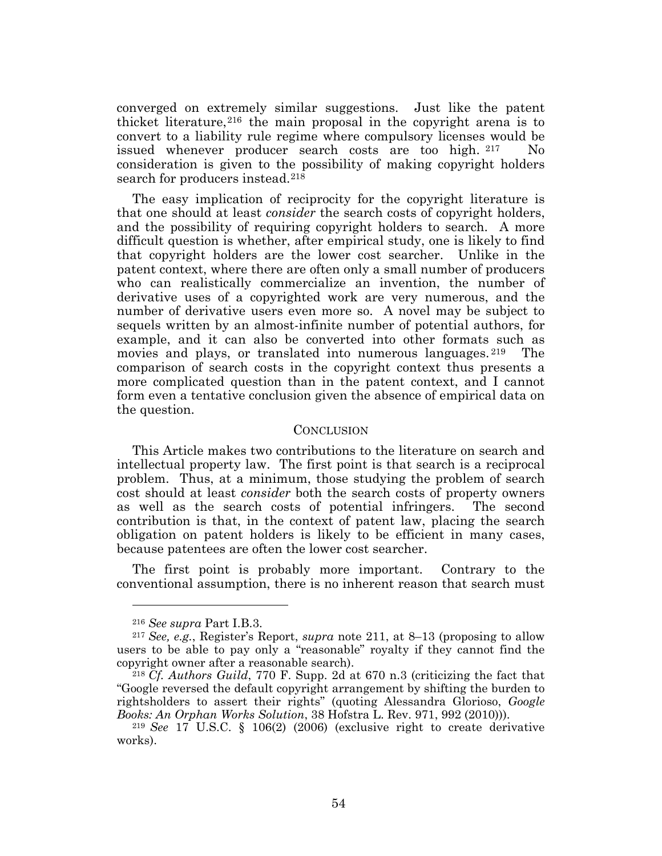<span id="page-53-0"></span>converged on extremely similar suggestions. Just like the patent thicket literature,  $2^{16}$  the main proposal in the copyright arena is to convert to a liability rule regime where compulsory licenses would be issued whenever producer search costs are too high. [217](#page-53-2) No consideration is given to the possibility of making copyright holders search for producers instead.<sup>[218](#page-53-3)</sup>

The easy implication of reciprocity for the copyright literature is that one should at least *consider* the search costs of copyright holders, and the possibility of requiring copyright holders to search. A more difficult question is whether, after empirical study, one is likely to find that copyright holders are the lower cost searcher. Unlike in the patent context, where there are often only a small number of producers who can realistically commercialize an invention, the number of derivative uses of a copyrighted work are very numerous, and the number of derivative users even more so. A novel may be subject to sequels written by an almost-infinite number of potential authors, for example, and it can also be converted into other formats such as movies and plays, or translated into numerous languages. [219](#page-53-4) The comparison of search costs in the copyright context thus presents a more complicated question than in the patent context, and I cannot form even a tentative conclusion given the absence of empirical data on the question.

## **CONCLUSION**

This Article makes two contributions to the literature on search and intellectual property law. The first point is that search is a reciprocal problem. Thus, at a minimum, those studying the problem of search cost should at least *consider* both the search costs of property owners as well as the search costs of potential infringers. The second contribution is that, in the context of patent law, placing the search obligation on patent holders is likely to be efficient in many cases, because patentees are often the lower cost searcher.

The first point is probably more important. Contrary to the conventional assumption, there is no inherent reason that search must

<sup>216</sup> *See supra* Part I.B.3.

<span id="page-53-2"></span><span id="page-53-1"></span><sup>217</sup> *See, e.g.*, Register's Report, *supra* note 211, at 8–13 (proposing to allow users to be able to pay only a "reasonable" royalty if they cannot find the copyright owner after a reasonable search).

<span id="page-53-3"></span><sup>218</sup> *Cf. Authors Guild*, 770 F. Supp. 2d at 670 n.3 (criticizing the fact that "Google reversed the default copyright arrangement by shifting the burden to rightsholders to assert their rights" (quoting Alessandra Glorioso, *Google Books: An Orphan Works Solution*, 38 Hofstra L. Rev. 971, 992 (2010))).

<span id="page-53-4"></span><sup>219</sup> *See* 17 U.S.C. § 106(2) (2006) (exclusive right to create derivative works).